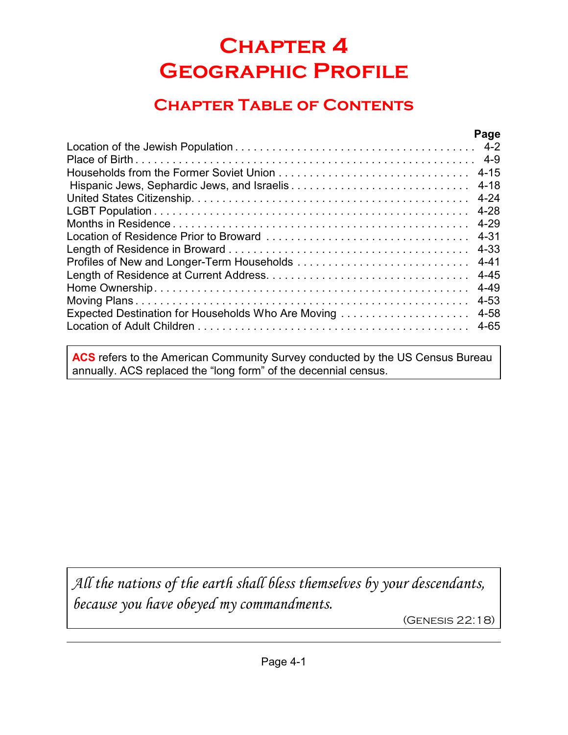# **Chapter 4 Geographic Profile**

## **Chapter Table of Contents**

|                                                    | Page     |
|----------------------------------------------------|----------|
|                                                    |          |
|                                                    |          |
|                                                    |          |
|                                                    | $4 - 18$ |
|                                                    |          |
|                                                    |          |
|                                                    | 4-29     |
|                                                    |          |
|                                                    |          |
|                                                    | 4-41     |
|                                                    |          |
|                                                    | 4-49     |
|                                                    | $4 - 53$ |
| Expected Destination for Households Who Are Moving | 4-58     |
|                                                    | 4-65     |
|                                                    |          |

**ACS** refers to the American Community Survey conducted by the US Census Bureau annually. ACS replaced the "long form" of the decennial census.

*All the nations of the earth shall bless themselves by your descendants, because you have obeyed my commandments.*

(Genesis 22:18)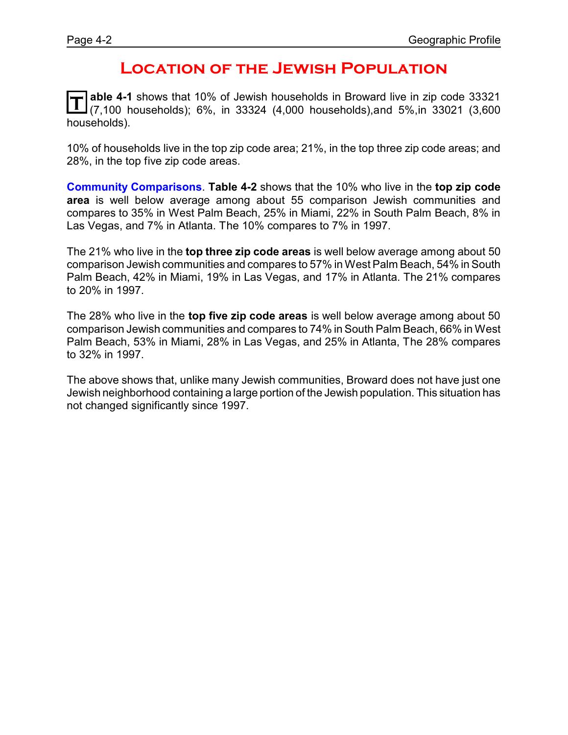### **Location of the Jewish Population**

**T able 4-1** shows that 10% of Jewish households in Broward live in zip code 33321 (7,100 households); 6%, in 33324 (4,000 households),and 5%,in 33021 (3,600 households).

10% of households live in the top zip code area; 21%, in the top three zip code areas; and 28%, in the top five zip code areas.

**Community Comparisons**. **Table 4-2** shows that the 10% who live in the **top zip code area** is well below average among about 55 comparison Jewish communities and compares to 35% in West Palm Beach, 25% in Miami, 22% in South Palm Beach, 8% in Las Vegas, and 7% in Atlanta. The 10% compares to 7% in 1997.

The 21% who live in the **top three zip code areas** is well below average among about 50 comparison Jewish communities and compares to 57% in West Palm Beach, 54% in South Palm Beach, 42% in Miami, 19% in Las Vegas, and 17% in Atlanta. The 21% compares to 20% in 1997.

The 28% who live in the **top five zip code areas** is well below average among about 50 comparison Jewish communities and compares to 74% in South Palm Beach, 66% in West Palm Beach, 53% in Miami, 28% in Las Vegas, and 25% in Atlanta, The 28% compares to 32% in 1997.

The above shows that, unlike many Jewish communities, Broward does not have just one Jewish neighborhood containing a large portion of the Jewish population. This situation has not changed significantly since 1997.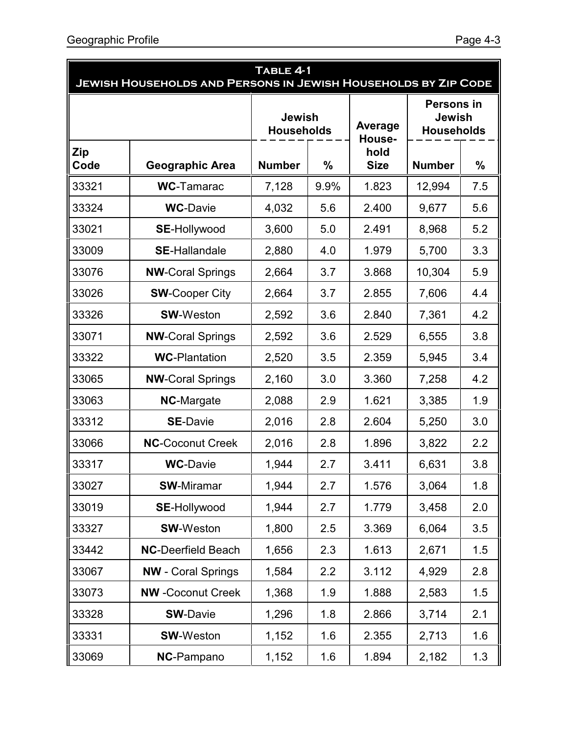| TABLE 4-1<br><b>JEWISH HOUSEHOLDS AND PERSONS IN JEWISH HOUSEHOLDS BY ZIP CODE</b> |                           |               |      |                     |                                                         |     |
|------------------------------------------------------------------------------------|---------------------------|---------------|------|---------------------|---------------------------------------------------------|-----|
| <b>Jewish</b><br><b>Households</b>                                                 |                           |               |      | Average<br>House-   | <b>Persons in</b><br><b>Jewish</b><br><b>Households</b> |     |
| Zip<br>Code                                                                        | <b>Geographic Area</b>    | <b>Number</b> | $\%$ | hold<br><b>Size</b> | <b>Number</b>                                           | %   |
| 33321                                                                              | <b>WC-Tamarac</b>         | 7,128         | 9.9% | 1.823               | 12,994                                                  | 7.5 |
| 33324                                                                              | <b>WC-Davie</b>           | 4,032         | 5.6  | 2.400               | 9,677                                                   | 5.6 |
| 33021                                                                              | <b>SE-Hollywood</b>       | 3,600         | 5.0  | 2.491               | 8,968                                                   | 5.2 |
| 33009                                                                              | <b>SE-Hallandale</b>      | 2,880         | 4.0  | 1.979               | 5,700                                                   | 3.3 |
| 33076                                                                              | <b>NW-Coral Springs</b>   | 2,664         | 3.7  | 3.868               | 10,304                                                  | 5.9 |
| 33026                                                                              | <b>SW-Cooper City</b>     | 2,664         | 3.7  | 2.855               | 7,606                                                   | 4.4 |
| 33326                                                                              | <b>SW-Weston</b>          | 2,592         | 3.6  | 2.840               | 7,361                                                   | 4.2 |
| 33071                                                                              | <b>NW-Coral Springs</b>   | 2,592         | 3.6  | 2.529               | 6,555                                                   | 3.8 |
| 33322                                                                              | <b>WC-Plantation</b>      | 2,520         | 3.5  | 2.359               | 5,945                                                   | 3.4 |
| 33065                                                                              | <b>NW-Coral Springs</b>   | 2,160         | 3.0  | 3.360               | 7,258                                                   | 4.2 |
| 33063                                                                              | <b>NC-Margate</b>         | 2,088         | 2.9  | 1.621               | 3,385                                                   | 1.9 |
| 33312                                                                              | <b>SE-Davie</b>           | 2,016         | 2.8  | 2.604               | 5,250                                                   | 3.0 |
| 33066                                                                              | <b>NC-Coconut Creek</b>   | 2,016         | 2.8  | 1.896               | 3,822                                                   | 2.2 |
| 33317                                                                              | <b>WC-Davie</b>           | 1,944         | 2.7  | 3.411               | 6,631                                                   | 3.8 |
| 33027                                                                              | <b>SW-Miramar</b>         | 1,944         | 2.7  | 1.576               | 3,064                                                   | 1.8 |
| 33019                                                                              | <b>SE-Hollywood</b>       | 1,944         | 2.7  | 1.779               | 3,458                                                   | 2.0 |
| 33327                                                                              | <b>SW-Weston</b>          | 1,800         | 2.5  | 3.369               | 6,064                                                   | 3.5 |
| 33442                                                                              | <b>NC-Deerfield Beach</b> | 1,656         | 2.3  | 1.613               | 2,671                                                   | 1.5 |
| 33067                                                                              | <b>NW</b> - Coral Springs | 1,584         | 2.2  | 3.112               | 4,929                                                   | 2.8 |
| 33073                                                                              | <b>NW</b> -Coconut Creek  | 1,368         | 1.9  | 1.888               | 2,583                                                   | 1.5 |
| 33328                                                                              | <b>SW-Davie</b>           | 1,296         | 1.8  | 2.866               | 3,714                                                   | 2.1 |
| 33331                                                                              | <b>SW-Weston</b>          | 1,152         | 1.6  | 2.355               | 2,713                                                   | 1.6 |
| 33069                                                                              | NC-Pampano                | 1,152         | 1.6  | 1.894               | 2,182                                                   | 1.3 |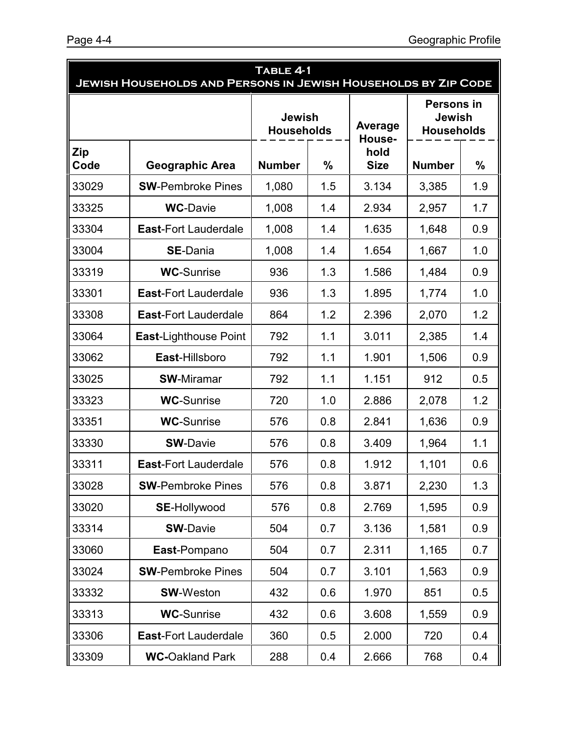| TABLE 4-1<br><b>JEWISH HOUSEHOLDS AND PERSONS IN JEWISH HOUSEHOLDS BY ZIP CODE</b> |                              |               |                                    |                               |                                                         |               |
|------------------------------------------------------------------------------------|------------------------------|---------------|------------------------------------|-------------------------------|---------------------------------------------------------|---------------|
|                                                                                    |                              |               | <b>Jewish</b><br><b>Households</b> |                               | <b>Persons in</b><br><b>Jewish</b><br><b>Households</b> |               |
| <b>Zip</b><br>Code                                                                 | <b>Geographic Area</b>       | <b>Number</b> | $\frac{0}{0}$                      | House-<br>hold<br><b>Size</b> | <b>Number</b>                                           | $\frac{0}{0}$ |
| 33029                                                                              | <b>SW-Pembroke Pines</b>     | 1,080         | 1.5                                | 3.134                         | 3,385                                                   | 1.9           |
| 33325                                                                              | <b>WC-Davie</b>              | 1,008         | 1.4                                | 2.934                         | 2,957                                                   | 1.7           |
| 33304                                                                              | <b>East-Fort Lauderdale</b>  | 1,008         | 1.4                                | 1.635                         | 1,648                                                   | 0.9           |
| 33004                                                                              | <b>SE-Dania</b>              | 1,008         | 1.4                                | 1.654                         | 1,667                                                   | 1.0           |
| 33319                                                                              | <b>WC-Sunrise</b>            | 936           | 1.3                                | 1.586                         | 1,484                                                   | 0.9           |
| 33301                                                                              | <b>East-Fort Lauderdale</b>  | 936           | 1.3                                | 1.895                         | 1,774                                                   | 1.0           |
| 33308                                                                              | <b>East-Fort Lauderdale</b>  | 864           | 1.2                                | 2.396                         | 2,070                                                   | 1.2           |
| 33064                                                                              | <b>East-Lighthouse Point</b> | 792           | 1.1                                | 3.011                         | 2,385                                                   | 1.4           |
| 33062                                                                              | East-Hillsboro               | 792           | 1.1                                | 1.901                         | 1,506                                                   | 0.9           |
| 33025                                                                              | <b>SW-Miramar</b>            | 792           | 1.1                                | 1.151                         | 912                                                     | 0.5           |
| 33323                                                                              | <b>WC-Sunrise</b>            | 720           | 1.0                                | 2.886                         | 2,078                                                   | 1.2           |
| 33351                                                                              | <b>WC-Sunrise</b>            | 576           | 0.8                                | 2.841                         | 1,636                                                   | 0.9           |
| 33330                                                                              | <b>SW-Davie</b>              | 576           | 0.8                                | 3.409                         | 1,964                                                   | 1.1           |
| 33311                                                                              | <b>East-Fort Lauderdale</b>  | 576           | 0.8                                | 1.912                         | 1,101                                                   | 0.6           |
| 33028                                                                              | <b>SW-Pembroke Pines</b>     | 576           | 0.8                                | 3.871                         | 2,230                                                   | 1.3           |
| 33020                                                                              | <b>SE-Hollywood</b>          | 576           | 0.8                                | 2.769                         | 1,595                                                   | 0.9           |
| 33314                                                                              | <b>SW-Davie</b>              | 504           | 0.7                                | 3.136                         | 1,581                                                   | 0.9           |
| 33060                                                                              | East-Pompano                 | 504           | 0.7                                | 2.311                         | 1,165                                                   | 0.7           |
| 33024                                                                              | <b>SW-Pembroke Pines</b>     | 504           | 0.7                                | 3.101                         | 1,563                                                   | 0.9           |
| 33332                                                                              | <b>SW-Weston</b>             | 432           | 0.6                                | 1.970                         | 851                                                     | 0.5           |
| 33313                                                                              | <b>WC-Sunrise</b>            | 432           | 0.6                                | 3.608                         | 1,559                                                   | 0.9           |
| 33306                                                                              | <b>East-Fort Lauderdale</b>  | 360           | 0.5                                | 2.000                         | 720                                                     | 0.4           |
| 33309                                                                              | <b>WC-Oakland Park</b>       | 288           | 0.4                                | 2.666                         | 768                                                     | 0.4           |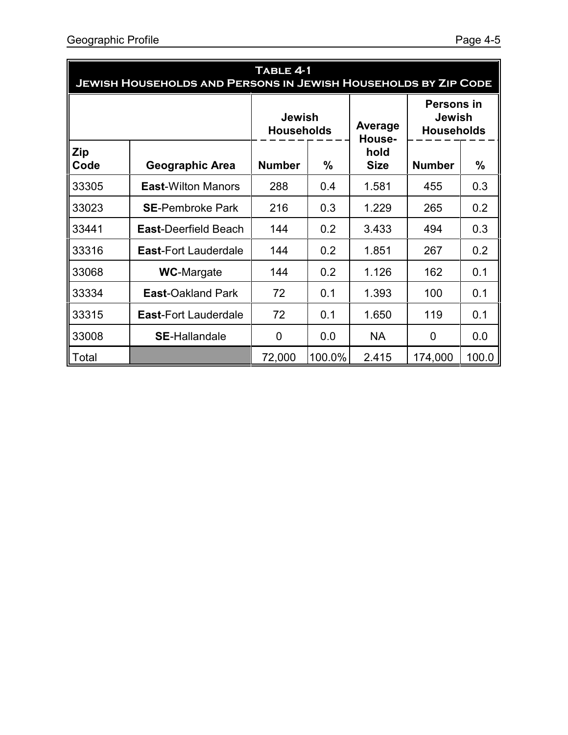| TABLE 4-1<br><b>JEWISH HOUSEHOLDS AND PERSONS IN JEWISH HOUSEHOLDS BY ZIP CODE</b> |                             |                                    |               |                     |                                                  |       |  |
|------------------------------------------------------------------------------------|-----------------------------|------------------------------------|---------------|---------------------|--------------------------------------------------|-------|--|
|                                                                                    |                             | <b>Jewish</b><br><b>Households</b> |               | Average<br>House-   | <b>Persons in</b><br>Jewish<br><b>Households</b> |       |  |
| <b>Zip</b><br>Code                                                                 | Geographic Area             | <b>Number</b>                      | $\frac{0}{0}$ | hold<br><b>Size</b> | <b>Number</b>                                    | %     |  |
| 33305                                                                              | <b>East-Wilton Manors</b>   | 288                                | 0.4           | 1.581               | 455                                              | 0.3   |  |
| 33023                                                                              | <b>SE-Pembroke Park</b>     | 216                                | 0.3           | 1.229               | 265                                              | 0.2   |  |
| 33441                                                                              | <b>East-Deerfield Beach</b> | 144                                | 0.2           | 3.433               | 494                                              | 0.3   |  |
| 33316                                                                              | <b>East-Fort Lauderdale</b> | 144                                | 0.2           | 1.851               | 267                                              | 0.2   |  |
| 33068                                                                              | <b>WC-Margate</b>           | 144                                | 0.2           | 1.126               | 162                                              | 0.1   |  |
| 33334                                                                              | <b>East-Oakland Park</b>    | 72                                 | 0.1           | 1.393               | 100                                              | 0.1   |  |
| 33315                                                                              | <b>East-Fort Lauderdale</b> | 72                                 | 0.1           | 1.650               | 119                                              | 0.1   |  |
| 33008                                                                              | <b>SE-Hallandale</b>        | 0                                  | 0.0           | <b>NA</b>           | 0                                                | 0.0   |  |
| Total                                                                              |                             | 72,000                             | 100.0%        | 2.415               | 174,000                                          | 100.0 |  |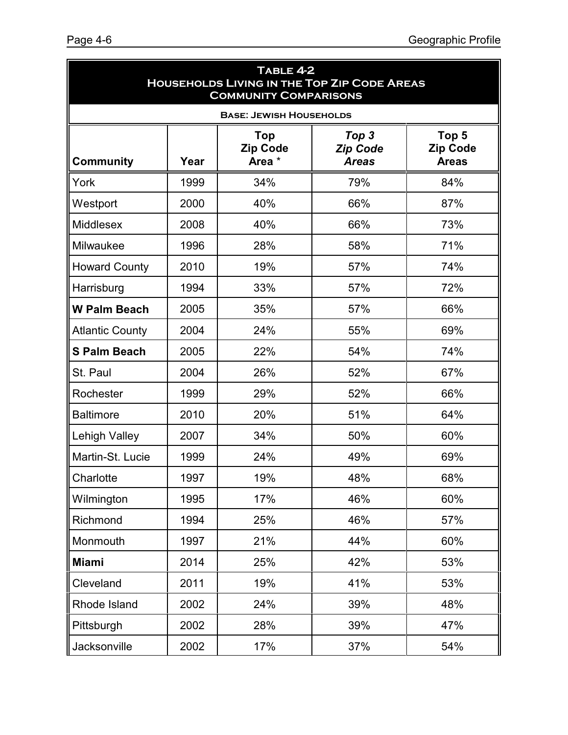| TABLE 4-2<br><b>HOUSEHOLDS LIVING IN THE TOP ZIP CODE AREAS</b><br><b>COMMUNITY COMPARISONS</b> |      |                                         |                                          |                                          |
|-------------------------------------------------------------------------------------------------|------|-----------------------------------------|------------------------------------------|------------------------------------------|
|                                                                                                 |      | <b>BASE: JEWISH HOUSEHOLDS</b>          |                                          |                                          |
| <b>Community</b>                                                                                | Year | <b>Top</b><br><b>Zip Code</b><br>Area * | Top 3<br><b>Zip Code</b><br><b>Areas</b> | Top 5<br><b>Zip Code</b><br><b>Areas</b> |
| York                                                                                            | 1999 | 34%                                     | 79%                                      | 84%                                      |
| Westport                                                                                        | 2000 | 40%                                     | 66%                                      | 87%                                      |
| Middlesex                                                                                       | 2008 | 40%                                     | 66%                                      | 73%                                      |
| Milwaukee                                                                                       | 1996 | 28%                                     | 58%                                      | 71%                                      |
| <b>Howard County</b>                                                                            | 2010 | 19%                                     | 57%                                      | 74%                                      |
| Harrisburg                                                                                      | 1994 | 33%                                     | 57%                                      | 72%                                      |
| <b>W Palm Beach</b>                                                                             | 2005 | 35%                                     | 57%                                      | 66%                                      |
| <b>Atlantic County</b>                                                                          | 2004 | 24%                                     | 55%                                      | 69%                                      |
| <b>S Palm Beach</b>                                                                             | 2005 | 22%                                     | 54%                                      | 74%                                      |
| St. Paul                                                                                        | 2004 | 26%                                     | 52%                                      | 67%                                      |
| Rochester                                                                                       | 1999 | 29%                                     | 52%                                      | 66%                                      |
| <b>Baltimore</b>                                                                                | 2010 | 20%                                     | 51%                                      | 64%                                      |
| <b>Lehigh Valley</b>                                                                            | 2007 | 34%                                     | 50%                                      | 60%                                      |
| Martin-St. Lucie                                                                                | 1999 | 24%                                     | 49%                                      | 69%                                      |
| Charlotte                                                                                       | 1997 | 19%                                     | 48%                                      | 68%                                      |
| Wilmington                                                                                      | 1995 | 17%                                     | 46%                                      | 60%                                      |
| Richmond                                                                                        | 1994 | 25%                                     | 46%                                      | 57%                                      |
| Monmouth                                                                                        | 1997 | 21%                                     | 44%                                      | 60%                                      |
| <b>Miami</b>                                                                                    | 2014 | 25%                                     | 42%                                      | 53%                                      |
| Cleveland                                                                                       | 2011 | 19%                                     | 41%                                      | 53%                                      |
| Rhode Island                                                                                    | 2002 | 24%                                     | 39%                                      | 48%                                      |
| Pittsburgh                                                                                      | 2002 | 28%                                     | 39%                                      | 47%                                      |
| Jacksonville                                                                                    | 2002 | 17%                                     | 37%                                      | 54%                                      |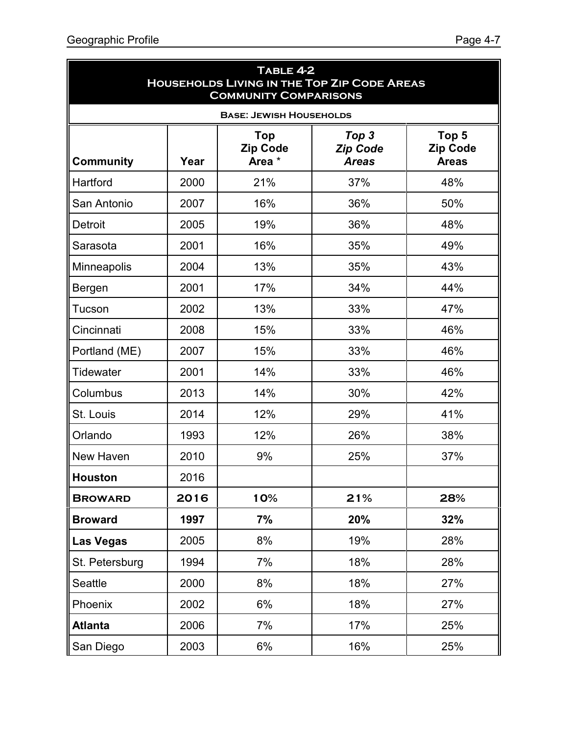| TABLE 4-2<br><b>HOUSEHOLDS LIVING IN THE TOP ZIP CODE AREAS</b><br><b>COMMUNITY COMPARISONS</b> |      |                                         |                                          |                                          |
|-------------------------------------------------------------------------------------------------|------|-----------------------------------------|------------------------------------------|------------------------------------------|
|                                                                                                 |      | <b>BASE: JEWISH HOUSEHOLDS</b>          |                                          |                                          |
| <b>Community</b>                                                                                | Year | <b>Top</b><br><b>Zip Code</b><br>Area * | Top 3<br><b>Zip Code</b><br><b>Areas</b> | Top 5<br><b>Zip Code</b><br><b>Areas</b> |
| Hartford                                                                                        | 2000 | 21%                                     | 37%                                      | 48%                                      |
| San Antonio                                                                                     | 2007 | 16%                                     | 36%                                      | 50%                                      |
| <b>Detroit</b>                                                                                  | 2005 | 19%                                     | 36%                                      | 48%                                      |
| Sarasota                                                                                        | 2001 | 16%                                     | 35%                                      | 49%                                      |
| Minneapolis                                                                                     | 2004 | 13%                                     | 35%                                      | 43%                                      |
| Bergen                                                                                          | 2001 | 17%                                     | 34%                                      | 44%                                      |
| Tucson                                                                                          | 2002 | 13%                                     | 33%                                      | 47%                                      |
| Cincinnati                                                                                      | 2008 | 15%                                     | 33%                                      | 46%                                      |
| Portland (ME)                                                                                   | 2007 | 15%                                     | 33%                                      | 46%                                      |
| <b>Tidewater</b>                                                                                | 2001 | 14%                                     | 33%                                      | 46%                                      |
| Columbus                                                                                        | 2013 | 14%                                     | 30%                                      | 42%                                      |
| St. Louis                                                                                       | 2014 | 12%                                     | 29%                                      | 41%                                      |
| Orlando                                                                                         | 1993 | 12%                                     | 26%                                      | 38%                                      |
| <b>New Haven</b>                                                                                | 2010 | 9%                                      | 25%                                      | 37%                                      |
| <b>Houston</b>                                                                                  | 2016 |                                         |                                          |                                          |
| <b>BROWARD</b>                                                                                  | 2016 | 10%                                     | 21%                                      | 28%                                      |
| <b>Broward</b>                                                                                  | 1997 | 7%                                      | 20%                                      | 32%                                      |
| <b>Las Vegas</b>                                                                                | 2005 | 8%                                      | 19%                                      | 28%                                      |
| St. Petersburg                                                                                  | 1994 | 7%                                      | 18%                                      | 28%                                      |
| Seattle                                                                                         | 2000 | 8%                                      | 18%                                      | 27%                                      |
| Phoenix                                                                                         | 2002 | 6%                                      | 18%                                      | 27%                                      |
| <b>Atlanta</b>                                                                                  | 2006 | 7%                                      | 17%                                      | 25%                                      |
| San Diego                                                                                       | 2003 | 6%                                      | 16%                                      | 25%                                      |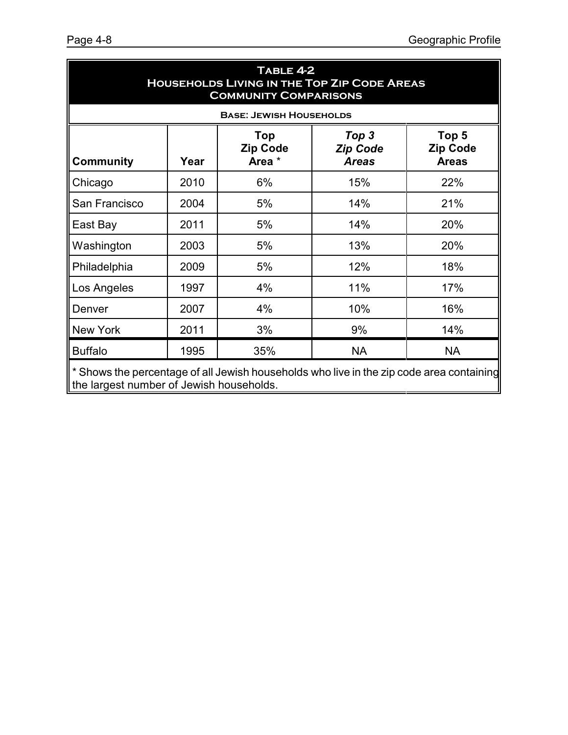| TABLE 4-2<br><b>HOUSEHOLDS LIVING IN THE TOP ZIP CODE AREAS</b><br><b>COMMUNITY COMPARISONS</b> |                                                                                          |                                  |                                          |                                          |  |
|-------------------------------------------------------------------------------------------------|------------------------------------------------------------------------------------------|----------------------------------|------------------------------------------|------------------------------------------|--|
|                                                                                                 |                                                                                          | <b>BASE: JEWISH HOUSEHOLDS</b>   |                                          |                                          |  |
| <b>Community</b>                                                                                | Year                                                                                     | Top<br><b>Zip Code</b><br>Area * | Top 3<br><b>Zip Code</b><br><b>Areas</b> | Top 5<br><b>Zip Code</b><br><b>Areas</b> |  |
| Chicago                                                                                         | 2010                                                                                     | 6%                               | 15%                                      | 22%                                      |  |
| San Francisco                                                                                   | 2004                                                                                     | 5%                               | 14%                                      | 21%                                      |  |
| East Bay                                                                                        | 2011                                                                                     | 5%                               | 14%                                      | 20%                                      |  |
| Washington                                                                                      | 2003                                                                                     | 5%                               | 13%                                      | 20%                                      |  |
| Philadelphia                                                                                    | 2009                                                                                     | 5%                               | 12%                                      | 18%                                      |  |
| Los Angeles                                                                                     | 1997                                                                                     | 4%                               | 11%                                      | 17%                                      |  |
| Denver                                                                                          | 2007                                                                                     | 4%                               | 10%                                      | 16%                                      |  |
| <b>New York</b>                                                                                 | 2011                                                                                     | 3%                               | 9%                                       | 14%                                      |  |
| <b>Buffalo</b>                                                                                  | 1995                                                                                     | 35%                              | <b>NA</b>                                | <b>NA</b>                                |  |
|                                                                                                 | * Shows the percentage of all Jewish households who live in the zip code area containing |                                  |                                          |                                          |  |

the largest number of Jewish households.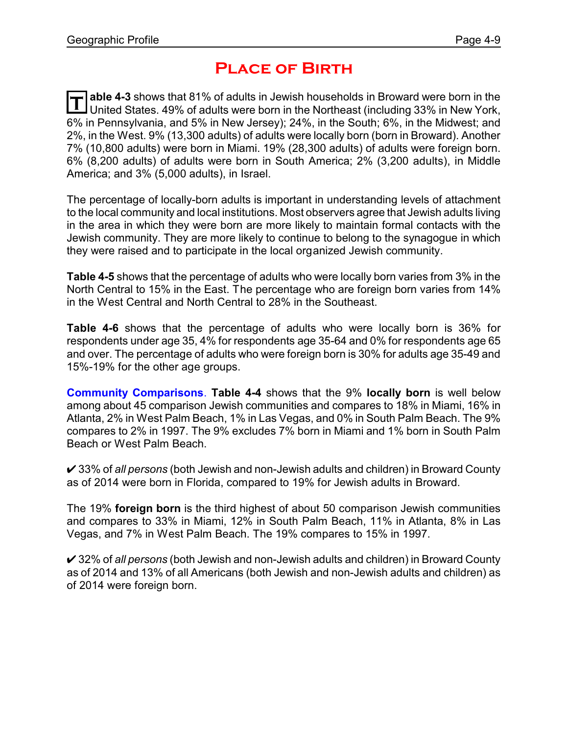### **Place of Birth**

T able 4-3 shows that 81% of adults in Jewish households in Broward were born in the<br>United States. 49% of adults were born in the Northeast (including 33% in New York, **able 4-3** shows that 81% of adults in Jewish households in Broward were born in the 6% in Pennsylvania, and 5% in New Jersey); 24%, in the South; 6%, in the Midwest; and 2%, in the West. 9% (13,300 adults) of adults were locally born (born in Broward). Another 7% (10,800 adults) were born in Miami. 19% (28,300 adults) of adults were foreign born. 6% (8,200 adults) of adults were born in South America; 2% (3,200 adults), in Middle America; and 3% (5,000 adults), in Israel.

The percentage of locally-born adults is important in understanding levels of attachment to the local community and local institutions. Most observers agree that Jewish adults living in the area in which they were born are more likely to maintain formal contacts with the Jewish community. They are more likely to continue to belong to the synagogue in which they were raised and to participate in the local organized Jewish community.

**Table 4-5** shows that the percentage of adults who were locally born varies from 3% in the North Central to 15% in the East. The percentage who are foreign born varies from 14% in the West Central and North Central to 28% in the Southeast.

**Table 4-6** shows that the percentage of adults who were locally born is 36% for respondents under age 35, 4% for respondents age 35-64 and 0% for respondents age 65 and over. The percentage of adults who were foreign born is 30% for adults age 35-49 and 15%-19% for the other age groups.

**Community Comparisons**. **Table 4-4** shows that the 9% **locally born** is well below among about 45 comparison Jewish communities and compares to 18% in Miami, 16% in Atlanta, 2% in West Palm Beach, 1% in Las Vegas, and 0% in South Palm Beach. The 9% compares to 2% in 1997. The 9% excludes 7% born in Miami and 1% born in South Palm Beach or West Palm Beach.

U 33% of *all persons* (both Jewish and non-Jewish adults and children) in Broward County as of 2014 were born in Florida, compared to 19% for Jewish adults in Broward.

The 19% **foreign born** is the third highest of about 50 comparison Jewish communities and compares to 33% in Miami, 12% in South Palm Beach, 11% in Atlanta, 8% in Las Vegas, and 7% in West Palm Beach. The 19% compares to 15% in 1997.

U 32% of *all persons* (both Jewish and non-Jewish adults and children) in Broward County as of 2014 and 13% of all Americans (both Jewish and non-Jewish adults and children) as of 2014 were foreign born.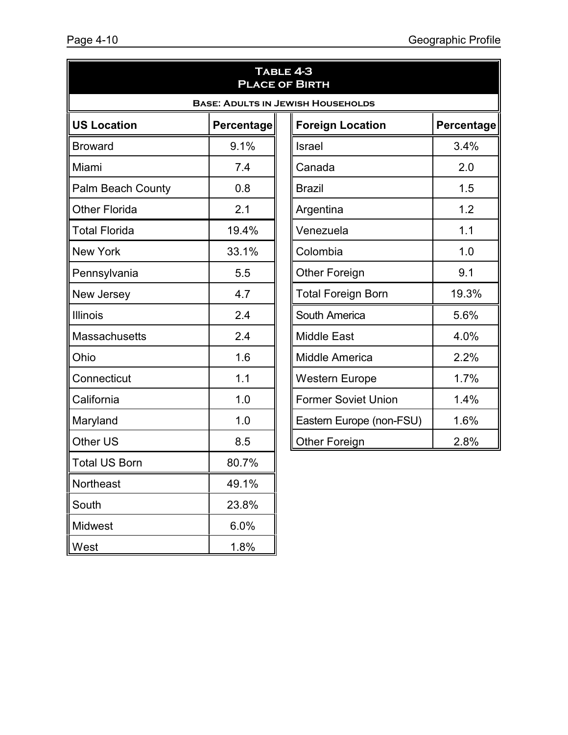| TABLE 4-3<br><b>PLACE OF BIRTH</b>       |                   |                            |                   |  |  |
|------------------------------------------|-------------------|----------------------------|-------------------|--|--|
| <b>BASE: ADULTS IN JEWISH HOUSEHOLDS</b> |                   |                            |                   |  |  |
| <b>US Location</b>                       | <b>Percentage</b> | <b>Foreign Location</b>    | <b>Percentage</b> |  |  |
| <b>Broward</b>                           | 9.1%              | Israel                     | 3.4%              |  |  |
| Miami                                    | 7.4               | Canada                     | 2.0               |  |  |
| Palm Beach County                        | 0.8               | <b>Brazil</b>              | 1.5               |  |  |
| <b>Other Florida</b>                     | 2.1               | Argentina                  | 1.2               |  |  |
| <b>Total Florida</b>                     | 19.4%             | Venezuela                  | 1.1               |  |  |
| <b>New York</b>                          | 33.1%             | Colombia                   | 1.0               |  |  |
| Pennsylvania                             | 5.5               | <b>Other Foreign</b>       | 9.1               |  |  |
| New Jersey                               | 4.7               | <b>Total Foreign Born</b>  | 19.3%             |  |  |
| <b>Illinois</b>                          | 2.4               | South America              | 5.6%              |  |  |
| <b>Massachusetts</b>                     | 2.4               | <b>Middle East</b>         | 4.0%              |  |  |
| Ohio                                     | 1.6               | Middle America             | 2.2%              |  |  |
| Connecticut                              | 1.1               | Western Europe             | 1.7%              |  |  |
| California                               | 1.0               | <b>Former Soviet Union</b> | 1.4%              |  |  |
| Maryland                                 | 1.0               | Eastern Europe (non-FSU)   | 1.6%              |  |  |
| Other US                                 | 8.5               | <b>Other Foreign</b>       | 2.8%              |  |  |
| <b>Total US Born</b>                     | 80.7%             |                            |                   |  |  |
| Northeast                                | 49.1%             |                            |                   |  |  |
| South                                    | 23.8%             |                            |                   |  |  |
| Midwest                                  | 6.0%              |                            |                   |  |  |
| West                                     | 1.8%              |                            |                   |  |  |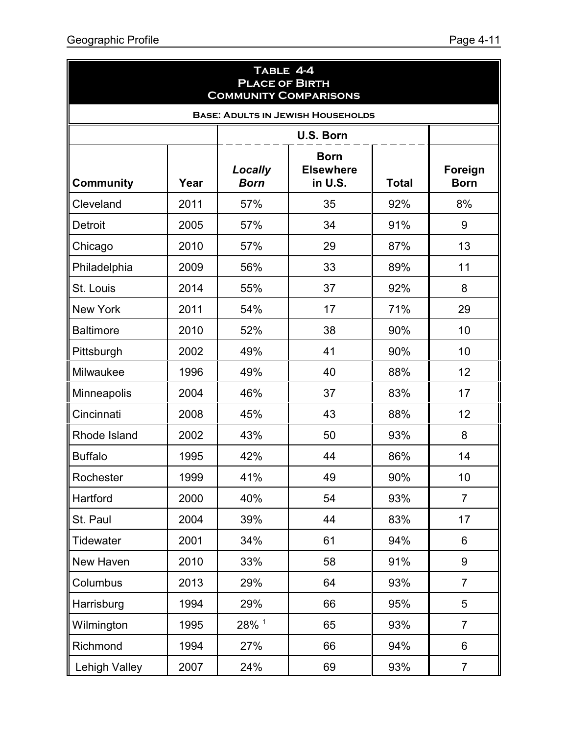| TABLE 4-4<br><b>PLACE OF BIRTH</b><br><b>COMMUNITY COMPARISONS</b> |                  |                        |                                            |              |                        |  |  |
|--------------------------------------------------------------------|------------------|------------------------|--------------------------------------------|--------------|------------------------|--|--|
|                                                                    |                  |                        | <b>BASE: ADULTS IN JEWISH HOUSEHOLDS</b>   |              |                        |  |  |
|                                                                    | <b>U.S. Born</b> |                        |                                            |              |                        |  |  |
| <b>Community</b>                                                   | Year             | Locally<br><b>Born</b> | <b>Born</b><br><b>Elsewhere</b><br>in U.S. | <b>Total</b> | Foreign<br><b>Born</b> |  |  |
| Cleveland                                                          | 2011             | 57%                    | 35                                         | 92%          | 8%                     |  |  |
| <b>Detroit</b>                                                     | 2005             | 57%                    | 34                                         | 91%          | 9                      |  |  |
| Chicago                                                            | 2010             | 57%                    | 29                                         | 87%          | 13                     |  |  |
| Philadelphia                                                       | 2009             | 56%                    | 33                                         | 89%          | 11                     |  |  |
| St. Louis                                                          | 2014             | 55%                    | 37                                         | 92%          | 8                      |  |  |
| <b>New York</b>                                                    | 2011             | 54%                    | 17                                         | 71%          | 29                     |  |  |
| <b>Baltimore</b>                                                   | 2010             | 52%                    | 38                                         | 90%          | 10                     |  |  |
| Pittsburgh                                                         | 2002             | 49%                    | 41                                         | 90%          | 10                     |  |  |
| Milwaukee                                                          | 1996             | 49%                    | 40                                         | 88%          | 12                     |  |  |
| Minneapolis                                                        | 2004             | 46%                    | 37                                         | 83%          | 17                     |  |  |
| Cincinnati                                                         | 2008             | 45%                    | 43                                         | 88%          | 12                     |  |  |
| Rhode Island                                                       | 2002             | 43%                    | 50                                         | 93%          | 8                      |  |  |
| <b>Buffalo</b>                                                     | 1995             | 42%                    | 44                                         | 86%          | 14                     |  |  |
| Rochester                                                          | 1999             | 41%                    | 49                                         | 90%          | 10                     |  |  |
| Hartford                                                           | 2000             | 40%                    | 54                                         | 93%          | $\overline{7}$         |  |  |
| St. Paul                                                           | 2004             | 39%                    | 44                                         | 83%          | 17                     |  |  |
| <b>Tidewater</b>                                                   | 2001             | 34%                    | 61                                         | 94%          | 6                      |  |  |
| New Haven                                                          | 2010             | 33%                    | 58                                         | 91%          | 9                      |  |  |
| Columbus                                                           | 2013             | 29%                    | 64                                         | 93%          | $\overline{7}$         |  |  |
| Harrisburg                                                         | 1994             | 29%                    | 66                                         | 95%          | 5                      |  |  |
| Wilmington                                                         | 1995             | 28% 1                  | 65                                         | 93%          | $\overline{7}$         |  |  |
| Richmond                                                           | 1994             | 27%                    | 66                                         | 94%          | 6                      |  |  |
| <b>Lehigh Valley</b>                                               | 2007             | 24%                    | 69                                         | 93%          | $\overline{7}$         |  |  |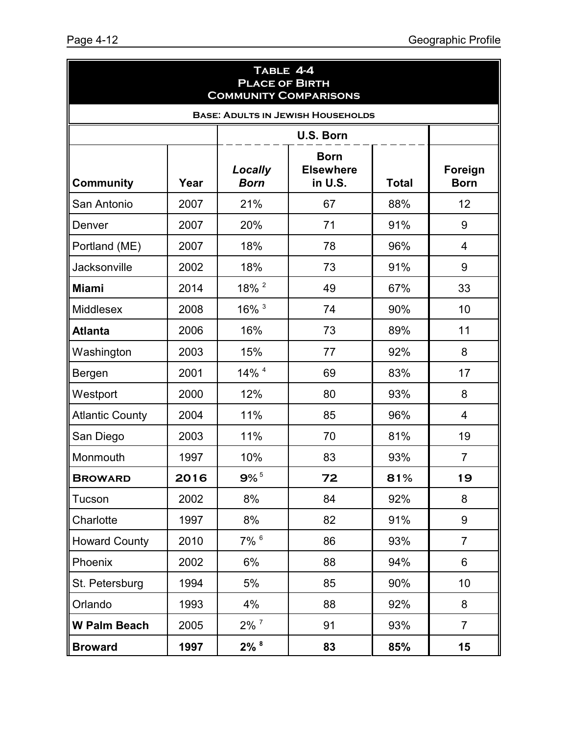| TABLE 4-4<br><b>PLACE OF BIRTH</b><br><b>COMMUNITY COMPARISONS</b> |                  |                        |                                            |              |                        |  |
|--------------------------------------------------------------------|------------------|------------------------|--------------------------------------------|--------------|------------------------|--|
| <b>BASE: ADULTS IN JEWISH HOUSEHOLDS</b>                           |                  |                        |                                            |              |                        |  |
|                                                                    | <b>U.S. Born</b> |                        |                                            |              |                        |  |
| <b>Community</b>                                                   | Year             | Locally<br><b>Born</b> | <b>Born</b><br><b>Elsewhere</b><br>in U.S. | <b>Total</b> | Foreign<br><b>Born</b> |  |
| San Antonio                                                        | 2007             | 21%                    | 67                                         | 88%          | 12                     |  |
| Denver                                                             | 2007             | 20%                    | 71                                         | 91%          | 9                      |  |
| Portland (ME)                                                      | 2007             | 18%                    | 78                                         | 96%          | $\overline{4}$         |  |
| <b>Jacksonville</b>                                                | 2002             | 18%                    | 73                                         | 91%          | 9                      |  |
| <b>Miami</b>                                                       | 2014             | 18% <sup>2</sup>       | 49                                         | 67%          | 33                     |  |
| <b>Middlesex</b>                                                   | 2008             | $16\%$ <sup>3</sup>    | 74                                         | 90%          | 10                     |  |
| <b>Atlanta</b>                                                     | 2006             | 16%                    | 73                                         | 89%          | 11                     |  |
| Washington                                                         | 2003             | 15%                    | 77                                         | 92%          | 8                      |  |
| Bergen                                                             | 2001             | 14% 4                  | 69                                         | 83%          | 17                     |  |
| Westport                                                           | 2000             | 12%                    | 80                                         | 93%          | 8                      |  |
| <b>Atlantic County</b>                                             | 2004             | 11%                    | 85                                         | 96%          | 4                      |  |
| San Diego                                                          | 2003             | 11%                    | 70                                         | 81%          | 19                     |  |
| Monmouth                                                           | 1997             | 10%                    | 83                                         | 93%          | $\overline{7}$         |  |
| <b>BROWARD</b>                                                     | 2016             | $9\%$ <sup>5</sup>     | 72                                         | 81%          | 19                     |  |
| Tucson                                                             | 2002             | 8%                     | 84                                         | 92%          | 8                      |  |
| Charlotte                                                          | 1997             | 8%                     | 82                                         | 91%          | 9                      |  |
| <b>Howard County</b>                                               | 2010             | $7\%$ $6$              | 86                                         | 93%          | $\overline{7}$         |  |
| Phoenix                                                            | 2002             | 6%                     | 88                                         | 94%          | 6                      |  |
| St. Petersburg                                                     | 1994             | 5%                     | 85                                         | 90%          | 10                     |  |
| Orlando                                                            | 1993             | 4%                     | 88                                         | 92%          | 8                      |  |
| <b>W Palm Beach</b>                                                | 2005             | $2\%$ $^7$             | 91                                         | 93%          | $\overline{7}$         |  |
| <b>Broward</b>                                                     | 1997             | $2\%$ $8$              | 83                                         | 85%          | 15                     |  |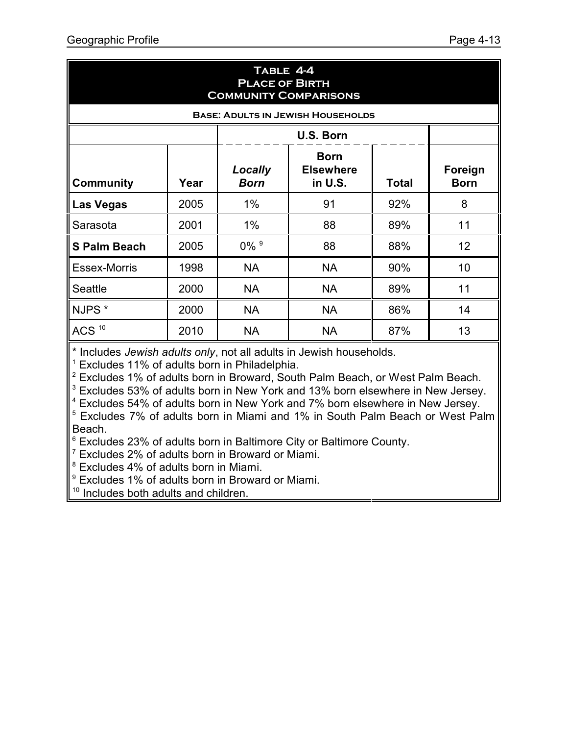| TABLE 4-4<br><b>PLACE OF BIRTH</b><br><b>COMMUNITY COMPARISONS</b> |           |                                                                                      |                                          |     |    |  |
|--------------------------------------------------------------------|-----------|--------------------------------------------------------------------------------------|------------------------------------------|-----|----|--|
|                                                                    |           |                                                                                      | <b>BASE: ADULTS IN JEWISH HOUSEHOLDS</b> |     |    |  |
|                                                                    | U.S. Born |                                                                                      |                                          |     |    |  |
| <b>Community</b>                                                   | Year      | <b>Born</b><br><b>Elsewhere</b><br>Locally<br>in U.S.<br><b>Total</b><br><b>Born</b> |                                          |     |    |  |
| Las Vegas                                                          | 2005      | $1\%$                                                                                | 91                                       | 92% | 8  |  |
| Sarasota                                                           | 2001      | 1%                                                                                   | 88                                       | 89% | 11 |  |
| <b>S Palm Beach</b>                                                | 2005      | $0\%$ <sup>9</sup>                                                                   | 88                                       | 88% | 12 |  |
| <b>Essex-Morris</b>                                                | 1998      | <b>NA</b>                                                                            | <b>NA</b>                                | 90% | 10 |  |
| <b>Seattle</b>                                                     | 2000      | <b>NA</b>                                                                            | <b>NA</b>                                | 89% | 11 |  |
| NJPS <sup>*</sup>                                                  | 2000      | <b>NA</b>                                                                            | <b>NA</b>                                | 86% | 14 |  |
| ACS <sup>10</sup>                                                  | 2010      | <b>NA</b>                                                                            | <b>NA</b>                                | 87% | 13 |  |

\* Includes *Jewish adults only*, not all adults in Jewish households.

<sup>1</sup> Excludes 11% of adults born in Philadelphia.

 $2$  Excludes 1% of adults born in Broward, South Palm Beach, or West Palm Beach.

 $3$  Excludes 53% of adults born in New York and 13% born elsewhere in New Jersey.

4 Excludes 54% of adults born in New York and 7% born elsewhere in New Jersey.

<sup>5</sup> Excludes 7% of adults born in Miami and 1% in South Palm Beach or West Palm Beach.

 $6$  Excludes 23% of adults born in Baltimore City or Baltimore County.

7 Excludes 2% of adults born in Broward or Miami.

8 Excludes 4% of adults born in Miami.

9 Excludes 1% of adults born in Broward or Miami.

<sup>10</sup> Includes both adults and children.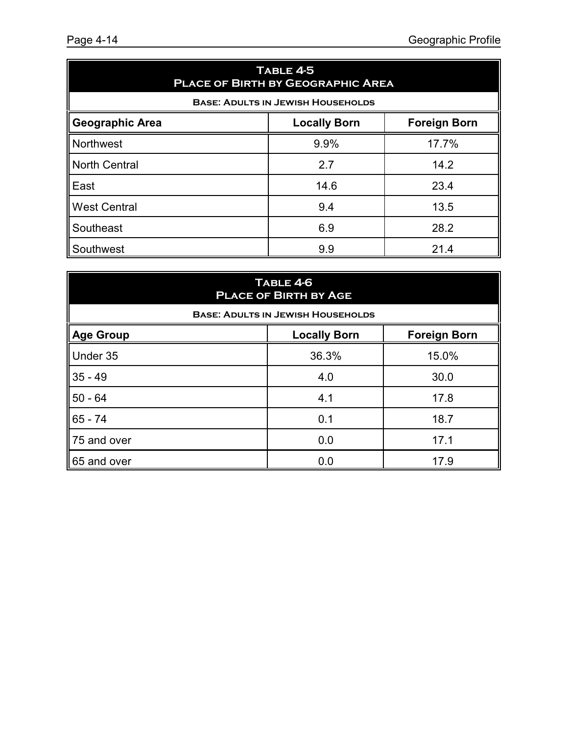| TABLE 4-5<br><b>PLACE OF BIRTH BY GEOGRAPHIC AREA</b>                |      |       |  |  |  |  |
|----------------------------------------------------------------------|------|-------|--|--|--|--|
| <b>BASE: ADULTS IN JEWISH HOUSEHOLDS</b>                             |      |       |  |  |  |  |
| <b>Geographic Area</b><br><b>Foreign Born</b><br><b>Locally Born</b> |      |       |  |  |  |  |
| <b>Northwest</b>                                                     | 9.9% | 17.7% |  |  |  |  |
| <b>North Central</b>                                                 | 2.7  | 14.2  |  |  |  |  |
| East                                                                 | 14.6 | 23.4  |  |  |  |  |
| <b>West Central</b>                                                  | 9.4  | 13.5  |  |  |  |  |
| Southeast                                                            | 6.9  | 28.2  |  |  |  |  |
| Southwest                                                            | 9.9  | 21.4  |  |  |  |  |

| TABLE 4-6<br><b>PLACE OF BIRTH BY AGE</b>                      |                                          |       |  |  |  |  |  |
|----------------------------------------------------------------|------------------------------------------|-------|--|--|--|--|--|
|                                                                | <b>BASE: ADULTS IN JEWISH HOUSEHOLDS</b> |       |  |  |  |  |  |
| <b>Locally Born</b><br><b>Foreign Born</b><br><b>Age Group</b> |                                          |       |  |  |  |  |  |
| Under 35                                                       | 36.3%                                    | 15.0% |  |  |  |  |  |
| $35 - 49$                                                      | 4.0                                      | 30.0  |  |  |  |  |  |
| $50 - 64$                                                      | 4.1                                      | 17.8  |  |  |  |  |  |
| $65 - 74$                                                      | 0.1                                      | 18.7  |  |  |  |  |  |
| 75 and over                                                    | 0.0                                      | 17.1  |  |  |  |  |  |
| 65 and over                                                    | 0.0                                      | 17.9  |  |  |  |  |  |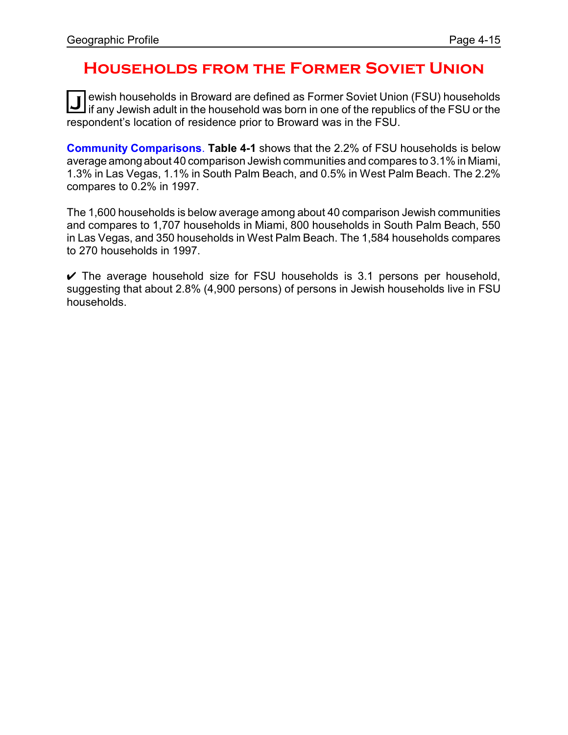### **Households from the Former Soviet Union**

**J** ewish households in Broward are defined as Former Soviet Union (FSU) households<br>if any Jewish adult in the household was born in one of the republics of the FSU or the ewish households in Broward are defined as Former Soviet Union (FSU) households respondent's location of residence prior to Broward was in the FSU.

**Community Comparisons**. **Table 4-1** shows that the 2.2% of FSU households is below average amongabout 40 comparison Jewish communities and compares to 3.1% in Miami, 1.3% in Las Vegas, 1.1% in South Palm Beach, and 0.5% in West Palm Beach. The 2.2% compares to 0.2% in 1997.

The 1,600 households is below average among about 40 comparison Jewish communities and compares to 1,707 households in Miami, 800 households in South Palm Beach, 550 in Las Vegas, and 350 households in West Palm Beach. The 1,584 households compares to 270 households in 1997.

 $\vee$  The average household size for FSU households is 3.1 persons per household, suggesting that about 2.8% (4,900 persons) of persons in Jewish households live in FSU households.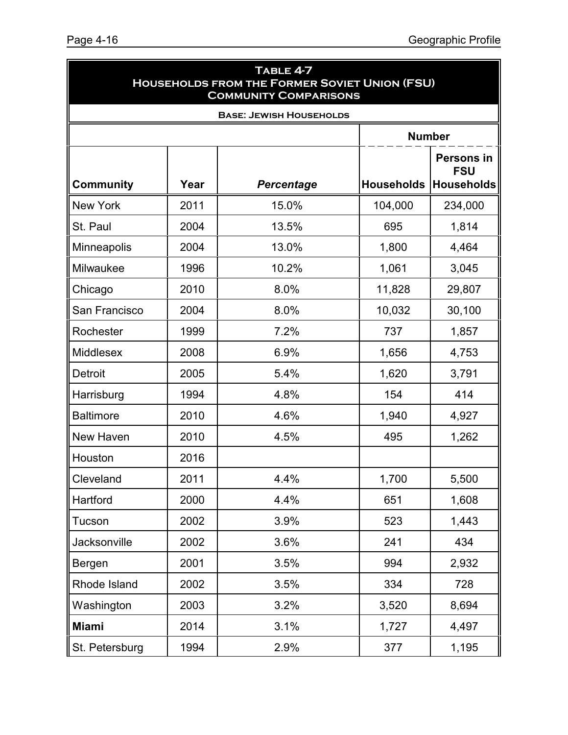| TABLE 4-7<br><b>HOUSEHOLDS FROM THE FORMER SOVIET UNION (FSU)</b><br><b>COMMUNITY COMPARISONS</b> |      |                                |                                                      |         |  |
|---------------------------------------------------------------------------------------------------|------|--------------------------------|------------------------------------------------------|---------|--|
|                                                                                                   |      | <b>BASE: JEWISH HOUSEHOLDS</b> |                                                      |         |  |
|                                                                                                   |      |                                | <b>Number</b>                                        |         |  |
| <b>Community</b>                                                                                  | Year | Percentage                     | <b>Persons in</b><br><b>FSU</b><br><b>Households</b> |         |  |
| <b>New York</b>                                                                                   | 2011 | 15.0%                          | 104,000                                              | 234,000 |  |
| St. Paul                                                                                          | 2004 | 13.5%                          | 695                                                  | 1,814   |  |
| Minneapolis                                                                                       | 2004 | 13.0%                          | 1,800                                                | 4,464   |  |
| Milwaukee                                                                                         | 1996 | 10.2%                          | 1,061                                                | 3,045   |  |
| Chicago                                                                                           | 2010 | 8.0%                           | 11,828                                               | 29,807  |  |
| San Francisco                                                                                     | 2004 | 8.0%                           | 10,032                                               | 30,100  |  |
| Rochester                                                                                         | 1999 | 7.2%                           | 737                                                  | 1,857   |  |
| Middlesex                                                                                         | 2008 | 6.9%                           | 1,656                                                | 4,753   |  |
| <b>Detroit</b>                                                                                    | 2005 | 5.4%                           | 1,620                                                | 3,791   |  |
| Harrisburg                                                                                        | 1994 | 4.8%                           | 154                                                  | 414     |  |
| <b>Baltimore</b>                                                                                  | 2010 | 4.6%                           | 1,940                                                | 4,927   |  |
| New Haven                                                                                         | 2010 | 4.5%                           | 495                                                  | 1,262   |  |
| Houston                                                                                           | 2016 |                                |                                                      |         |  |
| Cleveland                                                                                         | 2011 | 4.4%                           | 1,700                                                | 5,500   |  |
| Hartford                                                                                          | 2000 | 4.4%                           | 651                                                  | 1,608   |  |
| Tucson                                                                                            | 2002 | 3.9%                           | 523                                                  | 1,443   |  |
| Jacksonville                                                                                      | 2002 | 3.6%                           | 241                                                  | 434     |  |
| Bergen                                                                                            | 2001 | 3.5%                           | 994                                                  | 2,932   |  |
| Rhode Island                                                                                      | 2002 | 3.5%                           | 334                                                  | 728     |  |
| Washington                                                                                        | 2003 | 3.2%                           | 3,520                                                | 8,694   |  |
| <b>Miami</b>                                                                                      | 2014 | 3.1%                           | 1,727                                                | 4,497   |  |
| St. Petersburg                                                                                    | 1994 | 2.9%                           | 377                                                  | 1,195   |  |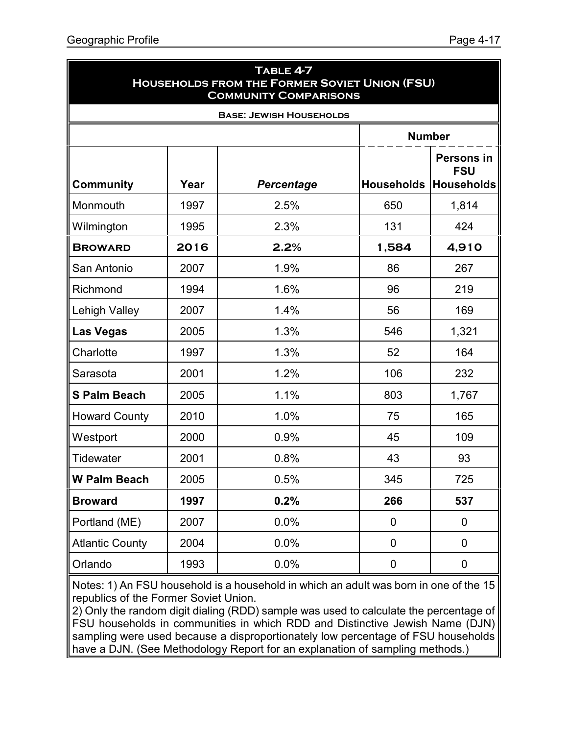| TABLE 4-7<br><b>HOUSEHOLDS FROM THE FORMER SOVIET UNION (FSU)</b><br><b>COMMUNITY COMPARISONS</b> |                                |            |                   |                                                      |  |  |  |  |
|---------------------------------------------------------------------------------------------------|--------------------------------|------------|-------------------|------------------------------------------------------|--|--|--|--|
|                                                                                                   | <b>BASE: JEWISH HOUSEHOLDS</b> |            |                   |                                                      |  |  |  |  |
|                                                                                                   |                                |            | <b>Number</b>     |                                                      |  |  |  |  |
| <b>Community</b>                                                                                  | Year                           | Percentage | <b>Households</b> | <b>Persons in</b><br><b>FSU</b><br><b>Households</b> |  |  |  |  |
| Monmouth                                                                                          | 1997                           | 2.5%       | 650               | 1,814                                                |  |  |  |  |
| Wilmington                                                                                        | 1995                           | 2.3%       | 131               | 424                                                  |  |  |  |  |
| <b>BROWARD</b>                                                                                    | 2016                           | 2.2%       | 1,584             | 4,910                                                |  |  |  |  |
| San Antonio                                                                                       | 2007                           | 1.9%       | 86                | 267                                                  |  |  |  |  |
| Richmond                                                                                          | 1994                           | 1.6%       | 96                | 219                                                  |  |  |  |  |
| <b>Lehigh Valley</b>                                                                              | 2007                           | 1.4%       | 56                | 169                                                  |  |  |  |  |
| <b>Las Vegas</b>                                                                                  | 2005                           | 1.3%       | 546               | 1,321                                                |  |  |  |  |
| Charlotte                                                                                         | 1997                           | 1.3%       | 52                | 164                                                  |  |  |  |  |
| Sarasota                                                                                          | 2001                           | 1.2%       | 106               | 232                                                  |  |  |  |  |
| <b>S Palm Beach</b>                                                                               | 2005                           | 1.1%       | 803               | 1,767                                                |  |  |  |  |
| <b>Howard County</b>                                                                              | 2010                           | 1.0%       | 75                | 165                                                  |  |  |  |  |
| Westport                                                                                          | 2000                           | 0.9%       | 45                | 109                                                  |  |  |  |  |
| <b>Tidewater</b>                                                                                  | 2001                           | 0.8%       | 43                | 93                                                   |  |  |  |  |
| <b>W Palm Beach</b>                                                                               | 2005                           | 0.5%       | 345               | 725                                                  |  |  |  |  |
| <b>Broward</b>                                                                                    | 1997                           | 0.2%       | 266               | 537                                                  |  |  |  |  |
| Portland (ME)                                                                                     | 2007                           | 0.0%       | 0                 | $\pmb{0}$                                            |  |  |  |  |
| <b>Atlantic County</b>                                                                            | 2004                           | 0.0%       | $\mathbf 0$       | 0                                                    |  |  |  |  |
| Orlando                                                                                           | 1993                           | 0.0%       | $\pmb{0}$         | 0                                                    |  |  |  |  |

Notes: 1) An FSU household is a household in which an adult was born in one of the 15 republics of the Former Soviet Union.

2) Only the random digit dialing (RDD) sample was used to calculate the percentage of FSU households in communities in which RDD and Distinctive Jewish Name (DJN) sampling were used because a disproportionately low percentage of FSU households have a DJN. (See Methodology Report for an explanation of sampling methods.)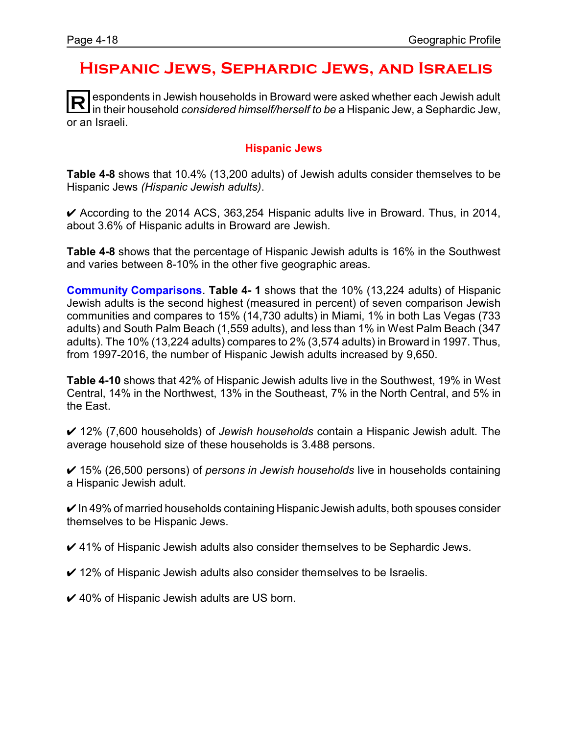### **Hispanic Jews, Sephardic Jews, and Israelis**

**R** espondents in Jewish households in Broward were asked whether each Jewish adult in their household *considered himself/herself to be* a Hispanic Jew, a Sephardic Jew, or an Israeli.

#### **Hispanic Jews**

**Table 4-8** shows that 10.4% (13,200 adults) of Jewish adults consider themselves to be Hispanic Jews *(Hispanic Jewish adults)*.

 $\triangleright$  According to the 2014 ACS, 363,254 Hispanic adults live in Broward. Thus, in 2014, about 3.6% of Hispanic adults in Broward are Jewish.

**Table 4-8** shows that the percentage of Hispanic Jewish adults is 16% in the Southwest and varies between 8-10% in the other five geographic areas.

**Community Comparisons**. **Table 4- 1** shows that the 10% (13,224 adults) of Hispanic Jewish adults is the second highest (measured in percent) of seven comparison Jewish communities and compares to 15% (14,730 adults) in Miami, 1% in both Las Vegas (733 adults) and South Palm Beach (1,559 adults), and less than 1% in West Palm Beach (347 adults). The 10% (13,224 adults) compares to 2% (3,574 adults) in Broward in 1997. Thus, from 1997-2016, the number of Hispanic Jewish adults increased by 9,650.

**Table 4-10** shows that 42% of Hispanic Jewish adults live in the Southwest, 19% in West Central, 14% in the Northwest, 13% in the Southeast, 7% in the North Central, and 5% in the East.

U 12% (7,600 households) of *Jewish households* contain a Hispanic Jewish adult. The average household size of these households is 3.488 persons.

U 15% (26,500 persons) of *persons in Jewish households* live in households containing a Hispanic Jewish adult.

 $\vee$  In 49% of married households containing Hispanic Jewish adults, both spouses consider themselves to be Hispanic Jews.

 $\vee$  41% of Hispanic Jewish adults also consider themselves to be Sephardic Jews.

 $\checkmark$  12% of Hispanic Jewish adults also consider themselves to be Israelis.

 $\checkmark$  40% of Hispanic Jewish adults are US born.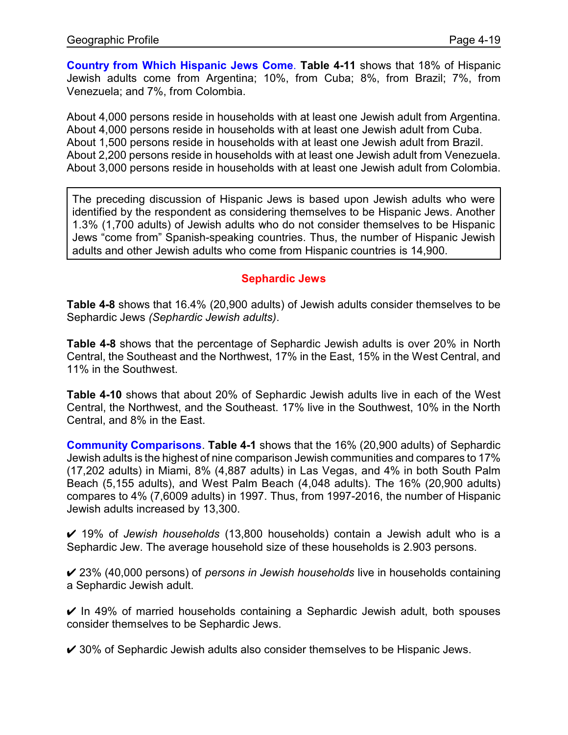**Country from Which Hispanic Jews Come**. **Table 4-11** shows that 18% of Hispanic Jewish adults come from Argentina; 10%, from Cuba; 8%, from Brazil; 7%, from Venezuela; and 7%, from Colombia.

About 4,000 persons reside in households with at least one Jewish adult from Argentina. About 4,000 persons reside in households with at least one Jewish adult from Cuba. About 1,500 persons reside in households with at least one Jewish adult from Brazil. About 2,200 persons reside in households with at least one Jewish adult from Venezuela. About 3,000 persons reside in households with at least one Jewish adult from Colombia.

The preceding discussion of Hispanic Jews is based upon Jewish adults who were identified by the respondent as considering themselves to be Hispanic Jews. Another 1.3% (1,700 adults) of Jewish adults who do not consider themselves to be Hispanic Jews "come from" Spanish-speaking countries. Thus, the number of Hispanic Jewish adults and other Jewish adults who come from Hispanic countries is 14,900.

#### **Sephardic Jews**

**Table 4-8** shows that 16.4% (20,900 adults) of Jewish adults consider themselves to be Sephardic Jews *(Sephardic Jewish adults)*.

**Table 4-8** shows that the percentage of Sephardic Jewish adults is over 20% in North Central, the Southeast and the Northwest, 17% in the East, 15% in the West Central, and 11% in the Southwest.

**Table 4-10** shows that about 20% of Sephardic Jewish adults live in each of the West Central, the Northwest, and the Southeast. 17% live in the Southwest, 10% in the North Central, and 8% in the East.

**Community Comparisons**. **Table 4-1** shows that the 16% (20,900 adults) of Sephardic Jewish adults is the highest of nine comparison Jewish communities and compares to 17% (17,202 adults) in Miami, 8% (4,887 adults) in Las Vegas, and 4% in both South Palm Beach (5,155 adults), and West Palm Beach (4,048 adults). The 16% (20,900 adults) compares to 4% (7,6009 adults) in 1997. Thus, from 1997-2016, the number of Hispanic Jewish adults increased by 13,300.

U 19% of *Jewish households* (13,800 households) contain a Jewish adult who is a Sephardic Jew. The average household size of these households is 2.903 persons.

U 23% (40,000 persons) of *persons in Jewish households* live in households containing a Sephardic Jewish adult.

 $\vee$  In 49% of married households containing a Sephardic Jewish adult, both spouses consider themselves to be Sephardic Jews.

 $\vee$  30% of Sephardic Jewish adults also consider themselves to be Hispanic Jews.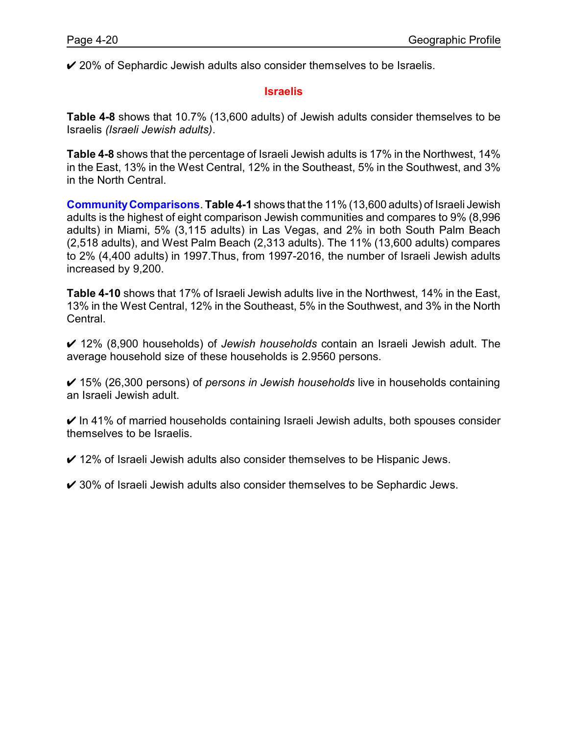$\checkmark$  20% of Sephardic Jewish adults also consider themselves to be Israelis.

#### **Israelis**

**Table 4-8** shows that 10.7% (13,600 adults) of Jewish adults consider themselves to be Israelis *(Israeli Jewish adults)*.

**Table 4-8** shows that the percentage of Israeli Jewish adults is 17% in the Northwest, 14% in the East, 13% in the West Central, 12% in the Southeast, 5% in the Southwest, and 3% in the North Central.

**CommunityComparisons**. **Table 4-1** shows that the 11% (13,600 adults) of Israeli Jewish adults is the highest of eight comparison Jewish communities and compares to 9% (8,996 adults) in Miami, 5% (3,115 adults) in Las Vegas, and 2% in both South Palm Beach (2,518 adults), and West Palm Beach (2,313 adults). The 11% (13,600 adults) compares to 2% (4,400 adults) in 1997.Thus, from 1997-2016, the number of Israeli Jewish adults increased by 9,200.

**Table 4-10** shows that 17% of Israeli Jewish adults live in the Northwest, 14% in the East, 13% in the West Central, 12% in the Southeast, 5% in the Southwest, and 3% in the North Central.

U 12% (8,900 households) of *Jewish households* contain an Israeli Jewish adult. The average household size of these households is 2.9560 persons.

U 15% (26,300 persons) of *persons in Jewish households* live in households containing an Israeli Jewish adult.

 $\vee$  In 41% of married households containing Israeli Jewish adults, both spouses consider themselves to be Israelis.

 $\checkmark$  12% of Israeli Jewish adults also consider themselves to be Hispanic Jews.

 $\checkmark$  30% of Israeli Jewish adults also consider themselves to be Sephardic Jews.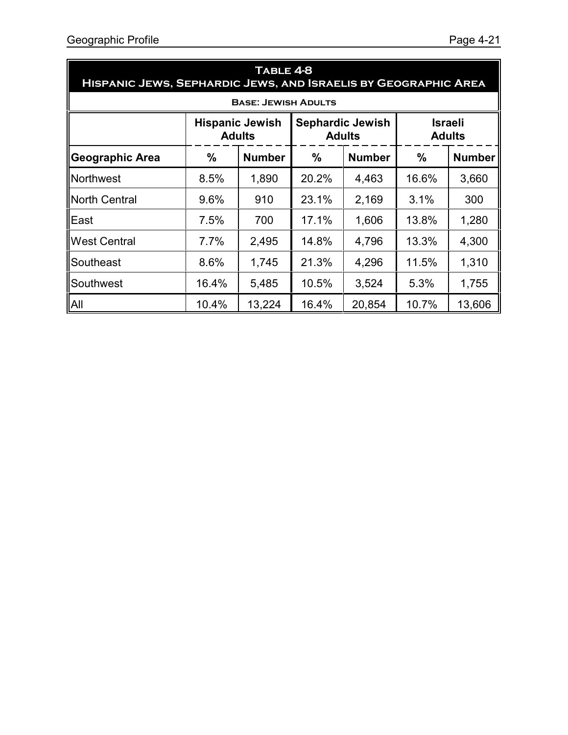| TABLE 4-8<br>HISPANIC JEWS, SEPHARDIC JEWS, AND ISRAELIS BY GEOGRAPHIC AREA                                            |       |                            |               |               |       |               |
|------------------------------------------------------------------------------------------------------------------------|-------|----------------------------|---------------|---------------|-------|---------------|
|                                                                                                                        |       | <b>BASE: JEWISH ADULTS</b> |               |               |       |               |
| <b>Israeli</b><br><b>Sephardic Jewish</b><br><b>Hispanic Jewish</b><br><b>Adults</b><br><b>Adults</b><br><b>Adults</b> |       |                            |               |               |       |               |
| <b>Geographic Area</b>                                                                                                 | %     | <b>Number</b>              | $\frac{0}{0}$ | <b>Number</b> | %     | <b>Number</b> |
| <b>Northwest</b>                                                                                                       | 8.5%  | 1,890                      | 20.2%         | 4,463         | 16.6% | 3,660         |
| <b>North Central</b>                                                                                                   | 9.6%  | 910                        | 23.1%         | 2,169         | 3.1%  | 300           |
| East                                                                                                                   | 7.5%  | 700                        | 17.1%         | 1,606         | 13.8% | 1,280         |
| <b>West Central</b>                                                                                                    | 7.7%  | 2,495                      | 14.8%         | 4,796         | 13.3% | 4,300         |
| Southeast                                                                                                              | 8.6%  | 1,745                      | 21.3%         | 4,296         | 11.5% | 1,310         |
| Southwest                                                                                                              | 16.4% | 5,485                      | 10.5%         | 3,524         | 5.3%  | 1,755         |
| All                                                                                                                    | 10.4% | 13,224                     | 16.4%         | 20,854        | 10.7% | 13,606        |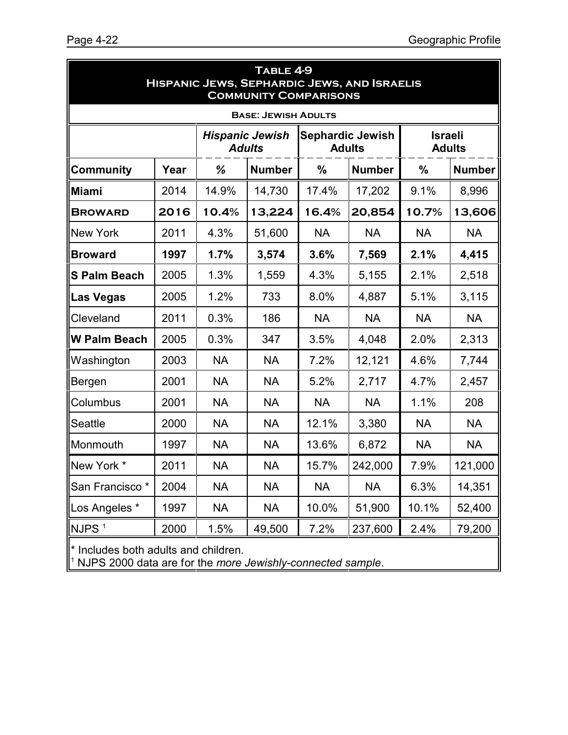| TABLE 4-9<br><b>HISPANIC JEWS, SEPHARDIC JEWS, AND ISRAELIS</b><br><b>COMMUNITY COMPARISONS</b>                        |      |           |                            |           |               |           |               |
|------------------------------------------------------------------------------------------------------------------------|------|-----------|----------------------------|-----------|---------------|-----------|---------------|
|                                                                                                                        |      |           | <b>BASE: JEWISH ADULTS</b> |           |               |           |               |
| <b>Israeli</b><br><b>Hispanic Jewish</b><br><b>Sephardic Jewish</b><br><b>Adults</b><br><b>Adults</b><br><b>Adults</b> |      |           |                            |           |               |           |               |
| <b>Community</b>                                                                                                       | Year | %         | <b>Number</b>              | $\%$      | <b>Number</b> | %         | <b>Number</b> |
| <b>Miami</b>                                                                                                           | 2014 | 14.9%     | 14,730                     | 17.4%     | 17,202        | 9.1%      | 8,996         |
| <b>BROWARD</b>                                                                                                         | 2016 | 10.4%     | 13,224                     | 16.4%     | 20,854        | 10.7%     | 13,606        |
| <b>New York</b>                                                                                                        | 2011 | 4.3%      | 51,600                     | <b>NA</b> | <b>NA</b>     | <b>NA</b> | <b>NA</b>     |
| <b>Broward</b>                                                                                                         | 1997 | 1.7%      | 3,574                      | 3.6%      | 7,569         | 2.1%      | 4,415         |
| <b>S Palm Beach</b>                                                                                                    | 2005 | 1.3%      | 1,559                      | 4.3%      | 5,155         | 2.1%      | 2,518         |
| Las Vegas                                                                                                              | 2005 | 1.2%      | 733                        | 8.0%      | 4,887         | 5.1%      | 3,115         |
| Cleveland                                                                                                              | 2011 | 0.3%      | 186                        | <b>NA</b> | <b>NA</b>     | <b>NA</b> | <b>NA</b>     |
| <b>W Palm Beach</b>                                                                                                    | 2005 | 0.3%      | 347                        | 3.5%      | 4,048         | 2.0%      | 2,313         |
| Washington                                                                                                             | 2003 | <b>NA</b> | <b>NA</b>                  | 7.2%      | 12,121        | 4.6%      | 7,744         |
| Bergen                                                                                                                 | 2001 | <b>NA</b> | <b>NA</b>                  | 5.2%      | 2,717         | 4.7%      | 2,457         |
| Columbus                                                                                                               | 2001 | <b>NA</b> | <b>NA</b>                  | <b>NA</b> | <b>NA</b>     | 1.1%      | 208           |
| Seattle                                                                                                                | 2000 | <b>NA</b> | <b>NA</b>                  | 12.1%     | 3,380         | <b>NA</b> | <b>NA</b>     |
| Monmouth                                                                                                               | 1997 | <b>NA</b> | <b>NA</b>                  | 13.6%     | 6,872         | <b>NA</b> | <b>NA</b>     |
| New York *                                                                                                             | 2011 | <b>NA</b> | <b>NA</b>                  | 15.7%     | 242,000       | 7.9%      | 121,000       |
| San Francisco <sup>*</sup>                                                                                             | 2004 | <b>NA</b> | <b>NA</b>                  | <b>NA</b> | <b>NA</b>     | 6.3%      | 14,351        |
| Los Angeles *                                                                                                          | 1997 | <b>NA</b> | <b>NA</b>                  | 10.0%     | 51,900        | 10.1%     | 52,400        |
| NJPS <sup>1</sup>                                                                                                      | 2000 | 1.5%      | 49,500                     | 7.2%      | 237,600       | 2.4%      | 79,200        |
| * Includes both adults and children.<br><sup>1</sup> NJPS 2000 data are for the more Jewishly-connected sample.        |      |           |                            |           |               |           |               |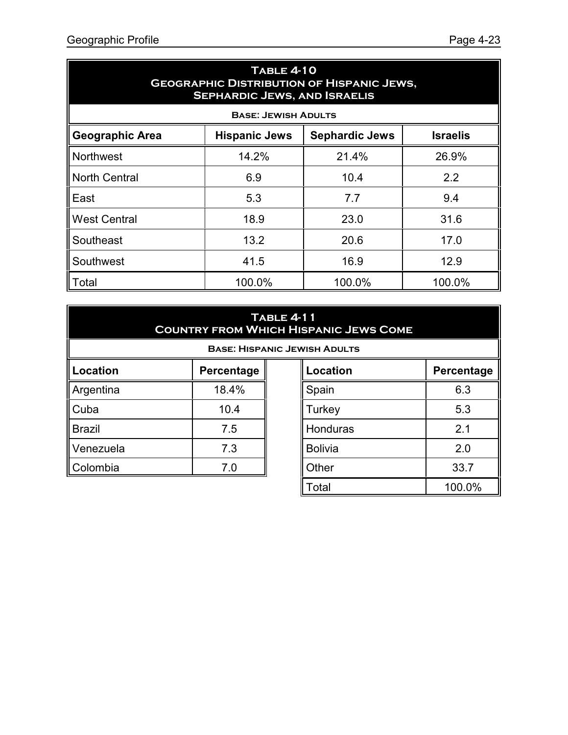| <b>TABLE 4-10</b><br><b>GEOGRAPHIC DISTRIBUTION OF HISPANIC JEWS,</b><br><b>SEPHARDIC JEWS, AND ISRAELIS</b> |                            |        |        |  |  |  |  |
|--------------------------------------------------------------------------------------------------------------|----------------------------|--------|--------|--|--|--|--|
|                                                                                                              | <b>BASE: JEWISH ADULTS</b> |        |        |  |  |  |  |
| <b>Sephardic Jews</b><br><b>Geographic Area</b><br><b>Israelis</b><br><b>Hispanic Jews</b>                   |                            |        |        |  |  |  |  |
| <b>Northwest</b>                                                                                             | 14.2%                      | 21.4%  | 26.9%  |  |  |  |  |
| <b>North Central</b>                                                                                         | 6.9                        | 10.4   | 2.2    |  |  |  |  |
| East                                                                                                         | 5.3                        | 7.7    | 9.4    |  |  |  |  |
| <b>West Central</b>                                                                                          | 18.9                       | 23.0   | 31.6   |  |  |  |  |
| Southeast                                                                                                    | 13.2                       | 20.6   | 17.0   |  |  |  |  |
| Southwest                                                                                                    | 41.5                       | 16.9   | 12.9   |  |  |  |  |
| Total                                                                                                        | 100.0%                     | 100.0% | 100.0% |  |  |  |  |

#### **Table 4-11 Country from Which Hispanic Jews Come**

**Base: Hispanic Jewish Adults**

| Location      | Percentage |
|---------------|------------|
| Argentina     | 18.4%      |
| Cuba          | 10.4       |
| <b>Brazil</b> | 7.5        |
| Venezuela     | 7.3        |
| Colombia      | 7 በ        |

| <b>Location</b> | Percentage |
|-----------------|------------|
| Spain           | 6.3        |
| Turkey          | 5.3        |
| Honduras        | 2.1        |
| <b>Bolivia</b>  | 2.0        |
| Other           | 33.7       |
| Total           | 100.0%     |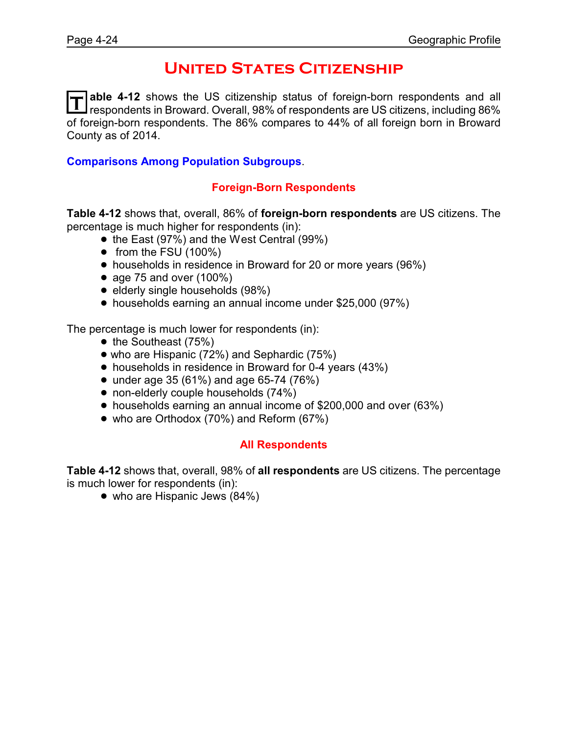### **United States Citizenship**

T able 4-12 shows the US citizenship status of foreign-born respondents and all<br>T respondents in Broward. Overall, 98% of respondents are US citizens, including 86% **able 4-12** shows the US citizenship status of foreign-born respondents and all of foreign-born respondents. The 86% compares to 44% of all foreign born in Broward County as of 2014.

#### **Comparisons Among Population Subgroups**.

#### **Foreign-Born Respondents**

**Table 4-12** shows that, overall, 86% of **foreign-born respondents** are US citizens. The percentage is much higher for respondents (in):

- the East (97%) and the West Central (99%)
- $\bullet$  from the FSU (100%)
- households in residence in Broward for 20 or more years (96%)
- age 75 and over  $(100\%)$
- elderly single households (98%)
- households earning an annual income under \$25,000 (97%)

The percentage is much lower for respondents (in):

- $\bullet$  the Southeast (75%)
- who are Hispanic (72%) and Sephardic (75%)
- households in residence in Broward for 0-4 years (43%)
- under age 35 (61%) and age 65-74 (76%)
- non-elderly couple households (74%)
- ! households earning an annual income of \$200,000 and over (63%)
- who are Orthodox (70%) and Reform (67%)

#### **All Respondents**

**Table 4-12** shows that, overall, 98% of **all respondents** are US citizens. The percentage is much lower for respondents (in):

• who are Hispanic Jews (84%)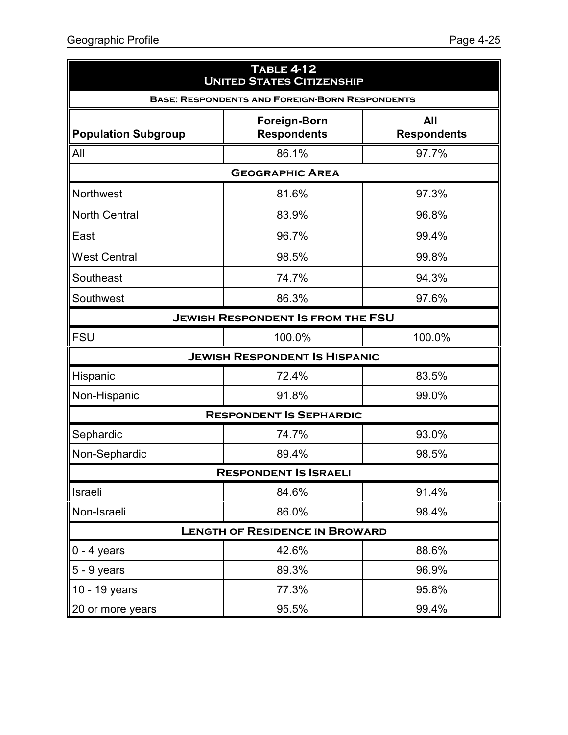| <b>TABLE 4-12</b><br><b>UNITED STATES CITIZENSHIP</b> |                                                       |                           |  |  |  |  |
|-------------------------------------------------------|-------------------------------------------------------|---------------------------|--|--|--|--|
|                                                       | <b>BASE: RESPONDENTS AND FOREIGN-BORN RESPONDENTS</b> |                           |  |  |  |  |
| <b>Population Subgroup</b>                            | <b>Foreign-Born</b><br><b>Respondents</b>             | All<br><b>Respondents</b> |  |  |  |  |
| All                                                   | 86.1%                                                 | 97.7%                     |  |  |  |  |
|                                                       | <b>GEOGRAPHIC AREA</b>                                |                           |  |  |  |  |
| Northwest                                             | 81.6%                                                 | 97.3%                     |  |  |  |  |
| <b>North Central</b>                                  | 83.9%                                                 | 96.8%                     |  |  |  |  |
| East                                                  | 96.7%                                                 | 99.4%                     |  |  |  |  |
| <b>West Central</b>                                   | 98.5%                                                 | 99.8%                     |  |  |  |  |
| Southeast                                             | 74.7%                                                 | 94.3%                     |  |  |  |  |
| Southwest                                             | 86.3%                                                 | 97.6%                     |  |  |  |  |
|                                                       | <b>JEWISH RESPONDENT IS FROM THE FSU</b>              |                           |  |  |  |  |
| <b>FSU</b>                                            | 100.0%                                                | 100.0%                    |  |  |  |  |
|                                                       | <b>JEWISH RESPONDENT IS HISPANIC</b>                  |                           |  |  |  |  |
| Hispanic                                              | 72.4%                                                 | 83.5%                     |  |  |  |  |
| Non-Hispanic                                          | 91.8%                                                 | 99.0%                     |  |  |  |  |
|                                                       | <b>RESPONDENT IS SEPHARDIC</b>                        |                           |  |  |  |  |
| Sephardic                                             | 74.7%                                                 | 93.0%                     |  |  |  |  |
| Non-Sephardic                                         | 89.4%                                                 | 98.5%                     |  |  |  |  |
|                                                       | RESPONDENT IS ISRAELL                                 |                           |  |  |  |  |
| Israeli                                               | 84.6%                                                 | 91.4%                     |  |  |  |  |
| Non-Israeli                                           | 86.0%                                                 | 98.4%                     |  |  |  |  |
| <b>LENGTH OF RESIDENCE IN BROWARD</b>                 |                                                       |                           |  |  |  |  |
| $0 - 4$ years                                         | 42.6%                                                 | 88.6%                     |  |  |  |  |
| $5 - 9$ years                                         | 89.3%                                                 | 96.9%                     |  |  |  |  |
| 10 - 19 years                                         | 77.3%                                                 | 95.8%                     |  |  |  |  |
| 20 or more years                                      | 95.5%                                                 | 99.4%                     |  |  |  |  |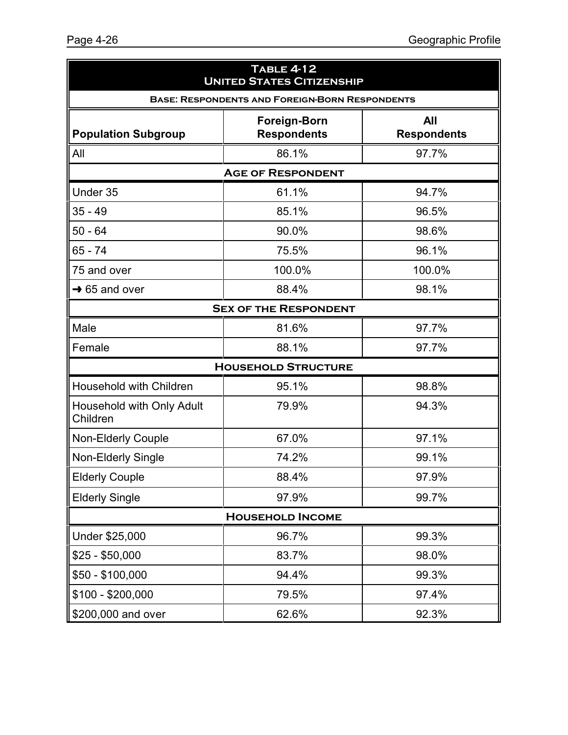| <b>TABLE 4-12</b><br><b>UNITED STATES CITIZENSHIP</b> |                                                       |                           |  |  |  |  |
|-------------------------------------------------------|-------------------------------------------------------|---------------------------|--|--|--|--|
|                                                       | <b>BASE: RESPONDENTS AND FOREIGN-BORN RESPONDENTS</b> |                           |  |  |  |  |
| <b>Population Subgroup</b>                            | <b>Foreign-Born</b><br><b>Respondents</b>             | All<br><b>Respondents</b> |  |  |  |  |
| All                                                   | 86.1%                                                 | 97.7%                     |  |  |  |  |
|                                                       | <b>AGE OF RESPONDENT</b>                              |                           |  |  |  |  |
| Under 35                                              | 61.1%                                                 | 94.7%                     |  |  |  |  |
| $35 - 49$                                             | 85.1%                                                 | 96.5%                     |  |  |  |  |
| $50 - 64$                                             | 90.0%                                                 | 98.6%                     |  |  |  |  |
| 65 - 74                                               | 75.5%                                                 | 96.1%                     |  |  |  |  |
| 75 and over                                           | 100.0%                                                | 100.0%                    |  |  |  |  |
| $\rightarrow$ 65 and over                             | 88.4%                                                 | 98.1%                     |  |  |  |  |
|                                                       | <b>SEX OF THE RESPONDENT</b>                          |                           |  |  |  |  |
| Male                                                  | 81.6%                                                 | 97.7%                     |  |  |  |  |
| Female                                                | 88.1%                                                 | 97.7%                     |  |  |  |  |
|                                                       | <b>HOUSEHOLD STRUCTURE</b>                            |                           |  |  |  |  |
| <b>Household with Children</b>                        | 95.1%                                                 | 98.8%                     |  |  |  |  |
| Household with Only Adult<br>Children                 | 79.9%                                                 | 94.3%                     |  |  |  |  |
| <b>Non-Elderly Couple</b>                             | 67.0%                                                 | 97.1%                     |  |  |  |  |
| Non-Elderly Single                                    | 74.2%                                                 | 99.1%                     |  |  |  |  |
| <b>Elderly Couple</b>                                 | 88.4%                                                 | 97.9%                     |  |  |  |  |
| <b>Elderly Single</b>                                 | 97.9%                                                 | 99.7%                     |  |  |  |  |
| <b>HOUSEHOLD INCOME</b>                               |                                                       |                           |  |  |  |  |
| Under \$25,000                                        | 96.7%                                                 | 99.3%                     |  |  |  |  |
| \$25 - \$50,000                                       | 83.7%                                                 | 98.0%                     |  |  |  |  |
| \$50 - \$100,000                                      | 94.4%                                                 | 99.3%                     |  |  |  |  |
| \$100 - \$200,000                                     | 79.5%                                                 | 97.4%                     |  |  |  |  |
| \$200,000 and over                                    | 62.6%                                                 | 92.3%                     |  |  |  |  |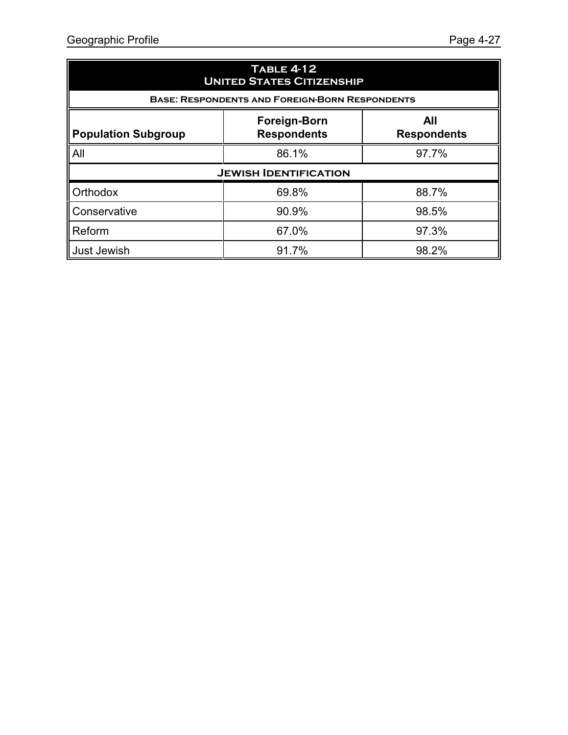| <b>TABLE 4-12</b><br><b>UNITED STATES CITIZENSHIP</b>                                                |                                                       |       |  |  |  |  |  |
|------------------------------------------------------------------------------------------------------|-------------------------------------------------------|-------|--|--|--|--|--|
|                                                                                                      | <b>BASE: RESPONDENTS AND FOREIGN-BORN RESPONDENTS</b> |       |  |  |  |  |  |
| All<br><b>Foreign-Born</b><br><b>Respondents</b><br><b>Population Subgroup</b><br><b>Respondents</b> |                                                       |       |  |  |  |  |  |
| All<br>97.7%<br>86.1%                                                                                |                                                       |       |  |  |  |  |  |
|                                                                                                      | <b>JEWISH IDENTIFICATION</b>                          |       |  |  |  |  |  |
| <b>Orthodox</b>                                                                                      | 69.8%                                                 | 88.7% |  |  |  |  |  |
| Conservative                                                                                         | 90.9%                                                 | 98.5% |  |  |  |  |  |
| Reform                                                                                               | 67.0%                                                 | 97.3% |  |  |  |  |  |
| Just Jewish                                                                                          | 91.7%                                                 | 98.2% |  |  |  |  |  |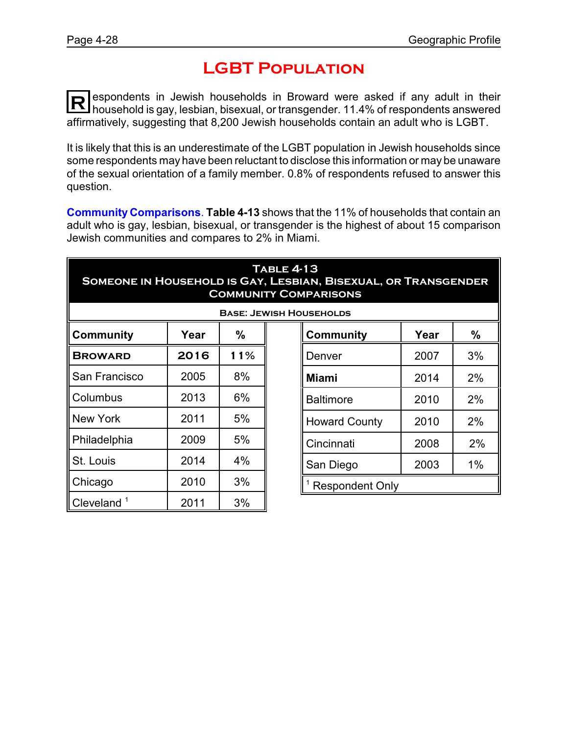### **LGBT Population**

**R** espondents in Jewish households in Broward were asked if any adult in their household is gay, lesbian, bisexual, or transgender. 11.4% of respondents answered affirmatively, suggesting that 8,200 Jewish households contain an adult who is LGBT.

It is likely that this is an underestimate of the LGBT population in Jewish households since some respondents may have been reluctant to disclose this information or may be unaware of the sexual orientation of a family member. 0.8% of respondents refused to answer this question.

**Community Comparisons**. **Table 4-13** shows that the 11% of households that contain an adult who is gay, lesbian, bisexual, or transgender is the highest of about 15 comparison Jewish communities and compares to 2% in Miami.

| <b>TABLE 4-13</b><br>SOMEONE IN HOUSEHOLD IS GAY, LESBIAN, BISEXUAL, OR TRANSGENDER<br><b>COMMUNITY COMPARISONS</b> |      |     |  |                                |      |    |  |
|---------------------------------------------------------------------------------------------------------------------|------|-----|--|--------------------------------|------|----|--|
|                                                                                                                     |      |     |  | <b>BASE: JEWISH HOUSEHOLDS</b> |      |    |  |
| $\%$<br>%<br><b>Community</b><br>Year<br>Community<br>Year                                                          |      |     |  |                                |      |    |  |
| <b>BROWARD</b>                                                                                                      | 2016 | 11% |  | Denver                         | 2007 | 3% |  |
| San Francisco                                                                                                       | 2005 | 8%  |  | Miami                          | 2014 | 2% |  |
| Columbus                                                                                                            | 2013 | 6%  |  | <b>Baltimore</b>               | 2010 | 2% |  |
| New York                                                                                                            | 2011 | 5%  |  | <b>Howard County</b>           | 2010 | 2% |  |
| Philadelphia                                                                                                        | 2009 | 5%  |  | Cincinnati                     | 2008 | 2% |  |
| St. Louis                                                                                                           | 2014 | 4%  |  | San Diego                      | 2003 | 1% |  |
| Chicago                                                                                                             | 2010 | 3%  |  | <b>Respondent Only</b>         |      |    |  |
| $\blacksquare$ Cleveland $\smash{1}$                                                                                | 2011 | 3%  |  |                                |      |    |  |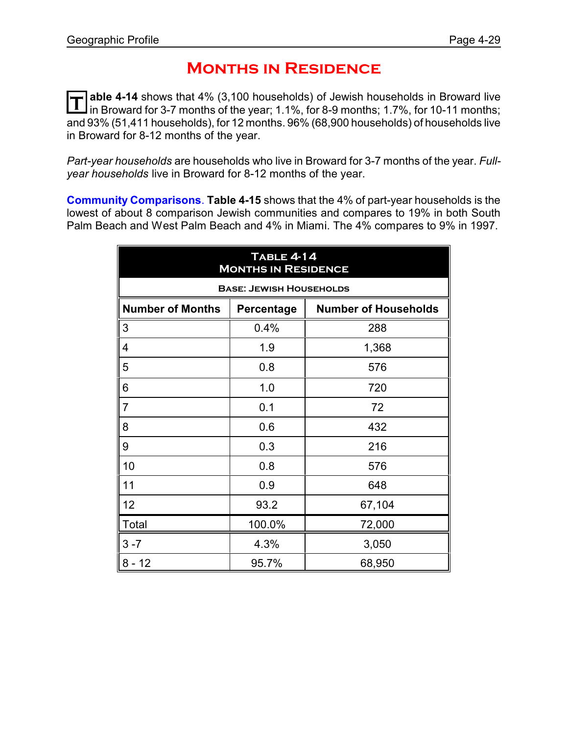### **Months in Residence**

**T able 4-14** shows that 4% (3,100 households) of Jewish households in Broward live in Broward for 3-7 months of the year; 1.1%, for 8-9 months; 1.7%, for 10-11 months; and 93% (51,411 households), for 12 months. 96% (68,900 households) of households live in Broward for 8-12 months of the year.

*Part-year households* are households who live in Broward for 3-7 months of the year. *Fullyear households* live in Broward for 8-12 months of the year.

**Community Comparisons**. **Table 4-15** shows that the 4% of part-year households is the lowest of about 8 comparison Jewish communities and compares to 19% in both South Palm Beach and West Palm Beach and 4% in Miami. The 4% compares to 9% in 1997.

| <b>TABLE 4-14</b><br><b>MONTHS IN RESIDENCE</b> |                                           |        |  |  |  |
|-------------------------------------------------|-------------------------------------------|--------|--|--|--|
|                                                 | <b>BASE: JEWISH HOUSEHOLDS</b>            |        |  |  |  |
| <b>Number of Months</b>                         | <b>Number of Households</b><br>Percentage |        |  |  |  |
| 3                                               | 0.4%                                      | 288    |  |  |  |
| 4                                               | 1.9                                       | 1,368  |  |  |  |
| 5                                               | 0.8                                       | 576    |  |  |  |
| 6                                               | 1.0                                       | 720    |  |  |  |
| 7                                               | 0.1                                       | 72     |  |  |  |
| 8                                               | 0.6                                       | 432    |  |  |  |
| 9                                               | 0.3                                       | 216    |  |  |  |
| 10                                              | 0.8                                       | 576    |  |  |  |
| 11                                              | 0.9                                       | 648    |  |  |  |
| 12                                              | 93.2                                      | 67,104 |  |  |  |
| Total                                           | 100.0%                                    | 72,000 |  |  |  |
| $3 - 7$                                         | 4.3%                                      | 3,050  |  |  |  |
| $8 - 12$                                        | 95.7%                                     | 68,950 |  |  |  |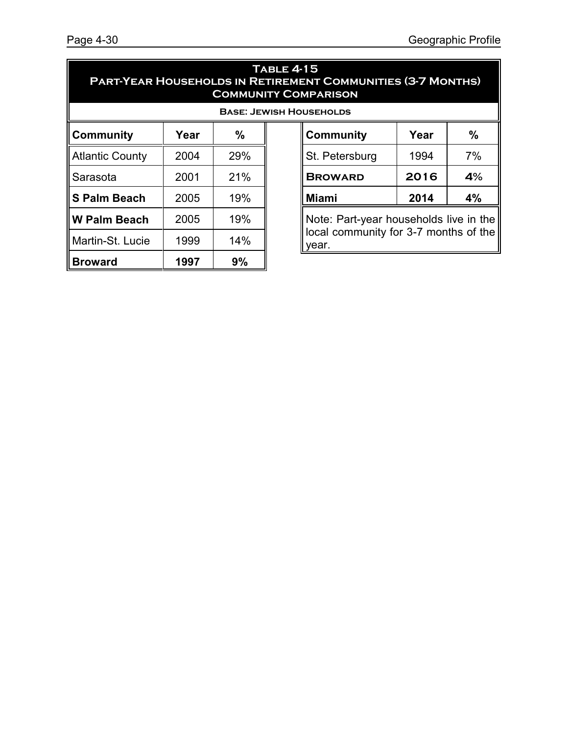#### **Table 4-15 Part-Year Households in Retirement Communities (3-7 Months) Community Comparison**

year.

|                     |      | <b>BASE: JEW</b> |
|---------------------|------|------------------|
| <b>Community</b>    | Year | $\frac{0}{0}$    |
| Atlantic County     | 2004 | 29%              |
| Sarasota            | 2001 | 21%              |
| ∥S Palm Beach       | 2005 | 19%              |
| <b>W Palm Beach</b> | 2005 | 19%              |
| Martin-St. Lucie    | 1999 | 14%              |
| <b>Broward</b>      | 1997 | 9%               |

| <b>ISH HOUSEHOLDS</b> |                                                                                 |      |      |  |  |
|-----------------------|---------------------------------------------------------------------------------|------|------|--|--|
|                       | <b>Community</b>                                                                | Year | $\%$ |  |  |
|                       | St. Petersburg                                                                  | 1994 | 7%   |  |  |
|                       | <b>BROWARD</b>                                                                  | 2016 | 4%   |  |  |
|                       | <b>Miami</b><br>4%<br>2014                                                      |      |      |  |  |
|                       | Note: Part-year households live in the<br>local community for 3-7 months of the |      |      |  |  |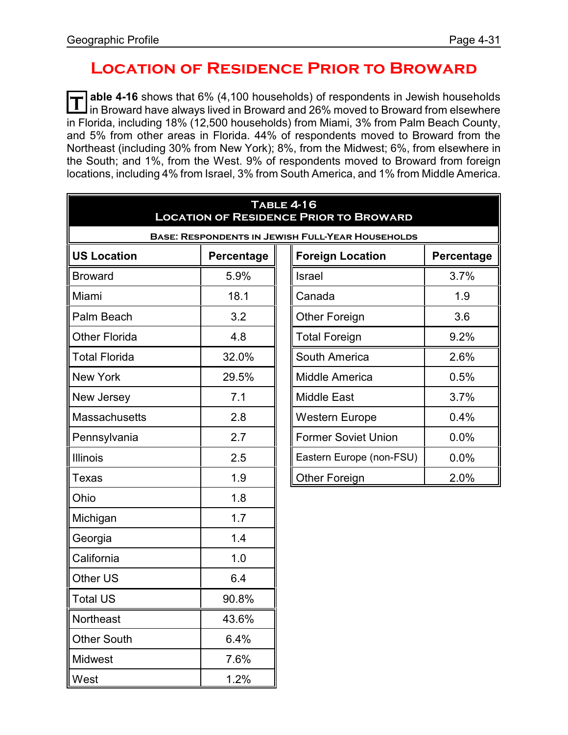### **Location of Residence Prior to Broward**

**T able 4-16** shows that 6% (4,100 households) of respondents in Jewish households In Broward have always lived in Broward and 26% moved to Broward from elsewhere in Florida, including 18% (12,500 households) from Miami, 3% from Palm Beach County, and 5% from other areas in Florida. 44% of respondents moved to Broward from the Northeast (including 30% from New York); 8%, from the Midwest; 6%, from elsewhere in the South; and 1%, from the West. 9% of respondents moved to Broward from foreign locations, including 4% from Israel, 3% from South America, and 1% from Middle America.

| <b>TABLE 4-16</b><br><b>LOCATION OF RESIDENCE PRIOR TO BROWARD</b> |            |  |                            |            |  |  |
|--------------------------------------------------------------------|------------|--|----------------------------|------------|--|--|
| <b>BASE: RESPONDENTS IN JEWISH FULL-YEAR HOUSEHOLDS</b>            |            |  |                            |            |  |  |
| <b>US Location</b>                                                 | Percentage |  | <b>Foreign Location</b>    | Percentage |  |  |
| <b>Broward</b>                                                     | 5.9%       |  | Israel                     | 3.7%       |  |  |
| Miami                                                              | 18.1       |  | Canada                     | 1.9        |  |  |
| Palm Beach                                                         | 3.2        |  | <b>Other Foreign</b>       | 3.6        |  |  |
| <b>Other Florida</b>                                               | 4.8        |  | <b>Total Foreign</b>       | 9.2%       |  |  |
| <b>Total Florida</b>                                               | 32.0%      |  | South America              | 2.6%       |  |  |
| <b>New York</b>                                                    | 29.5%      |  | <b>Middle America</b>      | 0.5%       |  |  |
| New Jersey                                                         | 7.1        |  | <b>Middle East</b>         | 3.7%       |  |  |
| <b>Massachusetts</b>                                               | 2.8        |  | <b>Western Europe</b>      | 0.4%       |  |  |
| Pennsylvania                                                       | 2.7        |  | <b>Former Soviet Union</b> | 0.0%       |  |  |
| <b>Illinois</b>                                                    | 2.5        |  | Eastern Europe (non-FSU)   | 0.0%       |  |  |
| Texas                                                              | 1.9        |  | <b>Other Foreign</b>       | 2.0%       |  |  |
| Ohio                                                               | 1.8        |  |                            |            |  |  |
| Michigan                                                           | 1.7        |  |                            |            |  |  |
| Georgia                                                            | 1.4        |  |                            |            |  |  |
| California                                                         | 1.0        |  |                            |            |  |  |
| Other US                                                           | 6.4        |  |                            |            |  |  |
| <b>Total US</b>                                                    | 90.8%      |  |                            |            |  |  |
| Northeast                                                          | 43.6%      |  |                            |            |  |  |
| Other South                                                        | 6.4%       |  |                            |            |  |  |
| Midwest                                                            | 7.6%       |  |                            |            |  |  |
| West                                                               | 1.2%       |  |                            |            |  |  |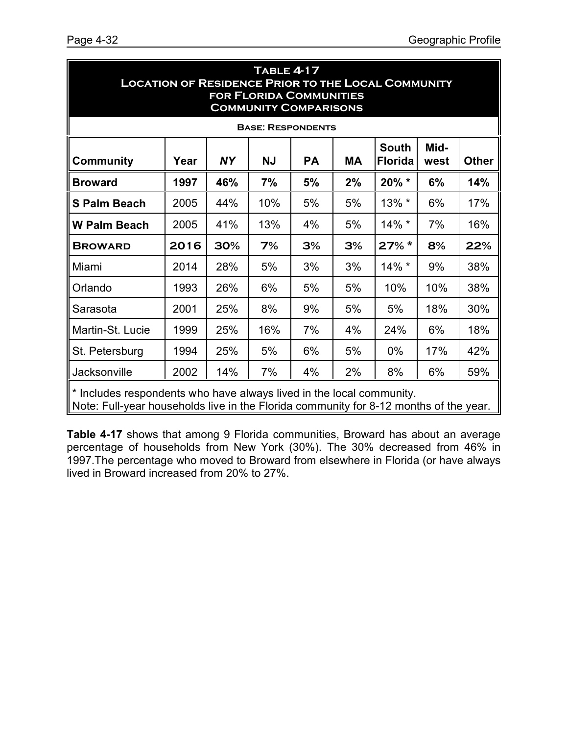| <b>TABLE 4-17</b><br><b>LOCATION OF RESIDENCE PRIOR TO THE LOCAL COMMUNITY</b><br><b>FOR FLORIDA COMMUNITIES</b><br><b>COMMUNITY COMPARISONS</b>              |      |           |                          |           |           |                                |              |              |
|---------------------------------------------------------------------------------------------------------------------------------------------------------------|------|-----------|--------------------------|-----------|-----------|--------------------------------|--------------|--------------|
|                                                                                                                                                               |      |           | <b>BASE: RESPONDENTS</b> |           |           |                                |              |              |
| <b>Community</b>                                                                                                                                              | Year | <b>NY</b> | <b>NJ</b>                | <b>PA</b> | <b>MA</b> | <b>South</b><br><b>Florida</b> | Mid-<br>west | <b>Other</b> |
| <b>Broward</b>                                                                                                                                                | 1997 | 46%       | 7%                       | 5%        | 2%        | 20% *                          | 6%           | 14%          |
| <b>S Palm Beach</b>                                                                                                                                           | 2005 | 44%       | 10%                      | 5%        | 5%        | 13% *                          | 6%           | 17%          |
| <b>W Palm Beach</b>                                                                                                                                           | 2005 | 41%       | 13%                      | 4%        | 5%        | $14\%$ *                       | 7%           | 16%          |
| <b>BROWARD</b>                                                                                                                                                | 2016 | 30%       | 7%                       | 3%        | 3%        | $27\%$ *                       | 8%           | 22%          |
| Miami                                                                                                                                                         | 2014 | 28%       | 5%                       | 3%        | 3%        | $14\%$ *                       | 9%           | 38%          |
| Orlando                                                                                                                                                       | 1993 | 26%       | 6%                       | 5%        | 5%        | 10%                            | 10%          | 38%          |
| Sarasota                                                                                                                                                      | 2001 | 25%       | 8%                       | 9%        | 5%        | 5%                             | 18%          | 30%          |
| Martin-St. Lucie                                                                                                                                              | 1999 | 25%       | 16%                      | 7%        | 4%        | 24%                            | 6%           | 18%          |
| St. Petersburg                                                                                                                                                | 1994 | 25%       | 5%                       | 6%        | 5%        | $0\%$                          | 17%          | 42%          |
| Jacksonville                                                                                                                                                  | 2002 | 14%       | 7%                       | 4%        | 2%        | 8%                             | 6%           | 59%          |
| * Includes respondents who have always lived in the local community.<br>Note: Full-year households live in the Florida community for 8-12 months of the year. |      |           |                          |           |           |                                |              |              |

**Table 4-17** shows that among 9 Florida communities, Broward has about an average percentage of households from New York (30%). The 30% decreased from 46% in 1997.The percentage who moved to Broward from elsewhere in Florida (or have always lived in Broward increased from 20% to 27%.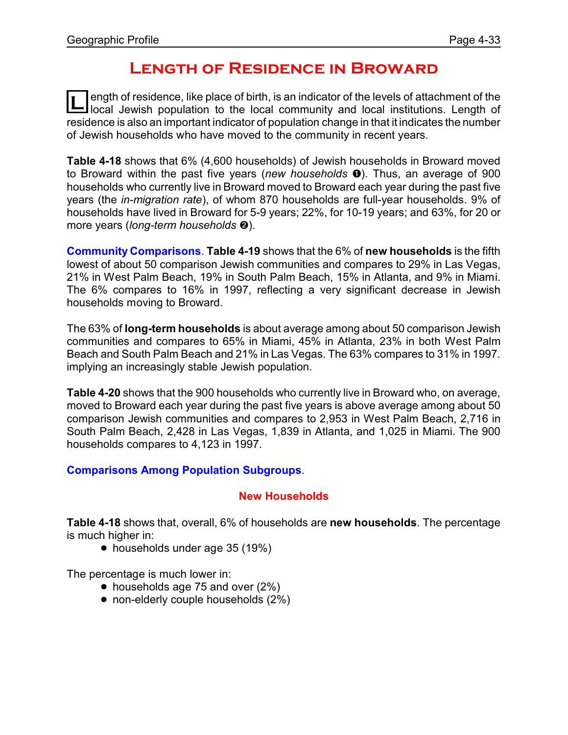### **Length of Residence in Broward**

**L** ength of residence, like place of birth, is an indicator of the levels of attachment of the local institutions. Length of ength of residence, like place of birth, is an indicator of the levels of attachment of the residence is also an important indicator of population change in that it indicates the number of Jewish households who have moved to the community in recent years.

**Table 4-18** shows that 6% (4,600 households) of Jewish households in Broward moved to Broward within the past five years (new households  $\bullet$ ). Thus, an average of 900 households who currently live in Broward moved to Broward each year during the past five years (the *in-migration rate*), of whom 870 households are full-year households. 9% of households have lived in Broward for 5-9 years; 22%, for 10-19 years; and 63%, for 20 or more years (*long-term households* <sup>*e*</sup>).

**Community Comparisons**. **Table 4-19** shows that the 6% of **new households** is the fifth lowest of about 50 comparison Jewish communities and compares to 29% in Las Vegas, 21% in West Palm Beach, 19% in South Palm Beach, 15% in Atlanta, and 9% in Miami. The 6% compares to 16% in 1997, reflecting a very significant decrease in Jewish households moving to Broward.

The 63% of **long-term households** is about average among about 50 comparison Jewish communities and compares to 65% in Miami, 45% in Atlanta, 23% in both West Palm Beach and South Palm Beach and 21% in Las Vegas. The 63% compares to 31% in 1997. implying an increasingly stable Jewish population.

**Table 4-20** shows that the 900 households who currently live in Broward who, on average, moved to Broward each year during the past five years is above average among about 50 comparison Jewish communities and compares to 2,953 in West Palm Beach, 2,716 in South Palm Beach, 2,428 in Las Vegas, 1,839 in Atlanta, and 1,025 in Miami. The 900 households compares to 4,123 in 1997.

#### **Comparisons Among Population Subgroups**.

#### **New Households**

**Table 4-18** shows that, overall, 6% of households are **new households**. The percentage is much higher in:

• households under age 35 (19%)

The percentage is much lower in:

- $\bullet$  households age 75 and over (2%)
- non-elderly couple households (2%)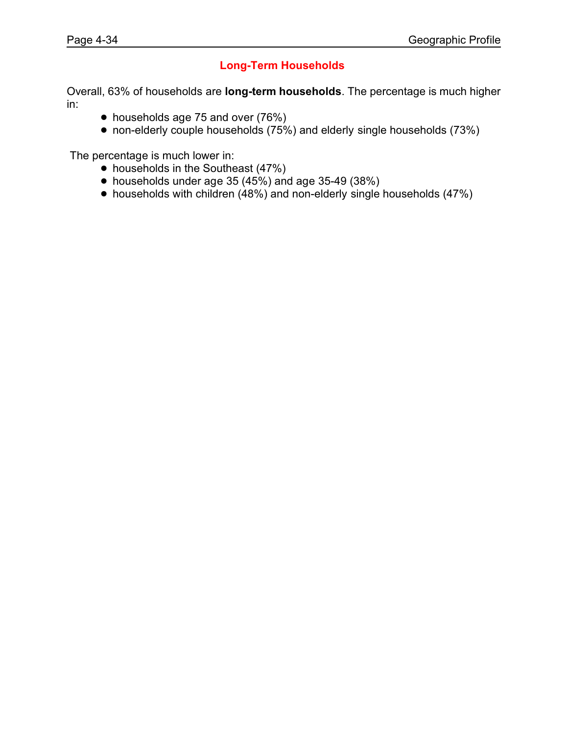#### **Long-Term Households**

Overall, 63% of households are **long-term households**. The percentage is much higher in:

- households age 75 and over (76%)
- $\bullet$  non-elderly couple households (75%) and elderly single households (73%)

The percentage is much lower in:

- households in the Southeast (47%)
- $\bullet$  households under age 35 (45%) and age 35-49 (38%)
- $\bullet$  households with children (48%) and non-elderly single households (47%)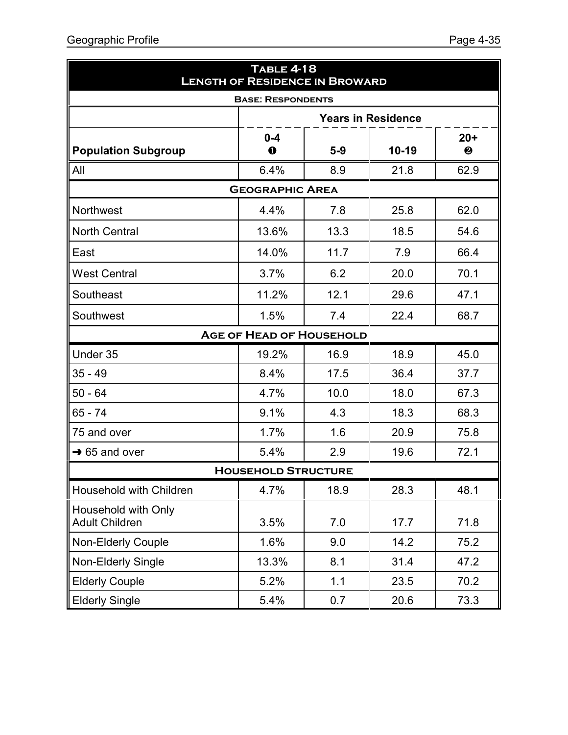| <b>TABLE 4-18</b><br><b>LENGTH OF RESIDENCE IN BROWARD</b> |                                 |       |                           |            |  |
|------------------------------------------------------------|---------------------------------|-------|---------------------------|------------|--|
|                                                            | <b>BASE: RESPONDENTS</b>        |       |                           |            |  |
|                                                            |                                 |       | <b>Years in Residence</b> |            |  |
| <b>Population Subgroup</b>                                 | $0 - 4$<br>$\bf{0}$             | $5-9$ | $10-19$                   | $20+$<br>❷ |  |
| All                                                        | 6.4%                            | 8.9   | 21.8                      | 62.9       |  |
|                                                            | <b>GEOGRAPHIC AREA</b>          |       |                           |            |  |
| <b>Northwest</b>                                           | 4.4%                            | 7.8   | 25.8                      | 62.0       |  |
| <b>North Central</b>                                       | 13.6%                           | 13.3  | 18.5                      | 54.6       |  |
| East                                                       | 14.0%                           | 11.7  | 7.9                       | 66.4       |  |
| <b>West Central</b>                                        | 3.7%                            | 6.2   | 20.0                      | 70.1       |  |
| Southeast                                                  | 11.2%                           | 12.1  | 29.6                      | 47.1       |  |
| Southwest                                                  | 1.5%                            | 7.4   | 22.4                      | 68.7       |  |
|                                                            | <b>AGE OF HEAD OF HOUSEHOLD</b> |       |                           |            |  |
| Under 35                                                   | 19.2%                           | 16.9  | 18.9                      | 45.0       |  |
| $35 - 49$                                                  | 8.4%                            | 17.5  | 36.4                      | 37.7       |  |
| $50 - 64$                                                  | 4.7%                            | 10.0  | 18.0                      | 67.3       |  |
| $65 - 74$                                                  | 9.1%                            | 4.3   | 18.3                      | 68.3       |  |
| 75 and over                                                | 1.7%                            | 1.6   | 20.9                      | 75.8       |  |
| $\rightarrow$ 65 and over                                  | 5.4%                            | 2.9   | 19.6                      | 72.1       |  |
| <b>HOUSEHOLD STRUCTURE</b>                                 |                                 |       |                           |            |  |
| Household with Children                                    | 4.7%                            | 18.9  | 28.3                      | 48.1       |  |
| Household with Only<br><b>Adult Children</b>               | 3.5%                            | 7.0   | 17.7                      | 71.8       |  |
| Non-Elderly Couple                                         | 1.6%                            | 9.0   | 14.2                      | 75.2       |  |
| Non-Elderly Single                                         | 13.3%                           | 8.1   | 31.4                      | 47.2       |  |
| <b>Elderly Couple</b>                                      | 5.2%                            | 1.1   | 23.5                      | 70.2       |  |
| <b>Elderly Single</b>                                      | 5.4%                            | 0.7   | 20.6                      | 73.3       |  |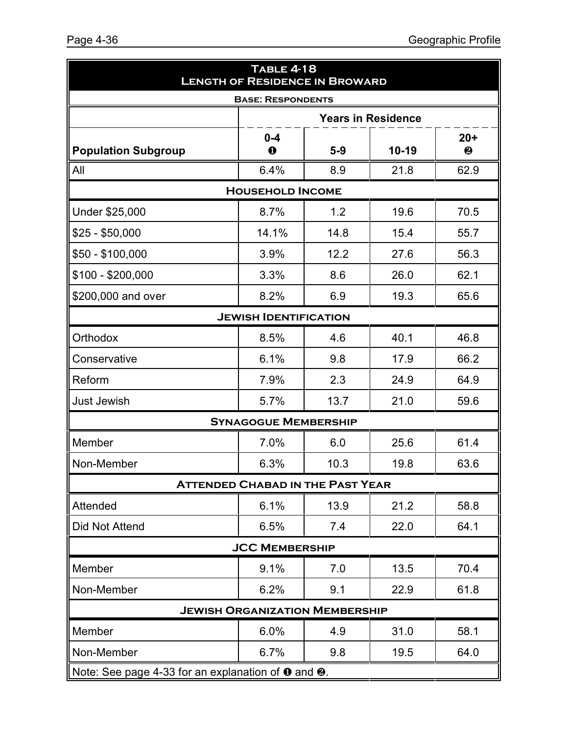| <b>TABLE 4-18</b><br><b>LENGTH OF RESIDENCE IN BROWARD</b> |                                         |       |                           |            |
|------------------------------------------------------------|-----------------------------------------|-------|---------------------------|------------|
|                                                            | <b>BASE: RESPONDENTS</b>                |       |                           |            |
|                                                            |                                         |       | <b>Years in Residence</b> |            |
| <b>Population Subgroup</b>                                 | $0 - 4$<br>$\bf\bf 0$                   | $5-9$ | $10 - 19$                 | $20+$<br>❷ |
| All                                                        | 6.4%                                    | 8.9   | 21.8                      | 62.9       |
|                                                            | <b>HOUSEHOLD INCOME</b>                 |       |                           |            |
| Under \$25,000                                             | 8.7%                                    | 1.2   | 19.6                      | 70.5       |
| $$25 - $50,000$                                            | 14.1%                                   | 14.8  | 15.4                      | 55.7       |
| \$50 - \$100,000                                           | 3.9%                                    | 12.2  | 27.6                      | 56.3       |
| \$100 - \$200,000                                          | 3.3%                                    | 8.6   | 26.0                      | 62.1       |
| \$200,000 and over                                         | 8.2%                                    | 6.9   | 19.3                      | 65.6       |
|                                                            | <b>JEWISH IDENTIFICATION</b>            |       |                           |            |
| Orthodox                                                   | 8.5%                                    | 4.6   | 40.1                      | 46.8       |
| Conservative                                               | 6.1%                                    | 9.8   | 17.9                      | 66.2       |
| Reform                                                     | 7.9%                                    | 2.3   | 24.9                      | 64.9       |
| <b>Just Jewish</b>                                         | 5.7%                                    | 13.7  | 21.0                      | 59.6       |
|                                                            | <b>SYNAGOGUE MEMBERSHIP</b>             |       |                           |            |
| Member                                                     | 7.0%                                    | 6.0   | 25.6                      | 61.4       |
| Non-Member                                                 | 6.3%                                    | 10.3  | 19.8                      | 63.6       |
|                                                            | <b>ATTENDED CHABAD IN THE PAST YEAR</b> |       |                           |            |
| Attended                                                   | 6.1%                                    | 13.9  | 21.2                      | 58.8       |
| Did Not Attend                                             | 6.5%                                    | 7.4   | 22.0                      | 64.1       |
|                                                            | <b>JCC MEMBERSHIP</b>                   |       |                           |            |
| Member                                                     | 9.1%                                    | 7.0   | 13.5                      | 70.4       |
| Non-Member                                                 | 6.2%                                    | 9.1   | 22.9                      | 61.8       |
|                                                            | <b>JEWISH ORGANIZATION MEMBERSHIP</b>   |       |                           |            |
| Member                                                     | 6.0%                                    | 4.9   | 31.0                      | 58.1       |
| Non-Member                                                 | 6.7%                                    | 9.8   | 19.5                      | 64.0       |
| Note: See page 4-33 for an explanation of 0 and 0.         |                                         |       |                           |            |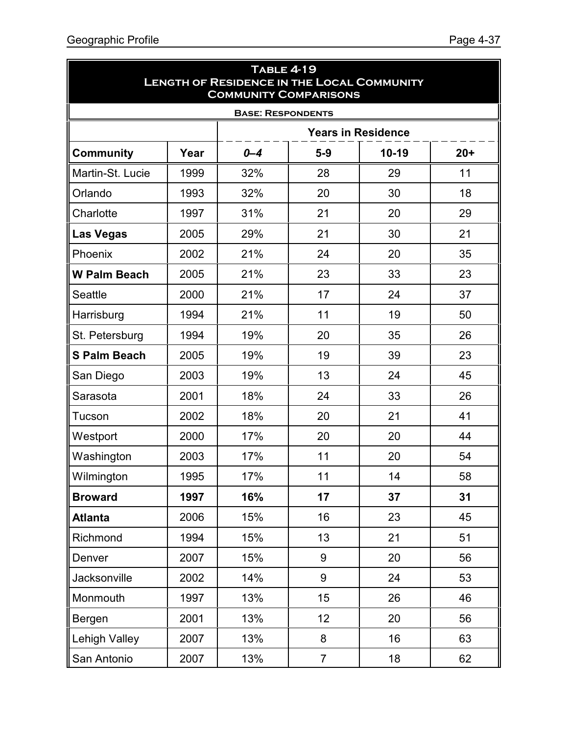ä

| <b>TABLE 4-19</b><br><b>LENGTH OF RESIDENCE IN THE LOCAL COMMUNITY</b><br><b>COMMUNITY COMPARISONS</b> |                          |         |                  |           |       |  |  |
|--------------------------------------------------------------------------------------------------------|--------------------------|---------|------------------|-----------|-------|--|--|
|                                                                                                        | <b>BASE: RESPONDENTS</b> |         |                  |           |       |  |  |
| <b>Years in Residence</b>                                                                              |                          |         |                  |           |       |  |  |
| <b>Community</b>                                                                                       | Year                     | $0 - 4$ | $5-9$            | $10 - 19$ | $20+$ |  |  |
| Martin-St. Lucie                                                                                       | 1999                     | 32%     | 28               | 29        | 11    |  |  |
| Orlando                                                                                                | 1993                     | 32%     | 20               | 30        | 18    |  |  |
| Charlotte                                                                                              | 1997                     | 31%     | 21               | 20        | 29    |  |  |
| <b>Las Vegas</b>                                                                                       | 2005                     | 29%     | 21               | 30        | 21    |  |  |
| Phoenix                                                                                                | 2002                     | 21%     | 24               | 20        | 35    |  |  |
| <b>W Palm Beach</b>                                                                                    | 2005                     | 21%     | 23               | 33        | 23    |  |  |
| <b>Seattle</b>                                                                                         | 2000                     | 21%     | 17               | 24        | 37    |  |  |
| Harrisburg                                                                                             | 1994                     | 21%     | 11               | 19        | 50    |  |  |
| St. Petersburg                                                                                         | 1994                     | 19%     | 20               | 35        | 26    |  |  |
| <b>S Palm Beach</b>                                                                                    | 2005                     | 19%     | 19               | 39        | 23    |  |  |
| San Diego                                                                                              | 2003                     | 19%     | 13               | 24        | 45    |  |  |
| Sarasota                                                                                               | 2001                     | 18%     | 24               | 33        | 26    |  |  |
| Tucson                                                                                                 | 2002                     | 18%     | 20               | 21        | 41    |  |  |
| Westport                                                                                               | 2000                     | 17%     | 20               | 20        | 44    |  |  |
| Washington                                                                                             | 2003                     | 17%     | 11               | 20        | 54    |  |  |
| <b>Wilmington</b>                                                                                      | 1995                     | 17%     | 11               | 14        | 58    |  |  |
| <b>Broward</b>                                                                                         | 1997                     | 16%     | 17               | 37        | 31    |  |  |
| <b>Atlanta</b>                                                                                         | 2006                     | 15%     | 16               | 23        | 45    |  |  |
| Richmond                                                                                               | 1994                     | 15%     | 13               | 21        | 51    |  |  |
| Denver                                                                                                 | 2007                     | 15%     | 9                | 20        | 56    |  |  |
| Jacksonville                                                                                           | 2002                     | 14%     | $\boldsymbol{9}$ | 24        | 53    |  |  |
| Monmouth                                                                                               | 1997                     | 13%     | 15               | 26        | 46    |  |  |
| Bergen                                                                                                 | 2001                     | 13%     | 12               | 20        | 56    |  |  |
| <b>Lehigh Valley</b>                                                                                   | 2007                     | 13%     | 8                | 16        | 63    |  |  |
| San Antonio                                                                                            | 2007                     | 13%     | $\overline{7}$   | 18        | 62    |  |  |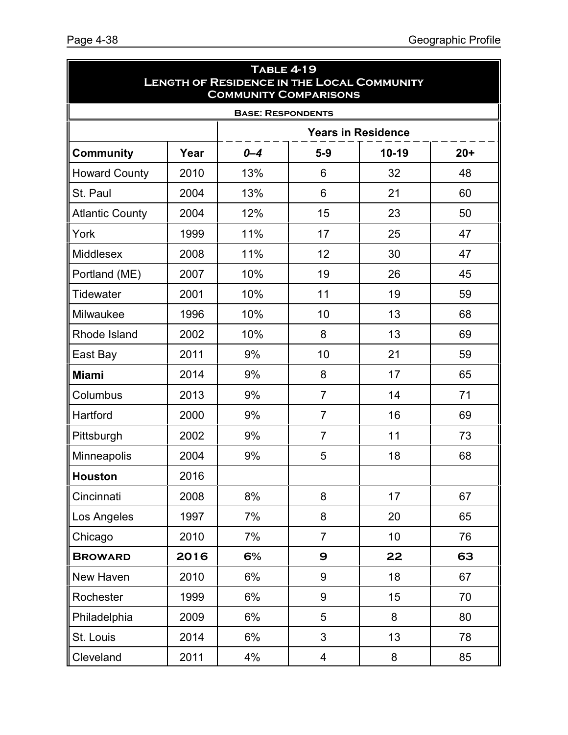| <b>TABLE 4-19</b><br><b>LENGTH OF RESIDENCE IN THE LOCAL COMMUNITY</b><br><b>COMMUNITY COMPARISONS</b> |      |                          |                         |         |       |
|--------------------------------------------------------------------------------------------------------|------|--------------------------|-------------------------|---------|-------|
|                                                                                                        |      | <b>BASE: RESPONDENTS</b> |                         |         |       |
| <b>Years in Residence</b>                                                                              |      |                          |                         |         |       |
| <b>Community</b>                                                                                       | Year | $0 - 4$                  | $5-9$                   | $10-19$ | $20+$ |
| <b>Howard County</b>                                                                                   | 2010 | 13%                      | 6                       | 32      | 48    |
| St. Paul                                                                                               | 2004 | 13%                      | 6                       | 21      | 60    |
| <b>Atlantic County</b>                                                                                 | 2004 | 12%                      | 15                      | 23      | 50    |
| York                                                                                                   | 1999 | 11%                      | 17                      | 25      | 47    |
| <b>Middlesex</b>                                                                                       | 2008 | 11%                      | 12                      | 30      | 47    |
| Portland (ME)                                                                                          | 2007 | 10%                      | 19                      | 26      | 45    |
| <b>Tidewater</b>                                                                                       | 2001 | 10%                      | 11                      | 19      | 59    |
| Milwaukee                                                                                              | 1996 | 10%                      | 10                      | 13      | 68    |
| Rhode Island                                                                                           | 2002 | 10%                      | 8                       | 13      | 69    |
| East Bay                                                                                               | 2011 | 9%                       | 10                      | 21      | 59    |
| <b>Miami</b>                                                                                           | 2014 | 9%                       | 8                       | 17      | 65    |
| Columbus                                                                                               | 2013 | 9%                       | $\overline{7}$          | 14      | 71    |
| Hartford                                                                                               | 2000 | 9%                       | $\overline{7}$          | 16      | 69    |
| Pittsburgh                                                                                             | 2002 | 9%                       | $\overline{7}$          | 11      | 73    |
| <b>Minneapolis</b>                                                                                     | 2004 | 9%                       | 5                       | 18      | 68    |
| <b>Houston</b>                                                                                         | 2016 |                          |                         |         |       |
| Cincinnati                                                                                             | 2008 | 8%                       | 8                       | 17      | 67    |
| Los Angeles                                                                                            | 1997 | 7%                       | 8                       | 20      | 65    |
| Chicago                                                                                                | 2010 | 7%                       | $\overline{7}$          | 10      | 76    |
| <b>BROWARD</b>                                                                                         | 2016 | 6%                       | 9                       | 22      | 63    |
| New Haven                                                                                              | 2010 | 6%                       | $\boldsymbol{9}$        | 18      | 67    |
| Rochester                                                                                              | 1999 | 6%                       | 9                       | 15      | 70    |
| Philadelphia                                                                                           | 2009 | 6%                       | 5                       | 8       | 80    |
| St. Louis                                                                                              | 2014 | 6%                       | 3                       | 13      | 78    |
| Cleveland                                                                                              | 2011 | 4%                       | $\overline{\mathbf{4}}$ | 8       | 85    |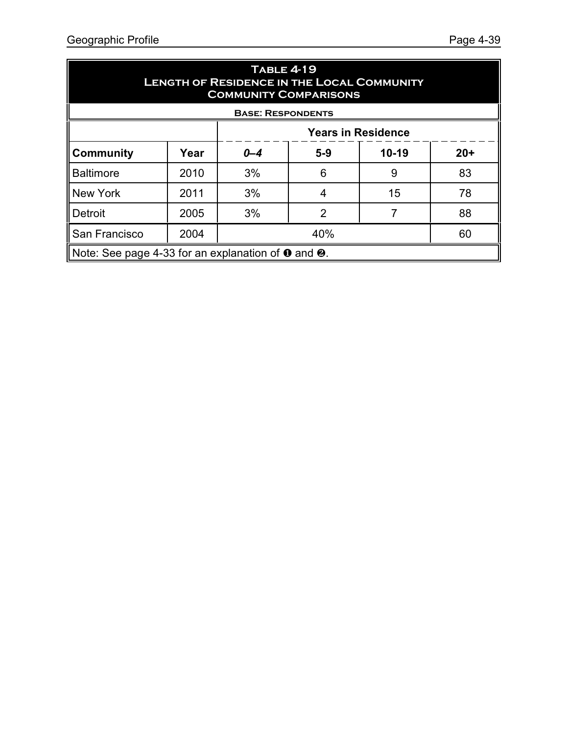| <b>TABLE 4-19</b><br><b>LENGTH OF RESIDENCE IN THE LOCAL COMMUNITY</b><br><b>COMMUNITY COMPARISONS</b> |                                                                     |           |       |           |       |
|--------------------------------------------------------------------------------------------------------|---------------------------------------------------------------------|-----------|-------|-----------|-------|
| <b>BASE: RESPONDENTS</b><br><b>Years in Residence</b>                                                  |                                                                     |           |       |           |       |
| <b>Community</b>                                                                                       | Year                                                                | $0 - 4$   | $5-9$ | $10 - 19$ | $20+$ |
| <b>Baltimore</b>                                                                                       | 2010                                                                | 3%        | 6     | 9         | 83    |
| <b>New York</b>                                                                                        | 2011                                                                | 3%        | 4     | 15        | 78    |
| Detroit                                                                                                | 2005                                                                | 3%        | 2     |           | 88    |
| San Francisco                                                                                          | 2004                                                                | 40%<br>60 |       |           |       |
|                                                                                                        | Note: See page 4-33 for an explanation of $\bullet$ and $\bullet$ . |           |       |           |       |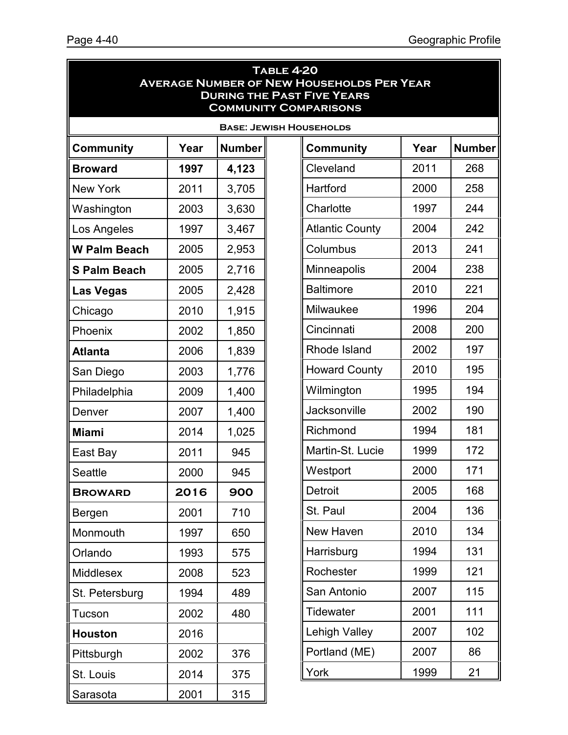| <b>TABLE 4-20</b><br><b>AVERAGE NUMBER OF NEW HOUSEHOLDS PER YEAR</b><br><b>DURING THE PAST FIVE YEARS</b><br><b>COMMUNITY COMPARISONS</b> |      |               |  |                                |      |               |
|--------------------------------------------------------------------------------------------------------------------------------------------|------|---------------|--|--------------------------------|------|---------------|
|                                                                                                                                            |      |               |  | <b>BASE: JEWISH HOUSEHOLDS</b> |      |               |
| Community                                                                                                                                  | Year | <b>Number</b> |  | Community                      | Year | <b>Number</b> |
| <b>Broward</b>                                                                                                                             | 1997 | 4,123         |  | Cleveland                      | 2011 | 268           |
| <b>New York</b>                                                                                                                            | 2011 | 3,705         |  | Hartford                       | 2000 | 258           |
| Washington                                                                                                                                 | 2003 | 3,630         |  | Charlotte                      | 1997 | 244           |
| Los Angeles                                                                                                                                | 1997 | 3,467         |  | <b>Atlantic County</b>         | 2004 | 242           |
| <b>W Palm Beach</b>                                                                                                                        | 2005 | 2,953         |  | Columbus                       | 2013 | 241           |
| <b>S Palm Beach</b>                                                                                                                        | 2005 | 2,716         |  | Minneapolis                    | 2004 | 238           |
| <b>Las Vegas</b>                                                                                                                           | 2005 | 2,428         |  | <b>Baltimore</b>               | 2010 | 221           |
| Chicago                                                                                                                                    | 2010 | 1,915         |  | Milwaukee                      | 1996 | 204           |
| Phoenix                                                                                                                                    | 2002 | 1,850         |  | Cincinnati                     | 2008 | 200           |
| <b>Atlanta</b>                                                                                                                             | 2006 | 1,839         |  | Rhode Island                   | 2002 | 197           |
| San Diego                                                                                                                                  | 2003 | 1,776         |  | <b>Howard County</b>           | 2010 | 195           |
| Philadelphia                                                                                                                               | 2009 | 1,400         |  | Wilmington                     | 1995 | 194           |
| Denver                                                                                                                                     | 2007 | 1,400         |  | Jacksonville                   | 2002 | 190           |
| <b>Miami</b>                                                                                                                               | 2014 | 1,025         |  | Richmond                       | 1994 | 181           |
| East Bay                                                                                                                                   | 2011 | 945           |  | Martin-St. Lucie               | 1999 | 172           |
| Seattle                                                                                                                                    | 2000 | 945           |  | Westport                       | 2000 | 171           |
| <b>BROWARD</b>                                                                                                                             | 2016 | 900           |  | <b>Detroit</b>                 | 2005 | 168           |
| Bergen                                                                                                                                     | 2001 | 710           |  | St. Paul                       | 2004 | 136           |
| Monmouth                                                                                                                                   | 1997 | 650           |  | New Haven                      | 2010 | 134           |
| Orlando                                                                                                                                    | 1993 | 575           |  | Harrisburg                     | 1994 | 131           |
| <b>Middlesex</b>                                                                                                                           | 2008 | 523           |  | Rochester                      | 1999 | 121           |
| St. Petersburg                                                                                                                             | 1994 | 489           |  | San Antonio                    | 2007 | 115           |
| Tucson                                                                                                                                     | 2002 | 480           |  | <b>Tidewater</b>               | 2001 | 111           |
| <b>Houston</b>                                                                                                                             | 2016 |               |  | <b>Lehigh Valley</b>           | 2007 | 102           |
| Pittsburgh                                                                                                                                 | 2002 | 376           |  | Portland (ME)                  | 2007 | 86            |
| St. Louis                                                                                                                                  | 2014 | 375           |  | York                           | 1999 | 21            |
| Sarasota                                                                                                                                   | 2001 | 315           |  |                                |      |               |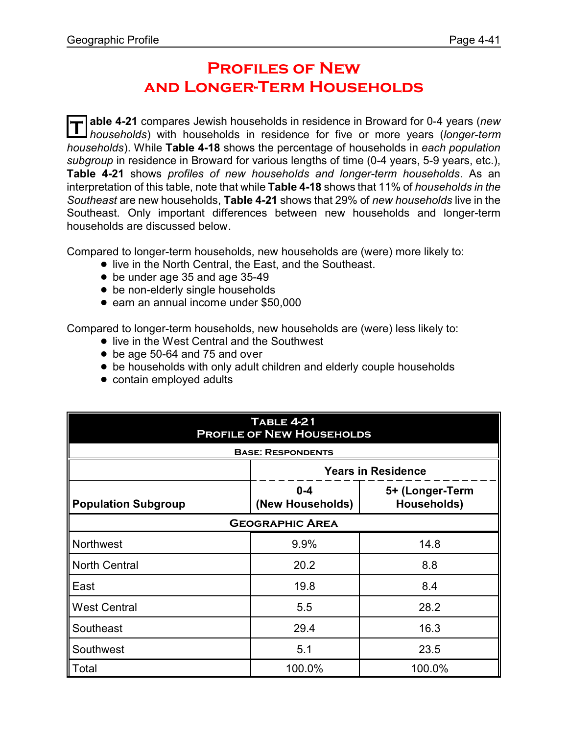### **Profiles of New and Longer-Term Households**

**T able 4-21** compares Jewish households in residence in Broward for 0-4 years (*new households*) with households in residence for five or more years (*longer-term households*). While **Table 4-18** shows the percentage of households in *each population subgroup* in residence in Broward for various lengths of time (0-4 years, 5-9 years, etc.), **Table 4-21** shows *profiles of new households and longer-term households*. As an interpretation of this table, note that while **Table 4-18** shows that 11% of *households in the Southeast* are new households, **Table 4-21** shows that 29% of *new households* live in the Southeast. Only important differences between new households and longer-term households are discussed below.

Compared to longer-term households, new households are (were) more likely to:

- **.** live in the North Central, the East, and the Southeast.
- be under age 35 and age 35-49
- be non-elderly single households
- earn an annual income under \$50,000

Compared to longer-term households, new households are (were) less likely to:

- live in the West Central and the Southwest
- be age 50-64 and 75 and over
- be households with only adult children and elderly couple households
- contain employed adults

| <b>TABLE 4-21</b><br><b>PROFILE OF NEW HOUSEHOLDS</b> |                             |                                |  |  |  |  |
|-------------------------------------------------------|-----------------------------|--------------------------------|--|--|--|--|
| <b>BASE: RESPONDENTS</b>                              |                             |                                |  |  |  |  |
| <b>Years in Residence</b>                             |                             |                                |  |  |  |  |
| <b>Population Subgroup</b>                            | $0 - 4$<br>(New Households) | 5+ (Longer-Term<br>Households) |  |  |  |  |
| <b>GEOGRAPHIC AREA</b>                                |                             |                                |  |  |  |  |
| Northwest                                             | 9.9%                        | 14.8                           |  |  |  |  |
| North Central                                         | 20.2                        | 8.8                            |  |  |  |  |
| East                                                  | 19.8                        | 8.4                            |  |  |  |  |
| <b>West Central</b>                                   | 5.5                         | 28.2                           |  |  |  |  |
| Southeast                                             | 29.4                        | 16.3                           |  |  |  |  |
| Southwest                                             | 5.1                         | 23.5                           |  |  |  |  |
| $\blacksquare$ Total                                  | 100.0%                      | 100.0%                         |  |  |  |  |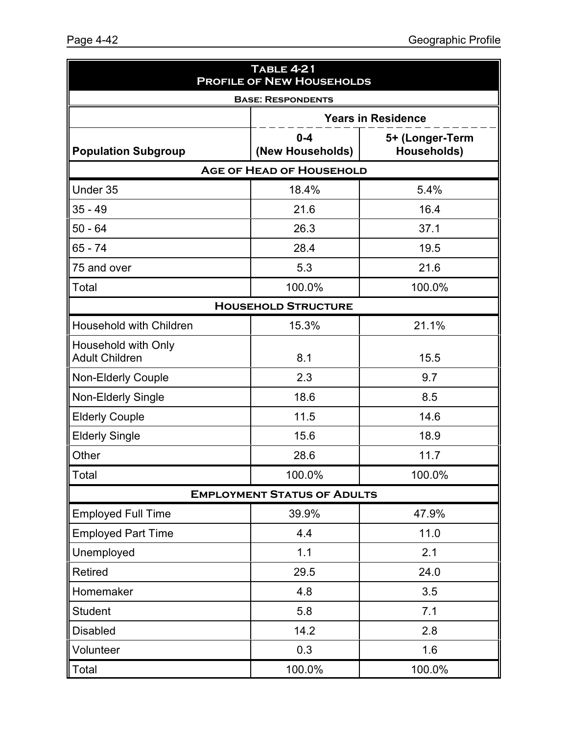| <b>TABLE 4-21</b><br><b>PROFILE OF NEW HOUSEHOLDS</b> |                                    |                                |  |  |  |  |
|-------------------------------------------------------|------------------------------------|--------------------------------|--|--|--|--|
|                                                       | <b>BASE: RESPONDENTS</b>           |                                |  |  |  |  |
|                                                       |                                    | <b>Years in Residence</b>      |  |  |  |  |
| <b>Population Subgroup</b>                            | $0 - 4$<br>(New Households)        | 5+ (Longer-Term<br>Households) |  |  |  |  |
|                                                       | <b>AGE OF HEAD OF HOUSEHOLD</b>    |                                |  |  |  |  |
| Under 35                                              | 18.4%                              | 5.4%                           |  |  |  |  |
| $35 - 49$                                             | 21.6                               | 16.4                           |  |  |  |  |
| $50 - 64$                                             | 26.3                               | 37.1                           |  |  |  |  |
| $65 - 74$                                             | 28.4                               | 19.5                           |  |  |  |  |
| 75 and over                                           | 5.3                                | 21.6                           |  |  |  |  |
| Total                                                 | 100.0%                             | 100.0%                         |  |  |  |  |
| <b>HOUSEHOLD STRUCTURE</b>                            |                                    |                                |  |  |  |  |
| <b>Household with Children</b>                        | 15.3%                              | 21.1%                          |  |  |  |  |
| Household with Only<br><b>Adult Children</b>          | 8.1                                | 15.5                           |  |  |  |  |
| <b>Non-Elderly Couple</b>                             | 2.3                                | 9.7                            |  |  |  |  |
| <b>Non-Elderly Single</b>                             | 18.6                               | 8.5                            |  |  |  |  |
| <b>Elderly Couple</b>                                 | 11.5                               | 14.6                           |  |  |  |  |
| <b>Elderly Single</b>                                 | 15.6                               | 18.9                           |  |  |  |  |
| Other                                                 | 28.6                               | 11.7                           |  |  |  |  |
| Total                                                 | 100.0%                             | 100.0%                         |  |  |  |  |
|                                                       | <b>EMPLOYMENT STATUS OF ADULTS</b> |                                |  |  |  |  |
| <b>Employed Full Time</b>                             | 39.9%                              | 47.9%                          |  |  |  |  |
| <b>Employed Part Time</b>                             | 4.4                                | 11.0                           |  |  |  |  |
| Unemployed                                            | 1.1                                | 2.1                            |  |  |  |  |
| Retired                                               | 29.5                               | 24.0                           |  |  |  |  |
| Homemaker                                             | 4.8                                | 3.5                            |  |  |  |  |
| <b>Student</b>                                        | 5.8                                | 7.1                            |  |  |  |  |
| <b>Disabled</b>                                       | 14.2                               | 2.8                            |  |  |  |  |
| Volunteer                                             | 0.3                                | 1.6                            |  |  |  |  |
| Total                                                 | 100.0%                             | 100.0%                         |  |  |  |  |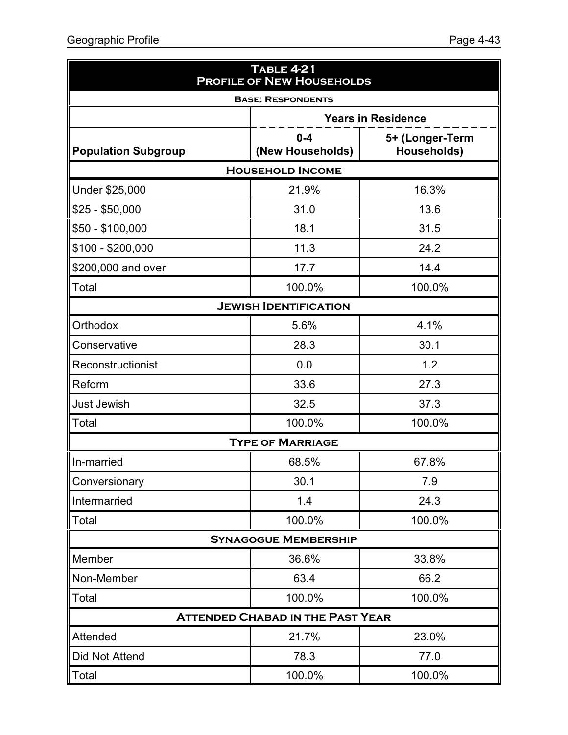| <b>TABLE 4-21</b><br><b>PROFILE OF NEW HOUSEHOLDS</b> |                                         |                                |  |  |  |  |  |  |
|-------------------------------------------------------|-----------------------------------------|--------------------------------|--|--|--|--|--|--|
|                                                       | <b>BASE: RESPONDENTS</b>                |                                |  |  |  |  |  |  |
|                                                       |                                         | <b>Years in Residence</b>      |  |  |  |  |  |  |
| <b>Population Subgroup</b>                            | $0 - 4$<br>(New Households)             | 5+ (Longer-Term<br>Households) |  |  |  |  |  |  |
| <b>HOUSEHOLD INCOME</b>                               |                                         |                                |  |  |  |  |  |  |
| Under \$25,000                                        | 21.9%                                   | 16.3%                          |  |  |  |  |  |  |
| $$25 - $50,000$                                       | 31.0                                    | 13.6                           |  |  |  |  |  |  |
| $$50 - $100,000$                                      | 18.1                                    | 31.5                           |  |  |  |  |  |  |
| $$100 - $200,000$                                     | 11.3                                    | 24.2                           |  |  |  |  |  |  |
| \$200,000 and over                                    | 17.7                                    | 14.4                           |  |  |  |  |  |  |
| Total                                                 | 100.0%                                  | 100.0%                         |  |  |  |  |  |  |
|                                                       | <b>JEWISH IDENTIFICATION</b>            |                                |  |  |  |  |  |  |
| Orthodox                                              | 5.6%                                    | 4.1%                           |  |  |  |  |  |  |
| Conservative                                          | 28.3                                    | 30.1                           |  |  |  |  |  |  |
| Reconstructionist                                     | 0.0                                     | 1.2                            |  |  |  |  |  |  |
| Reform                                                | 33.6                                    | 27.3                           |  |  |  |  |  |  |
| <b>Just Jewish</b>                                    | 32.5                                    | 37.3                           |  |  |  |  |  |  |
| Total                                                 | 100.0%                                  | 100.0%                         |  |  |  |  |  |  |
|                                                       | <b>TYPE OF MARRIAGE</b>                 |                                |  |  |  |  |  |  |
| In-married                                            | 68.5%                                   | 67.8%                          |  |  |  |  |  |  |
| Conversionary                                         | 30.1                                    | 7.9                            |  |  |  |  |  |  |
| Intermarried                                          | 1.4                                     | 24.3                           |  |  |  |  |  |  |
| Total                                                 | 100.0%                                  | 100.0%                         |  |  |  |  |  |  |
|                                                       | <b>SYNAGOGUE MEMBERSHIP</b>             |                                |  |  |  |  |  |  |
| Member                                                | 36.6%                                   | 33.8%                          |  |  |  |  |  |  |
| Non-Member                                            | 63.4                                    | 66.2                           |  |  |  |  |  |  |
| Total                                                 | 100.0%                                  | 100.0%                         |  |  |  |  |  |  |
|                                                       | <b>ATTENDED CHABAD IN THE PAST YEAR</b> |                                |  |  |  |  |  |  |
| Attended                                              | 21.7%                                   | 23.0%                          |  |  |  |  |  |  |
| <b>Did Not Attend</b>                                 | 78.3                                    | 77.0                           |  |  |  |  |  |  |
| Total                                                 | 100.0%                                  | 100.0%                         |  |  |  |  |  |  |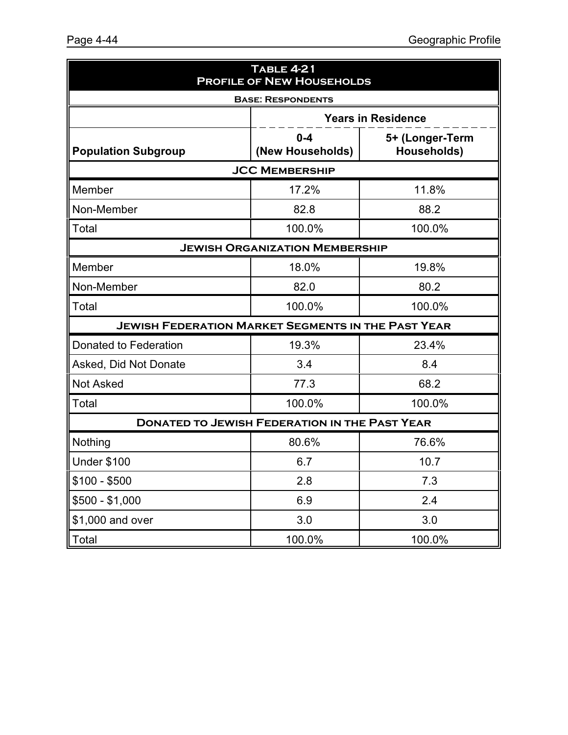| <b>TABLE 4-21</b><br><b>PROFILE OF NEW HOUSEHOLDS</b>     |                                       |                                |  |  |  |
|-----------------------------------------------------------|---------------------------------------|--------------------------------|--|--|--|
| <b>BASE: RESPONDENTS</b>                                  |                                       |                                |  |  |  |
|                                                           |                                       | <b>Years in Residence</b>      |  |  |  |
| <b>Population Subgroup</b>                                | $0 - 4$<br>(New Households)           | 5+ (Longer-Term<br>Households) |  |  |  |
|                                                           | <b>JCC MEMBERSHIP</b>                 |                                |  |  |  |
| Member                                                    | 17.2%                                 | 11.8%                          |  |  |  |
| Non-Member                                                | 82.8                                  | 88.2                           |  |  |  |
| Total                                                     | 100.0%                                | 100.0%                         |  |  |  |
|                                                           | <b>JEWISH ORGANIZATION MEMBERSHIP</b> |                                |  |  |  |
| Member                                                    | 18.0%                                 | 19.8%                          |  |  |  |
| Non-Member                                                | 82.0                                  | 80.2                           |  |  |  |
| Total                                                     | 100.0%                                | 100.0%                         |  |  |  |
| <b>JEWISH FEDERATION MARKET SEGMENTS IN THE PAST YEAR</b> |                                       |                                |  |  |  |
| Donated to Federation                                     | 19.3%                                 | 23.4%                          |  |  |  |
| Asked, Did Not Donate                                     | 3.4                                   | 8.4                            |  |  |  |
| <b>Not Asked</b>                                          | 77.3                                  | 68.2                           |  |  |  |
| Total                                                     | 100.0%                                | 100.0%                         |  |  |  |
| <b>DONATED TO JEWISH FEDERATION IN THE PAST YEAR</b>      |                                       |                                |  |  |  |
| Nothing                                                   | 80.6%                                 | 76.6%                          |  |  |  |
| <b>Under \$100</b>                                        | 6.7                                   | 10.7                           |  |  |  |
| $$100 - $500$                                             | 2.8                                   | 7.3                            |  |  |  |
| $$500 - $1,000$                                           | 6.9                                   | 2.4                            |  |  |  |
| \$1,000 and over                                          | 3.0                                   | 3.0                            |  |  |  |
| Total                                                     | 100.0%                                | 100.0%                         |  |  |  |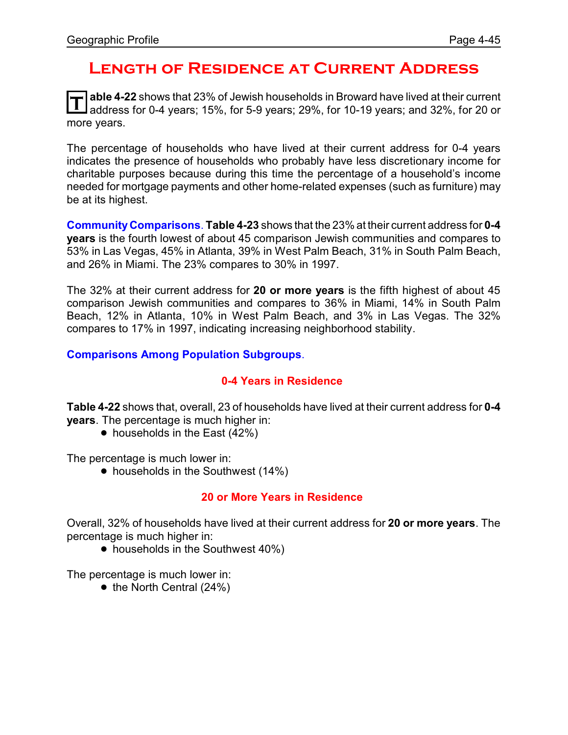### **Length of Residence at Current Address**

T able 4-22 shows that 23% of Jewish households in Broward have lived at their current<br>address for 0-4 years; 15%, for 5-9 years; 29%, for 10-19 years; and 32%, for 20 or **able 4-22** shows that 23% of Jewish households in Broward have lived at their current more years.

The percentage of households who have lived at their current address for 0-4 years indicates the presence of households who probably have less discretionary income for charitable purposes because during this time the percentage of a household's income needed for mortgage payments and other home-related expenses (such as furniture) may be at its highest.

**CommunityComparisons**. **Table 4-23** shows that the 23% at their current address for **0-4 years** is the fourth lowest of about 45 comparison Jewish communities and compares to 53% in Las Vegas, 45% in Atlanta, 39% in West Palm Beach, 31% in South Palm Beach, and 26% in Miami. The 23% compares to 30% in 1997.

The 32% at their current address for **20 or more years** is the fifth highest of about 45 comparison Jewish communities and compares to 36% in Miami, 14% in South Palm Beach, 12% in Atlanta, 10% in West Palm Beach, and 3% in Las Vegas. The 32% compares to 17% in 1997, indicating increasing neighborhood stability.

**Comparisons Among Population Subgroups**.

#### **0-4 Years in Residence**

**Table 4-22** shows that, overall, 23 of households have lived at their current address for **0-4 years**. The percentage is much higher in:

• households in the East (42%)

The percentage is much lower in:

• households in the Southwest (14%)

#### **20 or More Years in Residence**

Overall, 32% of households have lived at their current address for **20 or more years**. The percentage is much higher in:

• households in the Southwest 40%)

The percentage is much lower in:

 $\bullet$  the North Central (24%)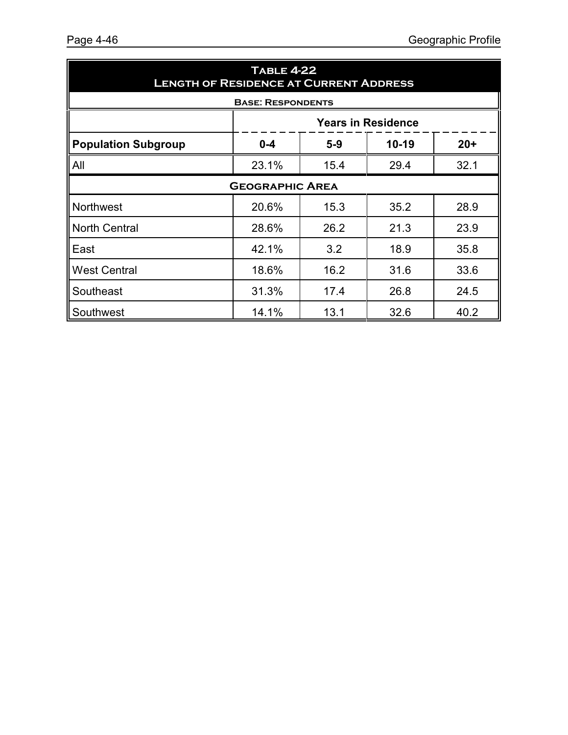| <b>TABLE 4-22</b><br><b>LENGTH OF RESIDENCE AT CURRENT ADDRESS</b> |                                          |      |      |      |  |  |
|--------------------------------------------------------------------|------------------------------------------|------|------|------|--|--|
|                                                                    | <b>BASE: RESPONDENTS</b>                 |      |      |      |  |  |
|                                                                    | <b>Years in Residence</b>                |      |      |      |  |  |
| <b>Population Subgroup</b>                                         | $10 - 19$<br>$0 - 4$<br>$5 - 9$<br>$20+$ |      |      |      |  |  |
| All                                                                | 23.1%                                    | 15.4 | 29.4 | 32.1 |  |  |
|                                                                    | <b>GEOGRAPHIC AREA</b>                   |      |      |      |  |  |
| Northwest                                                          | 20.6%                                    | 15.3 | 35.2 | 28.9 |  |  |
| North Central                                                      | 28.6%                                    | 26.2 | 21.3 | 23.9 |  |  |
| East                                                               | 42.1%                                    | 3.2  | 18.9 | 35.8 |  |  |
| <b>West Central</b>                                                | 18.6%                                    | 16.2 | 31.6 | 33.6 |  |  |
| Southeast                                                          | 31.3%                                    | 17.4 | 26.8 | 24.5 |  |  |
| Southwest                                                          | 14.1%                                    | 13.1 | 32.6 | 40.2 |  |  |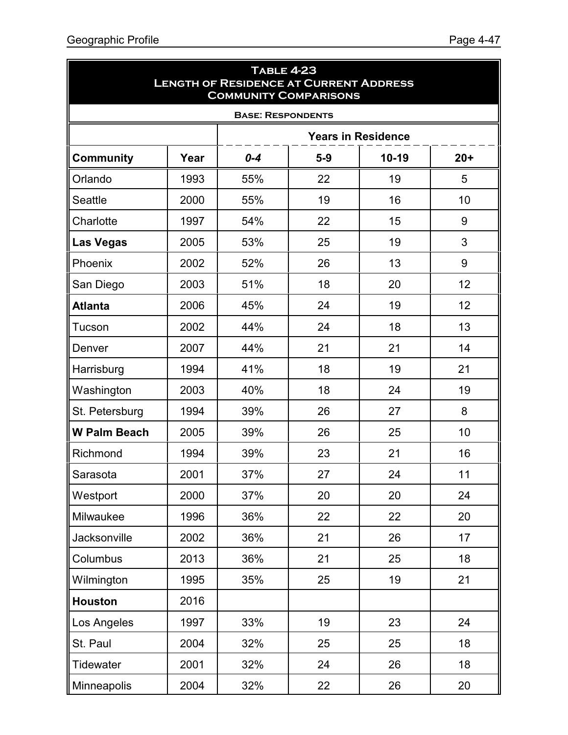ā

| <b>TABLE 4-23</b><br><b>LENGTH OF RESIDENCE AT CURRENT ADDRESS</b><br><b>COMMUNITY COMPARISONS</b> |      |                          |       |                           |       |  |  |
|----------------------------------------------------------------------------------------------------|------|--------------------------|-------|---------------------------|-------|--|--|
|                                                                                                    |      | <b>BASE: RESPONDENTS</b> |       |                           |       |  |  |
|                                                                                                    |      |                          |       | <b>Years in Residence</b> |       |  |  |
| <b>Community</b>                                                                                   | Year | $0 - 4$                  | $5-9$ | $10 - 19$                 | $20+$ |  |  |
| Orlando                                                                                            | 1993 | 55%                      | 22    | 19                        | 5     |  |  |
| <b>Seattle</b>                                                                                     | 2000 | 55%                      | 19    | 16                        | 10    |  |  |
| Charlotte                                                                                          | 1997 | 54%                      | 22    | 15                        | 9     |  |  |
| <b>Las Vegas</b>                                                                                   | 2005 | 53%                      | 25    | 19                        | 3     |  |  |
| Phoenix                                                                                            | 2002 | 52%                      | 26    | 13                        | 9     |  |  |
| San Diego                                                                                          | 2003 | 51%                      | 18    | 20                        | 12    |  |  |
| <b>Atlanta</b>                                                                                     | 2006 | 45%                      | 24    | 19                        | 12    |  |  |
| Tucson                                                                                             | 2002 | 44%                      | 24    | 18                        | 13    |  |  |
| Denver                                                                                             | 2007 | 44%                      | 21    | 21                        | 14    |  |  |
| Harrisburg                                                                                         | 1994 | 41%                      | 18    | 19                        | 21    |  |  |
| Washington                                                                                         | 2003 | 40%                      | 18    | 24                        | 19    |  |  |
| St. Petersburg                                                                                     | 1994 | 39%                      | 26    | 27                        | 8     |  |  |
| <b>W Palm Beach</b>                                                                                | 2005 | 39%                      | 26    | 25                        | 10    |  |  |
| Richmond                                                                                           | 1994 | 39%                      | 23    | 21                        | 16    |  |  |
| Sarasota                                                                                           | 2001 | 37%                      | 27    | 24                        | 11    |  |  |
| Westport                                                                                           | 2000 | 37%                      | 20    | 20                        | 24    |  |  |
| Milwaukee                                                                                          | 1996 | 36%                      | 22    | 22                        | 20    |  |  |
| Jacksonville                                                                                       | 2002 | 36%                      | 21    | 26                        | 17    |  |  |
| Columbus                                                                                           | 2013 | 36%                      | 21    | 25                        | 18    |  |  |
| Wilmington                                                                                         | 1995 | 35%                      | 25    | 19                        | 21    |  |  |
| <b>Houston</b>                                                                                     | 2016 |                          |       |                           |       |  |  |
| Los Angeles                                                                                        | 1997 | 33%                      | 19    | 23                        | 24    |  |  |
| St. Paul                                                                                           | 2004 | 32%                      | 25    | 25                        | 18    |  |  |
| <b>Tidewater</b>                                                                                   | 2001 | 32%                      | 24    | 26                        | 18    |  |  |
| Minneapolis                                                                                        | 2004 | 32%                      | 22    | 26                        | 20    |  |  |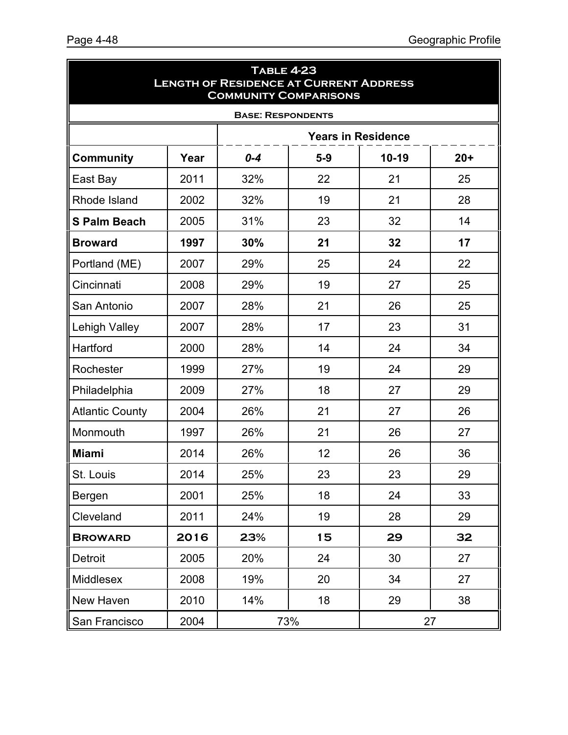| <b>TABLE 4-23</b><br><b>LENGTH OF RESIDENCE AT CURRENT ADDRESS</b><br><b>COMMUNITY COMPARISONS</b> |                          |         |       |         |        |  |  |  |
|----------------------------------------------------------------------------------------------------|--------------------------|---------|-------|---------|--------|--|--|--|
|                                                                                                    | <b>BASE: RESPONDENTS</b> |         |       |         |        |  |  |  |
| <b>Years in Residence</b>                                                                          |                          |         |       |         |        |  |  |  |
| <b>Community</b>                                                                                   | Year                     | $0 - 4$ | $5-9$ | $10-19$ | $20 +$ |  |  |  |
| East Bay                                                                                           | 2011                     | 32%     | 22    | 21      | 25     |  |  |  |
| Rhode Island                                                                                       | 2002                     | 32%     | 19    | 21      | 28     |  |  |  |
| <b>S Palm Beach</b>                                                                                | 2005                     | 31%     | 23    | 32      | 14     |  |  |  |
| <b>Broward</b>                                                                                     | 1997                     | 30%     | 21    | 32      | 17     |  |  |  |
| Portland (ME)                                                                                      | 2007                     | 29%     | 25    | 24      | 22     |  |  |  |
| Cincinnati                                                                                         | 2008                     | 29%     | 19    | 27      | 25     |  |  |  |
| San Antonio                                                                                        | 2007                     | 28%     | 21    | 26      | 25     |  |  |  |
| Lehigh Valley                                                                                      | 2007                     | 28%     | 17    | 23      | 31     |  |  |  |
| Hartford                                                                                           | 2000                     | 28%     | 14    | 24      | 34     |  |  |  |
| Rochester                                                                                          | 1999                     | 27%     | 19    | 24      | 29     |  |  |  |
| Philadelphia                                                                                       | 2009                     | 27%     | 18    | 27      | 29     |  |  |  |
| <b>Atlantic County</b>                                                                             | 2004                     | 26%     | 21    | 27      | 26     |  |  |  |
| Monmouth                                                                                           | 1997                     | 26%     | 21    | 26      | 27     |  |  |  |
| <b>Miami</b>                                                                                       | 2014                     | 26%     | 12    | 26      | 36     |  |  |  |
| St. Louis                                                                                          | 2014                     | 25%     | 23    | 23      | 29     |  |  |  |
| Bergen                                                                                             | 2001                     | 25%     | 18    | 24      | 33     |  |  |  |
| Cleveland                                                                                          | 2011                     | 24%     | 19    | 28      | 29     |  |  |  |
| <b>BROWARD</b>                                                                                     | 2016                     | 23%     | 15    | 29      | 32     |  |  |  |
| Detroit                                                                                            | 2005                     | 20%     | 24    | 30      | 27     |  |  |  |
| <b>Middlesex</b>                                                                                   | 2008                     | 19%     | 20    | 34      | 27     |  |  |  |
| New Haven                                                                                          | 2010                     | 14%     | 18    | 29      | 38     |  |  |  |
| San Francisco                                                                                      | 2004                     |         | 73%   | 27      |        |  |  |  |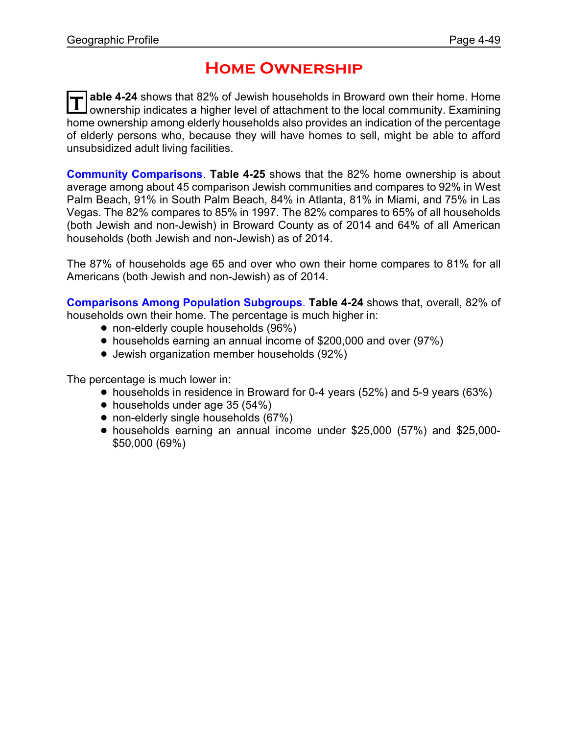### **Home Ownership**

T able 4-24 shows that 82% of Jewish households in Broward own their home. Home<br>Ownership indicates a higher level of attachment to the local community. Examining **able 4-24** shows that 82% of Jewish households in Broward own their home. Home home ownership among elderly households also provides an indication of the percentage of elderly persons who, because they will have homes to sell, might be able to afford unsubsidized adult living facilities.

**Community Comparisons**. **Table 4-25** shows that the 82% home ownership is about average among about 45 comparison Jewish communities and compares to 92% in West Palm Beach, 91% in South Palm Beach, 84% in Atlanta, 81% in Miami, and 75% in Las Vegas. The 82% compares to 85% in 1997. The 82% compares to 65% of all households (both Jewish and non-Jewish) in Broward County as of 2014 and 64% of all American households (both Jewish and non-Jewish) as of 2014.

The 87% of households age 65 and over who own their home compares to 81% for all Americans (both Jewish and non-Jewish) as of 2014.

**Comparisons Among Population Subgroups**. **Table 4-24** shows that, overall, 82% of households own their home. The percentage is much higher in:

- non-elderly couple households (96%)
- ! households earning an annual income of \$200,000 and over (97%)
- ! Jewish organization member households (92%)

The percentage is much lower in:

- households in residence in Broward for 0-4 years (52%) and 5-9 years (63%)
- households under age 35 (54%)
- non-elderly single households (67%)
- ! households earning an annual income under \$25,000 (57%) and \$25,000- \$50,000 (69%)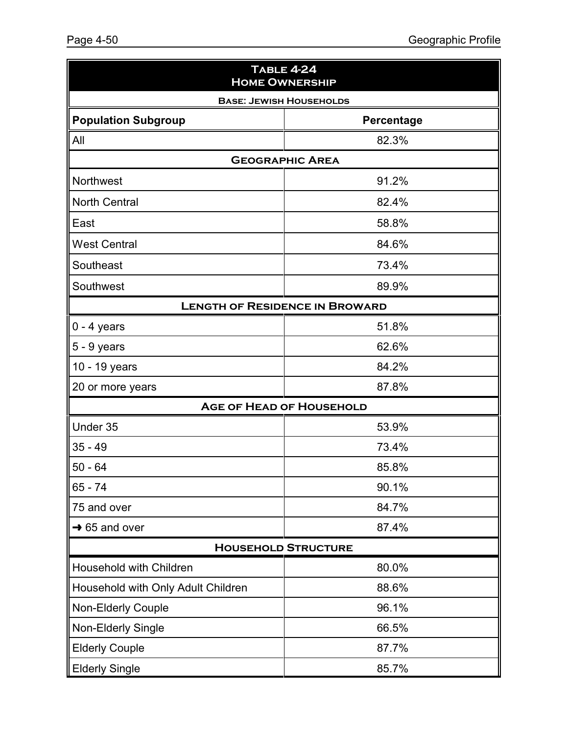| <b>TABLE 4-24</b><br><b>HOME OWNERSHIP</b> |            |  |  |  |  |  |  |
|--------------------------------------------|------------|--|--|--|--|--|--|
| <b>BASE: JEWISH HOUSEHOLDS</b>             |            |  |  |  |  |  |  |
| <b>Population Subgroup</b>                 | Percentage |  |  |  |  |  |  |
| All                                        | 82.3%      |  |  |  |  |  |  |
| <b>GEOGRAPHIC AREA</b>                     |            |  |  |  |  |  |  |
| Northwest                                  | 91.2%      |  |  |  |  |  |  |
| <b>North Central</b>                       | 82.4%      |  |  |  |  |  |  |
| East                                       | 58.8%      |  |  |  |  |  |  |
| <b>West Central</b>                        | 84.6%      |  |  |  |  |  |  |
| Southeast                                  | 73.4%      |  |  |  |  |  |  |
| Southwest                                  | 89.9%      |  |  |  |  |  |  |
| <b>LENGTH OF RESIDENCE IN BROWARD</b>      |            |  |  |  |  |  |  |
| $0 - 4$ years                              | 51.8%      |  |  |  |  |  |  |
| $5 - 9$ years                              | 62.6%      |  |  |  |  |  |  |
| 10 - 19 years                              | 84.2%      |  |  |  |  |  |  |
| 20 or more years                           | 87.8%      |  |  |  |  |  |  |
| <b>AGE OF HEAD OF HOUSEHOLD</b>            |            |  |  |  |  |  |  |
| Under 35                                   | 53.9%      |  |  |  |  |  |  |
| $35 - 49$                                  | 73.4%      |  |  |  |  |  |  |
| $50 - 64$                                  | 85.8%      |  |  |  |  |  |  |
| $65 - 74$                                  | 90.1%      |  |  |  |  |  |  |
| 75 and over                                | 84.7%      |  |  |  |  |  |  |
| $\rightarrow$ 65 and over                  | 87.4%      |  |  |  |  |  |  |
| <b>HOUSEHOLD STRUCTURE</b>                 |            |  |  |  |  |  |  |
| Household with Children                    | 80.0%      |  |  |  |  |  |  |
| Household with Only Adult Children         | 88.6%      |  |  |  |  |  |  |
| Non-Elderly Couple                         | 96.1%      |  |  |  |  |  |  |
| Non-Elderly Single                         | 66.5%      |  |  |  |  |  |  |
| <b>Elderly Couple</b>                      | 87.7%      |  |  |  |  |  |  |
| <b>Elderly Single</b>                      | 85.7%      |  |  |  |  |  |  |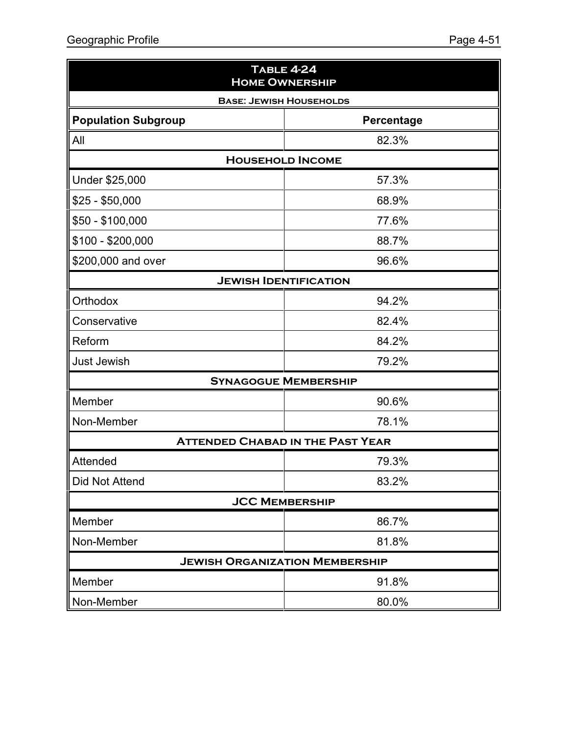| <b>TABLE 4-24</b><br><b>HOME OWNERSHIP</b> |            |  |  |  |
|--------------------------------------------|------------|--|--|--|
| <b>BASE: JEWISH HOUSEHOLDS</b>             |            |  |  |  |
| <b>Population Subgroup</b>                 | Percentage |  |  |  |
| All                                        | 82.3%      |  |  |  |
| <b>HOUSEHOLD INCOME</b>                    |            |  |  |  |
| Under \$25,000                             | 57.3%      |  |  |  |
| $$25 - $50,000$                            | 68.9%      |  |  |  |
| \$50 - \$100,000                           | 77.6%      |  |  |  |
| \$100 - \$200,000                          | 88.7%      |  |  |  |
| \$200,000 and over                         | 96.6%      |  |  |  |
| <b>JEWISH IDENTIFICATION</b>               |            |  |  |  |
| Orthodox                                   | 94.2%      |  |  |  |
| Conservative                               | 82.4%      |  |  |  |
| Reform                                     | 84.2%      |  |  |  |
| <b>Just Jewish</b>                         | 79.2%      |  |  |  |
| <b>SYNAGOGUE MEMBERSHIP</b>                |            |  |  |  |
| Member                                     | 90.6%      |  |  |  |
| Non-Member                                 | 78.1%      |  |  |  |
| <b>ATTENDED CHABAD IN THE PAST YEAR</b>    |            |  |  |  |
| Attended                                   | 79.3%      |  |  |  |
| Did Not Attend                             | 83.2%      |  |  |  |
| <b>JCC MEMBERSHIP</b>                      |            |  |  |  |
| Member                                     | 86.7%      |  |  |  |
| Non-Member                                 | 81.8%      |  |  |  |
| <b>JEWISH ORGANIZATION MEMBERSHIP</b>      |            |  |  |  |
| Member                                     | 91.8%      |  |  |  |
| Non-Member                                 | 80.0%      |  |  |  |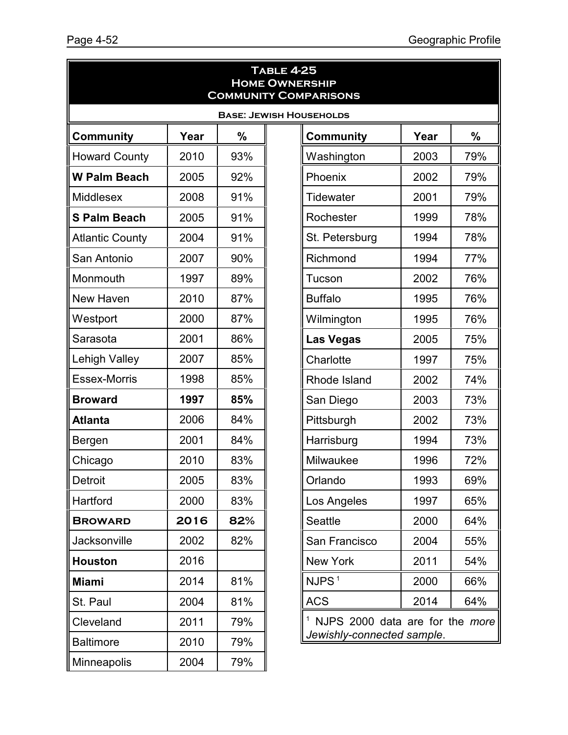|                        |      |     | <b>TABLE 4-25</b><br><b>HOME OWNERSHIP</b> | <b>COMMUNITY COMPARISONS</b>                 |      |               |
|------------------------|------|-----|--------------------------------------------|----------------------------------------------|------|---------------|
|                        |      |     |                                            | <b>BASE: JEWISH HOUSEHOLDS</b>               |      |               |
| <b>Community</b>       | Year | %   |                                            | <b>Community</b>                             | Year | $\frac{0}{0}$ |
| <b>Howard County</b>   | 2010 | 93% |                                            | Washington                                   | 2003 | 79%           |
| <b>W Palm Beach</b>    | 2005 | 92% |                                            | Phoenix                                      | 2002 | 79%           |
| <b>Middlesex</b>       | 2008 | 91% |                                            | Tidewater                                    | 2001 | 79%           |
| <b>S Palm Beach</b>    | 2005 | 91% |                                            | Rochester                                    | 1999 | 78%           |
| <b>Atlantic County</b> | 2004 | 91% |                                            | St. Petersburg                               | 1994 | 78%           |
| San Antonio            | 2007 | 90% |                                            | Richmond                                     | 1994 | 77%           |
| Monmouth               | 1997 | 89% |                                            | Tucson                                       | 2002 | 76%           |
| New Haven              | 2010 | 87% |                                            | <b>Buffalo</b>                               | 1995 | 76%           |
| Westport               | 2000 | 87% |                                            | Wilmington                                   | 1995 | 76%           |
| Sarasota               | 2001 | 86% |                                            | <b>Las Vegas</b>                             | 2005 | 75%           |
| Lehigh Valley          | 2007 | 85% |                                            | Charlotte                                    | 1997 | 75%           |
| <b>Essex-Morris</b>    | 1998 | 85% |                                            | Rhode Island                                 | 2002 | 74%           |
| <b>Broward</b>         | 1997 | 85% |                                            | San Diego                                    | 2003 | 73%           |
| <b>Atlanta</b>         | 2006 | 84% |                                            | Pittsburgh                                   | 2002 | 73%           |
| Bergen                 | 2001 | 84% |                                            | Harrisburg                                   | 1994 | 73%           |
| Chicago                | 2010 | 83% |                                            | Milwaukee                                    | 1996 | 72%           |
| <b>Detroit</b>         | 2005 | 83% |                                            | Orlando                                      | 1993 | 69%           |
| Hartford               | 2000 | 83% |                                            | Los Angeles                                  | 1997 | 65%           |
| <b>BROWARD</b>         | 2016 | 82% |                                            | <b>Seattle</b>                               | 2000 | 64%           |
| <b>Jacksonville</b>    | 2002 | 82% |                                            | San Francisco                                | 2004 | 55%           |
| <b>Houston</b>         | 2016 |     |                                            | New York                                     | 2011 | 54%           |
| <b>Miami</b>           | 2014 | 81% |                                            | NJPS <sup>1</sup>                            | 2000 | 66%           |
| St. Paul               | 2004 | 81% |                                            | <b>ACS</b>                                   | 2014 | 64%           |
| Cleveland              | 2011 | 79% |                                            | <sup>1</sup> NJPS 2000 data are for the more |      |               |
| <b>Baltimore</b>       | 2010 | 79% |                                            | Jewishly-connected sample.                   |      |               |
| <b>Minneapolis</b>     | 2004 | 79% |                                            |                                              |      |               |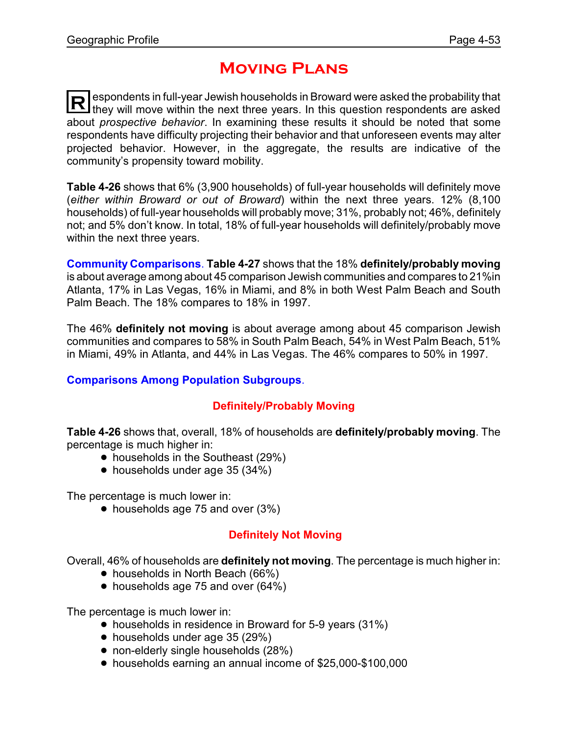### **Moving Plans**

**R** espondents in full-year Jewish households in Broward were asked the probability that they will move within the next three years. In this question respondents are asked about *prospective behavior*. In examining these results it should be noted that some respondents have difficulty projecting their behavior and that unforeseen events may alter projected behavior. However, in the aggregate, the results are indicative of the community's propensity toward mobility.

**Table 4-26** shows that 6% (3,900 households) of full-year households will definitely move (*either within Broward or out of Broward*) within the next three years. 12% (8,100 households) of full-year households will probably move; 31%, probably not; 46%, definitely not; and 5% don't know. In total, 18% of full-year households will definitely/probably move within the next three years.

**Community Comparisons**. **Table 4-27** shows that the 18% **definitely/probably moving** is about average among about 45 comparison Jewish communities and compares to 21%in Atlanta, 17% in Las Vegas, 16% in Miami, and 8% in both West Palm Beach and South Palm Beach. The 18% compares to 18% in 1997.

The 46% **definitely not moving** is about average among about 45 comparison Jewish communities and compares to 58% in South Palm Beach, 54% in West Palm Beach, 51% in Miami, 49% in Atlanta, and 44% in Las Vegas. The 46% compares to 50% in 1997.

#### **Comparisons Among Population Subgroups**.

#### **Definitely/Probably Moving**

**Table 4-26** shows that, overall, 18% of households are **definitely/probably moving**. The percentage is much higher in:

- households in the Southeast (29%)
- households under age 35 (34%)

The percentage is much lower in:

 $\bullet$  households age 75 and over (3%)

### **Definitely Not Moving**

Overall, 46% of households are **definitely not moving**. The percentage is much higher in:

- households in North Beach (66%)
- households age 75 and over (64%)

The percentage is much lower in:

- households in residence in Broward for 5-9 years (31%)
- households under age 35 (29%)
- non-elderly single households (28%)
- ! households earning an annual income of \$25,000-\$100,000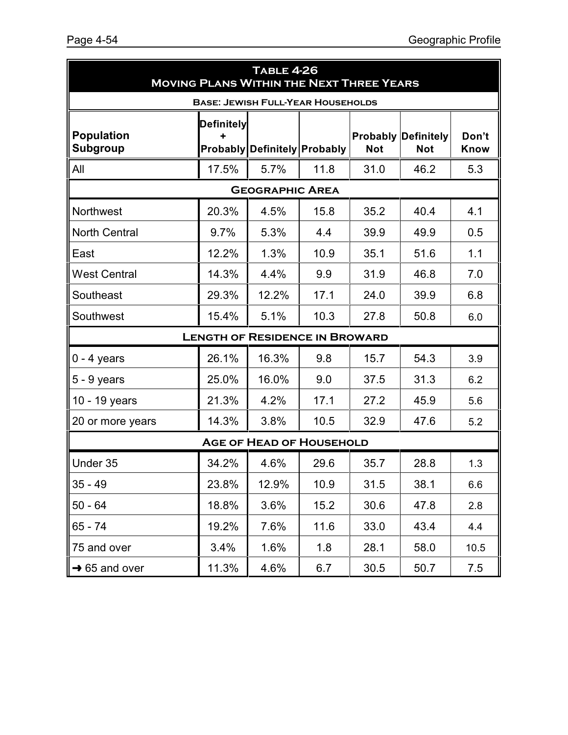| <b>TABLE 4-26</b><br><b>MOVING PLANS WITHIN THE NEXT THREE YEARS</b> |                   |                                          |      |            |                                          |                      |
|----------------------------------------------------------------------|-------------------|------------------------------------------|------|------------|------------------------------------------|----------------------|
|                                                                      |                   | <b>BASE: JEWISH FULL-YEAR HOUSEHOLDS</b> |      |            |                                          |                      |
| <b>Population</b><br><b>Subgroup</b>                                 | <b>Definitely</b> | <b>Probably Definitely Probably</b>      |      | <b>Not</b> | <b>Probably Definitely</b><br><b>Not</b> | Don't<br><b>Know</b> |
| All                                                                  | 17.5%             | 5.7%                                     | 11.8 | 31.0       | 46.2                                     | 5.3                  |
|                                                                      |                   | <b>GEOGRAPHIC AREA</b>                   |      |            |                                          |                      |
| Northwest                                                            | 20.3%             | 4.5%                                     | 15.8 | 35.2       | 40.4                                     | 4.1                  |
| <b>North Central</b>                                                 | 9.7%              | 5.3%                                     | 4.4  | 39.9       | 49.9                                     | 0.5                  |
| East                                                                 | 12.2%             | 1.3%                                     | 10.9 | 35.1       | 51.6                                     | 1.1                  |
| <b>West Central</b>                                                  | 14.3%             | 4.4%                                     | 9.9  | 31.9       | 46.8                                     | 7.0                  |
| Southeast                                                            | 29.3%             | 12.2%                                    | 17.1 | 24.0       | 39.9                                     | 6.8                  |
| Southwest                                                            | 15.4%             | 5.1%                                     | 10.3 | 27.8       | 50.8                                     | 6.0                  |
|                                                                      |                   | <b>LENGTH OF RESIDENCE IN BROWARD</b>    |      |            |                                          |                      |
| $0 - 4$ years                                                        | 26.1%             | 16.3%                                    | 9.8  | 15.7       | 54.3                                     | 3.9                  |
| $5 - 9$ years                                                        | 25.0%             | 16.0%                                    | 9.0  | 37.5       | 31.3                                     | 6.2                  |
| 10 - 19 years                                                        | 21.3%             | 4.2%                                     | 17.1 | 27.2       | 45.9                                     | 5.6                  |
| 20 or more years                                                     | 14.3%             | 3.8%                                     | 10.5 | 32.9       | 47.6                                     | 5.2                  |
|                                                                      |                   | <b>AGE OF HEAD OF HOUSEHOLD</b>          |      |            |                                          |                      |
| Under 35                                                             | 34.2%             | 4.6%                                     | 29.6 | 35.7       | 28.8                                     | 1.3                  |
| $35 - 49$                                                            | 23.8%             | 12.9%                                    | 10.9 | 31.5       | 38.1                                     | 6.6                  |
| $50 - 64$                                                            | 18.8%             | 3.6%                                     | 15.2 | 30.6       | 47.8                                     | 2.8                  |
| $65 - 74$                                                            | 19.2%             | 7.6%                                     | 11.6 | 33.0       | 43.4                                     | 4.4                  |
| 75 and over                                                          | 3.4%              | 1.6%                                     | 1.8  | 28.1       | 58.0                                     | 10.5                 |
| $\rightarrow$ 65 and over                                            | 11.3%             | 4.6%                                     | 6.7  | 30.5       | 50.7                                     | 7.5                  |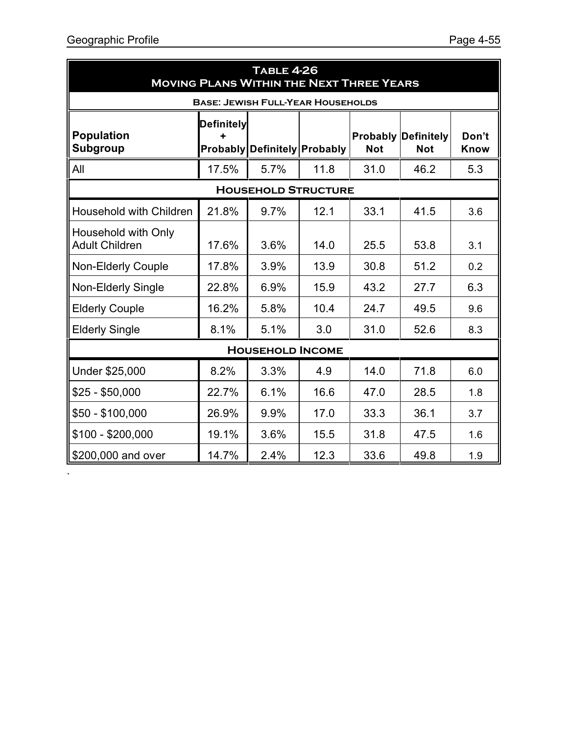.

| <b>TABLE 4-26</b><br><b>MOVING PLANS WITHIN THE NEXT THREE YEARS</b> |                                      |                                          |      |            |                                          |               |
|----------------------------------------------------------------------|--------------------------------------|------------------------------------------|------|------------|------------------------------------------|---------------|
|                                                                      |                                      | <b>BASE: JEWISH FULL-YEAR HOUSEHOLDS</b> |      |            |                                          |               |
| <b>Population</b><br><b>Subgroup</b>                                 | <b>Definitely</b><br><b>Probably</b> | Definitely Probably                      |      | <b>Not</b> | <b>Probably Definitely</b><br><b>Not</b> | Don't<br>Know |
| All                                                                  | 17.5%                                | 5.7%                                     | 11.8 | 31.0       | 46.2                                     | 5.3           |
|                                                                      |                                      | <b>HOUSEHOLD STRUCTURE</b>               |      |            |                                          |               |
| Household with Children                                              | 21.8%                                | 9.7%                                     | 12.1 | 33.1       | 41.5                                     | 3.6           |
| Household with Only<br><b>Adult Children</b>                         | 17.6%                                | 3.6%                                     | 14.0 | 25.5       | 53.8                                     | 3.1           |
| <b>Non-Elderly Couple</b>                                            | 17.8%                                | 3.9%                                     | 13.9 | 30.8       | 51.2                                     | 0.2           |
| Non-Elderly Single                                                   | 22.8%                                | 6.9%                                     | 15.9 | 43.2       | 27.7                                     | 6.3           |
| <b>Elderly Couple</b>                                                | 16.2%                                | 5.8%                                     | 10.4 | 24.7       | 49.5                                     | 9.6           |
| <b>Elderly Single</b>                                                | 8.1%                                 | 5.1%                                     | 3.0  | 31.0       | 52.6                                     | 8.3           |
|                                                                      |                                      | <b>HOUSEHOLD INCOME</b>                  |      |            |                                          |               |
| Under \$25,000                                                       | 8.2%                                 | 3.3%                                     | 4.9  | 14.0       | 71.8                                     | 6.0           |
| $$25 - $50,000$                                                      | 22.7%                                | 6.1%                                     | 16.6 | 47.0       | 28.5                                     | 1.8           |
| $$50 - $100,000$                                                     | 26.9%                                | 9.9%                                     | 17.0 | 33.3       | 36.1                                     | 3.7           |
| $$100 - $200,000$                                                    | 19.1%                                | 3.6%                                     | 15.5 | 31.8       | 47.5                                     | 1.6           |
| \$200,000 and over                                                   | 14.7%                                | 2.4%                                     | 12.3 | 33.6       | 49.8                                     | 1.9           |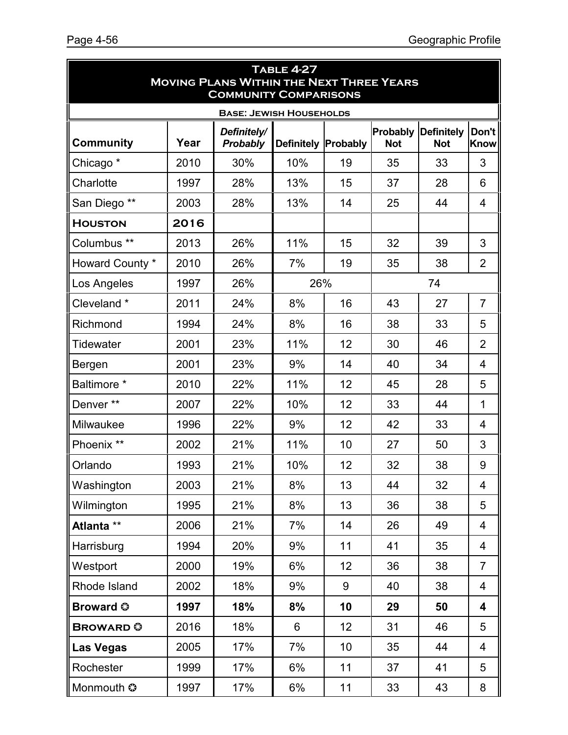| <b>TABLE 4-27</b><br><b>MOVING PLANS WITHIN THE NEXT THREE YEARS</b><br><b>COMMUNITY COMPARISONS</b> |      |                                |                            |    |                        |                                 |                      |  |
|------------------------------------------------------------------------------------------------------|------|--------------------------------|----------------------------|----|------------------------|---------------------------------|----------------------|--|
|                                                                                                      |      | <b>BASE: JEWISH HOUSEHOLDS</b> |                            |    |                        |                                 |                      |  |
| <b>Community</b>                                                                                     | Year | Definitely/<br>Probably        | <b>Definitely Probably</b> |    | Probably<br><b>Not</b> | <b>Definitely</b><br><b>Not</b> | Don't<br><b>Know</b> |  |
| Chicago <sup>*</sup>                                                                                 | 2010 | 30%                            | 10%                        | 19 | 35                     | 33                              | 3                    |  |
| Charlotte                                                                                            | 1997 | 28%                            | 13%                        | 15 | 37                     | 28                              | 6                    |  |
| San Diego **                                                                                         | 2003 | 28%                            | 13%                        | 14 | 25                     | 44                              | $\overline{4}$       |  |
| <b>HOUSTON</b>                                                                                       | 2016 |                                |                            |    |                        |                                 |                      |  |
| Columbus <sup>**</sup>                                                                               | 2013 | 26%                            | 11%                        | 15 | 32                     | 39                              | 3                    |  |
| Howard County *                                                                                      | 2010 | 26%                            | 7%                         | 19 | 35                     | 38                              | 2                    |  |
| Los Angeles                                                                                          | 1997 | 26%                            | 26%                        |    |                        | 74                              |                      |  |
| Cleveland*                                                                                           | 2011 | 24%                            | 8%                         | 16 | 43                     | 27                              | $\overline{7}$       |  |
| Richmond                                                                                             | 1994 | 24%                            | 8%                         | 16 | 38                     | 33                              | 5                    |  |
| Tidewater                                                                                            | 2001 | 23%                            | 11%                        | 12 | 30                     | 46                              | 2                    |  |
| Bergen                                                                                               | 2001 | 23%                            | 9%                         | 14 | 40                     | 34                              | $\overline{4}$       |  |
| Baltimore *                                                                                          | 2010 | 22%                            | 11%                        | 12 | 45                     | 28                              | 5                    |  |
| Denver**                                                                                             | 2007 | 22%                            | 10%                        | 12 | 33                     | 44                              | $\mathbf{1}$         |  |
| Milwaukee                                                                                            | 1996 | 22%                            | 9%                         | 12 | 42                     | 33                              | 4                    |  |
| Phoenix **                                                                                           | 2002 | 21%                            | 11%                        | 10 | 27                     | 50                              | 3                    |  |
| Orlando                                                                                              | 1993 | 21%                            | 10%                        | 12 | 32                     | 38                              | 9                    |  |
| Washington                                                                                           | 2003 | 21%                            | 8%                         | 13 | 44                     | 32                              | 4                    |  |
| Wilmington                                                                                           | 1995 | 21%                            | 8%                         | 13 | 36                     | 38                              | 5                    |  |
| Atlanta **                                                                                           | 2006 | 21%                            | 7%                         | 14 | 26                     | 49                              | 4                    |  |
| Harrisburg                                                                                           | 1994 | 20%                            | 9%                         | 11 | 41                     | 35                              | 4                    |  |
| Westport                                                                                             | 2000 | 19%                            | 6%                         | 12 | 36                     | 38                              | $\overline{7}$       |  |
| Rhode Island                                                                                         | 2002 | 18%                            | 9%                         | 9  | 40                     | 38                              | 4                    |  |
| <b>Broward ©</b>                                                                                     | 1997 | 18%                            | 8%                         | 10 | 29                     | 50                              | 4                    |  |
| <b>BROWARD</b>                                                                                       | 2016 | 18%                            | 6                          | 12 | 31                     | 46                              | 5                    |  |
| <b>Las Vegas</b>                                                                                     | 2005 | 17%                            | 7%                         | 10 | 35                     | 44                              | 4                    |  |
| Rochester                                                                                            | 1999 | 17%                            | 6%                         | 11 | 37                     | 41                              | 5                    |  |
| Monmouth ©                                                                                           | 1997 | 17%                            | 6%                         | 11 | 33                     | 43                              | 8                    |  |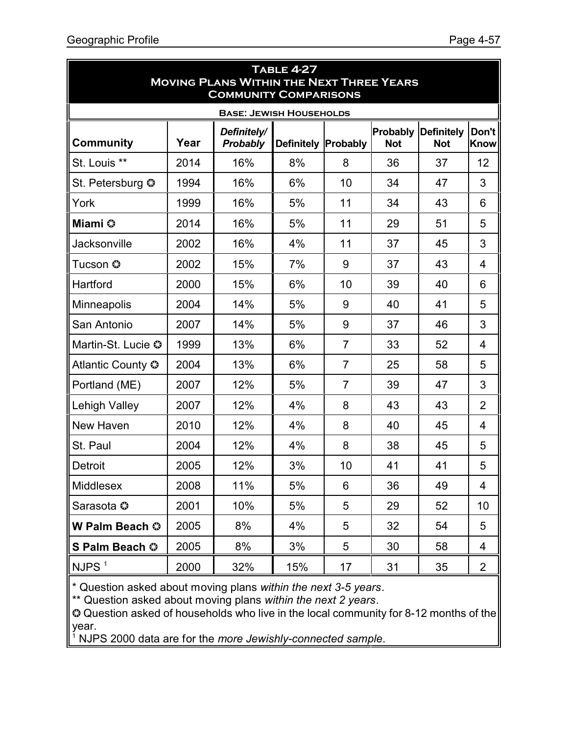| <b>TABLE 4-27</b><br><b>MOVING PLANS WITHIN THE NEXT THREE YEARS</b><br><b>COMMUNITY COMPARISONS</b> |      |                                |                            |                |                        |                                 |                      |  |
|------------------------------------------------------------------------------------------------------|------|--------------------------------|----------------------------|----------------|------------------------|---------------------------------|----------------------|--|
|                                                                                                      |      | <b>BASE: JEWISH HOUSEHOLDS</b> |                            |                |                        |                                 |                      |  |
| <b>Community</b>                                                                                     | Year | Definitely/<br>Probably        | <b>Definitely Probably</b> |                | Probably<br><b>Not</b> | <b>Definitely</b><br><b>Not</b> | Don't<br><b>Know</b> |  |
| St. Louis **                                                                                         | 2014 | 16%                            | 8%                         | 8              | 36                     | 37                              | 12                   |  |
| St. Petersburg ©                                                                                     | 1994 | 16%                            | 6%                         | 10             | 34                     | 47                              | 3                    |  |
| York                                                                                                 | 1999 | 16%                            | 5%                         | 11             | 34                     | 43                              | 6                    |  |
| Miami ©                                                                                              | 2014 | 16%                            | 5%                         | 11             | 29                     | 51                              | 5                    |  |
| Jacksonville                                                                                         | 2002 | 16%                            | 4%                         | 11             | 37                     | 45                              | 3                    |  |
| Tucson ©                                                                                             | 2002 | 15%                            | 7%                         | 9              | 37                     | 43                              | $\overline{4}$       |  |
| Hartford                                                                                             | 2000 | 15%                            | 6%                         | 10             | 39                     | 40                              | 6                    |  |
| Minneapolis                                                                                          | 2004 | 14%                            | 5%                         | 9              | 40                     | 41                              | 5                    |  |
| San Antonio                                                                                          | 2007 | 14%                            | 5%                         | 9              | 37                     | 46                              | 3                    |  |
| Martin-St. Lucie ©                                                                                   | 1999 | 13%                            | 6%                         | $\overline{7}$ | 33                     | 52                              | $\overline{4}$       |  |
| Atlantic County ©                                                                                    | 2004 | 13%                            | 6%                         | $\overline{7}$ | 25                     | 58                              | 5                    |  |
| Portland (ME)                                                                                        | 2007 | 12%                            | 5%                         | $\overline{7}$ | 39                     | 47                              | 3                    |  |
| <b>Lehigh Valley</b>                                                                                 | 2007 | 12%                            | 4%                         | 8              | 43                     | 43                              | $\overline{2}$       |  |
| New Haven                                                                                            | 2010 | 12%                            | 4%                         | 8              | 40                     | 45                              | $\overline{4}$       |  |
| St. Paul                                                                                             | 2004 | 12%                            | 4%                         | 8              | 38                     | 45                              | 5                    |  |
| <b>Detroit</b>                                                                                       | 2005 | 12%                            | 3%                         | 10             | 41                     | 41                              | 5                    |  |
| Middlesex                                                                                            | 2008 | 11%                            | 5%                         | 6              | 36                     | 49                              | $\overline{4}$       |  |
| Sarasota ©                                                                                           | 2001 | 10%                            | 5%                         | 5              | 29                     | 52                              | 10                   |  |
| W Palm Beach ©                                                                                       | 2005 | 8%                             | 4%                         | 5              | 32                     | 54                              | 5                    |  |
| S Palm Beach ©                                                                                       | 2005 | 8%                             | 3%                         | 5              | 30                     | 58                              | 4                    |  |
| NJPS $1$                                                                                             | 2000 | 32%                            | 15%                        | 17             | 31                     | 35                              | 2                    |  |

\* Question asked about moving plans *within the next 3-5 years*.

\*\* Question asked about moving plans *within the next 2 years*.

 Question asked of households who live in the local community for 8-12 months of the year.

1 NJPS 2000 data are for the *more Jewishly-connected sample*.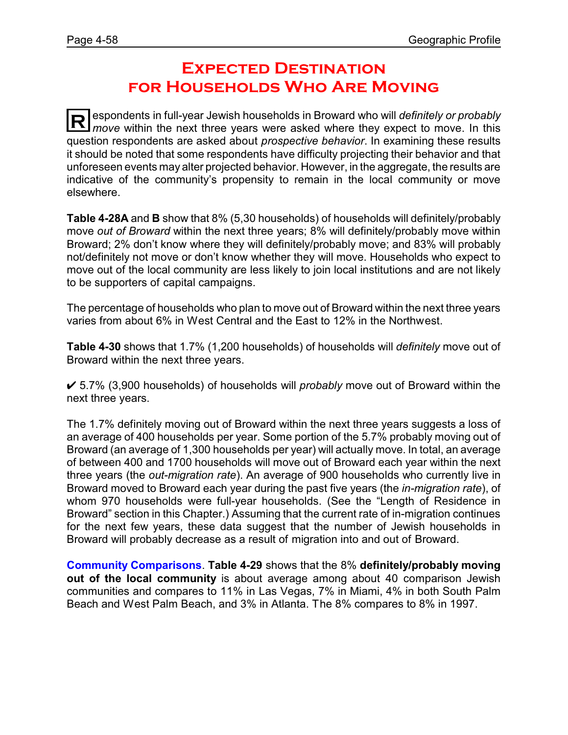### **Expected Destination for Households Who Are Moving**

**R** espondents in full-year Jewish households in Broward who will *definitely or probably*<br>move within the next three years were asked where they expect to move. In this *move* within the next three years were asked where they expect to move. In this question respondents are asked about *prospective behavior*. In examining these results it should be noted that some respondents have difficulty projecting their behavior and that unforeseen events may alter projected behavior. However, in the aggregate, the results are indicative of the community's propensity to remain in the local community or move elsewhere.

**Table 4-28A** and **B** show that 8% (5,30 households) of households will definitely/probably move *out of Broward* within the next three years; 8% will definitely/probably move within Broward; 2% don't know where they will definitely/probably move; and 83% will probably not/definitely not move or don't know whether they will move. Households who expect to move out of the local community are less likely to join local institutions and are not likely to be supporters of capital campaigns.

The percentage of households who plan to move out of Broward within the next three years varies from about 6% in West Central and the East to 12% in the Northwest.

**Table 4-30** shows that 1.7% (1,200 households) of households will *definitely* move out of Broward within the next three years.

U 5.7% (3,900 households) of households will *probably* move out of Broward within the next three years.

The 1.7% definitely moving out of Broward within the next three years suggests a loss of an average of 400 households per year. Some portion of the 5.7% probably moving out of Broward (an average of 1,300 households per year) will actually move. In total, an average of between 400 and 1700 households will move out of Broward each year within the next three years (the *out-migration rate*). An average of 900 households who currently live in Broward moved to Broward each year during the past five years (the *in-migration rate*), of whom 970 households were full-year households. (See the "Length of Residence in Broward" section in this Chapter.) Assuming that the current rate of in-migration continues for the next few years, these data suggest that the number of Jewish households in Broward will probably decrease as a result of migration into and out of Broward.

**Community Comparisons**. **Table 4-29** shows that the 8% **definitely/probably moving out of the local community** is about average among about 40 comparison Jewish communities and compares to 11% in Las Vegas, 7% in Miami, 4% in both South Palm Beach and West Palm Beach, and 3% in Atlanta. The 8% compares to 8% in 1997.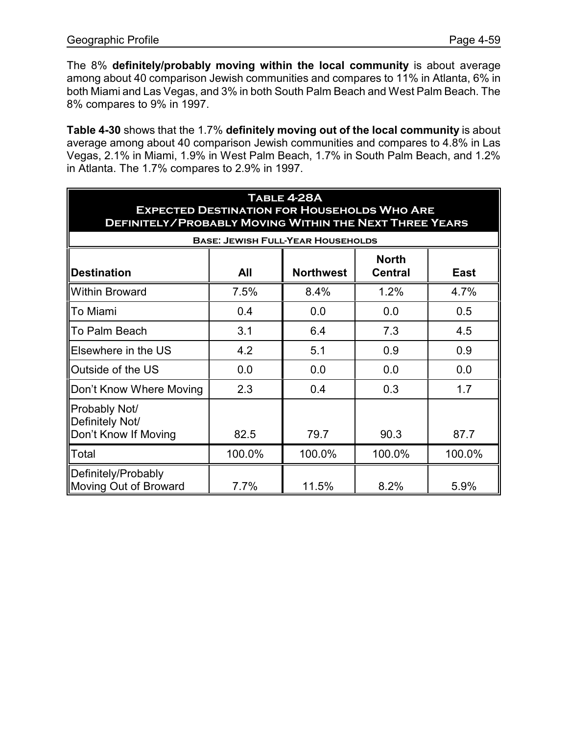The 8% **definitely/probably moving within the local community** is about average among about 40 comparison Jewish communities and compares to 11% in Atlanta, 6% in both Miami and Las Vegas, and 3% in both South Palm Beach and West Palm Beach. The 8% compares to 9% in 1997.

**Table 4-30** shows that the 1.7% **definitely moving out of the local community** is about average among about 40 comparison Jewish communities and compares to 4.8% in Las Vegas, 2.1% in Miami, 1.9% in West Palm Beach, 1.7% in South Palm Beach, and 1.2% in Atlanta. The 1.7% compares to 2.9% in 1997.

| TABLE 4-28A<br><b>EXPECTED DESTINATION FOR HOUSEHOLDS WHO ARE</b><br><b>DEFINITELY/PROBABLY MOVING WITHIN THE NEXT THREE YEARS</b> |        |                                          |                                |        |  |  |  |
|------------------------------------------------------------------------------------------------------------------------------------|--------|------------------------------------------|--------------------------------|--------|--|--|--|
|                                                                                                                                    |        | <b>BASE: JEWISH FULL-YEAR HOUSEHOLDS</b> |                                |        |  |  |  |
| <b>Destination</b>                                                                                                                 | All    | <b>Northwest</b>                         | <b>North</b><br><b>Central</b> | East   |  |  |  |
| <b>Within Broward</b>                                                                                                              | 7.5%   | 8.4%                                     | 1.2%                           | 4.7%   |  |  |  |
| To Miami                                                                                                                           | 0.4    | 0.0                                      | 0.0                            | 0.5    |  |  |  |
| To Palm Beach                                                                                                                      | 3.1    | 6.4                                      | 7.3                            | 4.5    |  |  |  |
| Elsewhere in the US                                                                                                                | 4.2    | 5.1                                      | 0.9                            | 0.9    |  |  |  |
| Outside of the US                                                                                                                  | 0.0    | 0.0                                      | 0.0                            | 0.0    |  |  |  |
| Don't Know Where Moving                                                                                                            | 2.3    | 0.4                                      | 0.3                            | 1.7    |  |  |  |
| Probably Not/<br>Definitely Not/<br>Don't Know If Moving                                                                           | 82.5   | 79.7                                     | 90.3                           | 87.7   |  |  |  |
| Total                                                                                                                              | 100.0% | 100.0%                                   | 100.0%                         | 100.0% |  |  |  |
| Definitely/Probably<br>Moving Out of Broward                                                                                       | 7.7%   | 11.5%                                    | 8.2%                           | 5.9%   |  |  |  |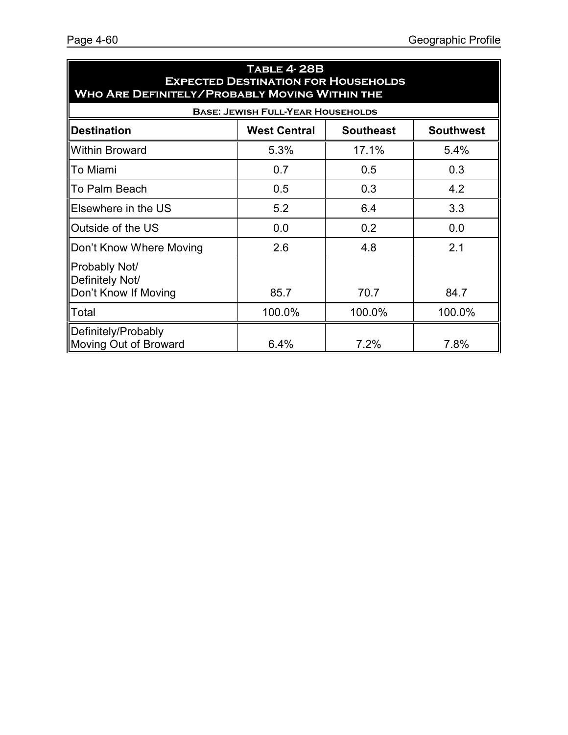| <b>TABLE 4-28B</b><br><b>EXPECTED DESTINATION FOR HOUSEHOLDS</b><br><b>WHO ARE DEFINITELY/PROBABLY MOVING WITHIN THE</b> |                                          |        |        |  |  |  |  |  |
|--------------------------------------------------------------------------------------------------------------------------|------------------------------------------|--------|--------|--|--|--|--|--|
|                                                                                                                          | <b>BASE: JEWISH FULL-YEAR HOUSEHOLDS</b> |        |        |  |  |  |  |  |
| <b>Destination</b><br><b>West Central</b><br><b>Southeast</b><br><b>Southwest</b>                                        |                                          |        |        |  |  |  |  |  |
| <b>Within Broward</b>                                                                                                    | 5.3%                                     | 17.1%  | 5.4%   |  |  |  |  |  |
| <b>I</b> To Miami                                                                                                        | 0.7                                      | 0.5    | 0.3    |  |  |  |  |  |
| ∥To Palm Beach                                                                                                           | 0.5                                      | 0.3    | 4.2    |  |  |  |  |  |
| Elsewhere in the US                                                                                                      | 5.2                                      | 6.4    | 3.3    |  |  |  |  |  |
| Outside of the US                                                                                                        | 0.0                                      | 0.2    | 0.0    |  |  |  |  |  |
| Don't Know Where Moving                                                                                                  | 2.6                                      | 4.8    | 2.1    |  |  |  |  |  |
| Probably Not/<br>Definitely Not/<br>Don't Know If Moving                                                                 | 85.7                                     | 70.7   | 84.7   |  |  |  |  |  |
| <b>Total</b>                                                                                                             | 100.0%                                   | 100.0% | 100.0% |  |  |  |  |  |
| Definitely/Probably<br>Moving Out of Broward                                                                             | 6.4%                                     | 7.2%   | 7.8%   |  |  |  |  |  |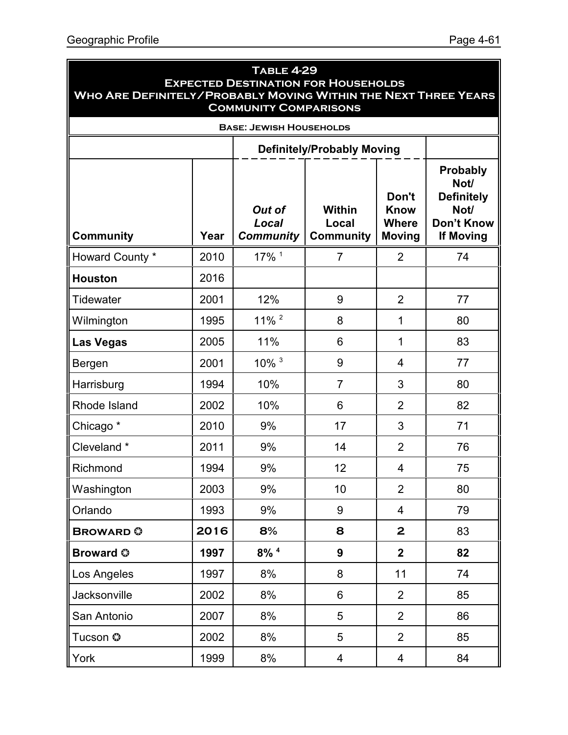| <b>TABLE 4-29</b><br><b>EXPECTED DESTINATION FOR HOUSEHOLDS</b><br>WHO ARE DEFINITELY/PROBABLY MOVING WITHIN THE NEXT THREE YEARS<br><b>COMMUNITY COMPARISONS</b> |      |                                     |                                            |                                                       |                                                                                        |  |  |  |
|-------------------------------------------------------------------------------------------------------------------------------------------------------------------|------|-------------------------------------|--------------------------------------------|-------------------------------------------------------|----------------------------------------------------------------------------------------|--|--|--|
| <b>BASE: JEWISH HOUSEHOLDS</b>                                                                                                                                    |      |                                     |                                            |                                                       |                                                                                        |  |  |  |
|                                                                                                                                                                   |      |                                     | <b>Definitely/Probably Moving</b>          |                                                       |                                                                                        |  |  |  |
| <b>Community</b>                                                                                                                                                  | Year | Out of<br>Local<br><b>Community</b> | <b>Within</b><br>Local<br><b>Community</b> | Don't<br><b>Know</b><br><b>Where</b><br><b>Moving</b> | Probably<br>Not/<br><b>Definitely</b><br>Not/<br><b>Don't Know</b><br><b>If Moving</b> |  |  |  |
| Howard County *                                                                                                                                                   | 2010 | $17\%$ <sup>1</sup>                 | $\overline{7}$                             | $\overline{2}$                                        | 74                                                                                     |  |  |  |
| <b>Houston</b>                                                                                                                                                    | 2016 |                                     |                                            |                                                       |                                                                                        |  |  |  |
| Tidewater                                                                                                                                                         | 2001 | 12%                                 | 9                                          | $\overline{2}$                                        | 77                                                                                     |  |  |  |
| Wilmington                                                                                                                                                        | 1995 | $11\%$ <sup>2</sup>                 | 8                                          | 1                                                     | 80                                                                                     |  |  |  |
| Las Vegas                                                                                                                                                         | 2005 | 11%                                 | 6                                          | 1                                                     | 83                                                                                     |  |  |  |
| Bergen                                                                                                                                                            | 2001 | $10\%$ <sup>3</sup>                 | 9                                          | $\overline{4}$                                        | 77                                                                                     |  |  |  |
| Harrisburg                                                                                                                                                        | 1994 | 10%                                 | $\overline{7}$                             | 3                                                     | 80                                                                                     |  |  |  |
| Rhode Island                                                                                                                                                      | 2002 | 10%                                 | 6                                          | $\overline{2}$                                        | 82                                                                                     |  |  |  |
| Chicago <sup>*</sup>                                                                                                                                              | 2010 | 9%                                  | 17                                         | 3                                                     | 71                                                                                     |  |  |  |
| Cleveland *                                                                                                                                                       | 2011 | 9%                                  | 14                                         | $\overline{2}$                                        | 76                                                                                     |  |  |  |
| Richmond                                                                                                                                                          | 1994 | 9%                                  | 12                                         | 4                                                     | 75                                                                                     |  |  |  |
| <b>Washington</b>                                                                                                                                                 | 2003 | 9%                                  | 10                                         | $\overline{2}$                                        | 80                                                                                     |  |  |  |
| Orlando                                                                                                                                                           | 1993 | 9%                                  | 9                                          | 4                                                     | 79                                                                                     |  |  |  |
| <b>BROWARD</b>                                                                                                                                                    | 2016 | 8%                                  | 8                                          | $\mathbf{2}$                                          | 83                                                                                     |  |  |  |
| <b>Broward ©</b>                                                                                                                                                  | 1997 | $8\%$ <sup>4</sup>                  | 9                                          | $\mathbf{2}$                                          | 82                                                                                     |  |  |  |
| Los Angeles                                                                                                                                                       | 1997 | 8%                                  | 8                                          | 11                                                    | 74                                                                                     |  |  |  |
| Jacksonville                                                                                                                                                      | 2002 | 8%                                  | 6                                          | $\overline{2}$                                        | 85                                                                                     |  |  |  |
| San Antonio                                                                                                                                                       | 2007 | 8%                                  | 5                                          | $\overline{2}$                                        | 86                                                                                     |  |  |  |
| Tucson ©                                                                                                                                                          | 2002 | 8%                                  | 5                                          | $\overline{2}$                                        | 85                                                                                     |  |  |  |
| York                                                                                                                                                              | 1999 | 8%                                  | 4                                          | 4                                                     | 84                                                                                     |  |  |  |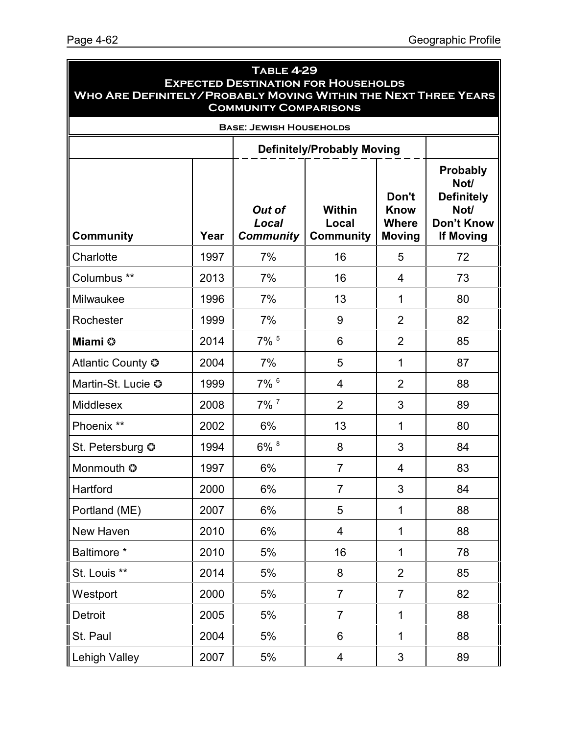| <b>TABLE 4-29</b><br><b>EXPECTED DESTINATION FOR HOUSEHOLDS</b><br><b>WHO ARE DEFINITELY/PROBABLY MOVING WITHIN THE NEXT THREE YEARS</b><br><b>COMMUNITY COMPARISONS</b> |                                |                                     |                                            |                                                       |                                                                                        |  |  |  |  |
|--------------------------------------------------------------------------------------------------------------------------------------------------------------------------|--------------------------------|-------------------------------------|--------------------------------------------|-------------------------------------------------------|----------------------------------------------------------------------------------------|--|--|--|--|
|                                                                                                                                                                          | <b>BASE: JEWISH HOUSEHOLDS</b> |                                     |                                            |                                                       |                                                                                        |  |  |  |  |
|                                                                                                                                                                          |                                |                                     |                                            |                                                       |                                                                                        |  |  |  |  |
| <b>Community</b>                                                                                                                                                         | Year                           | Out of<br>Local<br><b>Community</b> | <b>Within</b><br>Local<br><b>Community</b> | Don't<br><b>Know</b><br><b>Where</b><br><b>Moving</b> | Probably<br>Not/<br><b>Definitely</b><br>Not/<br><b>Don't Know</b><br><b>If Moving</b> |  |  |  |  |
| Charlotte                                                                                                                                                                | 1997                           | 7%                                  | 16                                         | 5                                                     | 72                                                                                     |  |  |  |  |
| Columbus **                                                                                                                                                              | 2013                           | 7%                                  | 16                                         | 4                                                     | 73                                                                                     |  |  |  |  |
| Milwaukee                                                                                                                                                                | 1996                           | 7%                                  | 13                                         | 1                                                     | 80                                                                                     |  |  |  |  |
| Rochester                                                                                                                                                                | 1999                           | 7%                                  | 9                                          | $\overline{2}$                                        | 82                                                                                     |  |  |  |  |
| Miami ©                                                                                                                                                                  | 2014                           | $7\%$ <sup>5</sup>                  | 6                                          | $\overline{2}$                                        | 85                                                                                     |  |  |  |  |
| Atlantic County $\odot$                                                                                                                                                  | 2004                           | 7%                                  | 5                                          | 1                                                     | 87                                                                                     |  |  |  |  |
| Martin-St. Lucie ©                                                                                                                                                       | 1999                           | 7% 6                                | 4                                          | $\overline{2}$                                        | 88                                                                                     |  |  |  |  |
| <b>Middlesex</b>                                                                                                                                                         | 2008                           | $7\%$ <sup>7</sup>                  | $\overline{2}$                             | 3                                                     | 89                                                                                     |  |  |  |  |
| Phoenix **                                                                                                                                                               | 2002                           | 6%                                  | 13                                         | 1                                                     | 80                                                                                     |  |  |  |  |
| St. Petersburg ©                                                                                                                                                         | 1994                           | 6% 8                                | 8                                          | 3                                                     | 84                                                                                     |  |  |  |  |
| Monmouth ©                                                                                                                                                               | 1997                           | 6%                                  | $\overline{7}$                             | 4                                                     | 83                                                                                     |  |  |  |  |
| Hartford                                                                                                                                                                 | 2000                           | 6%                                  | $\overline{7}$                             | 3                                                     | 84                                                                                     |  |  |  |  |
| Portland (ME)                                                                                                                                                            | 2007                           | 6%                                  | 5                                          | 1                                                     | 88                                                                                     |  |  |  |  |
| New Haven                                                                                                                                                                | 2010                           | 6%                                  | 4                                          | 1                                                     | 88                                                                                     |  |  |  |  |
| Baltimore *                                                                                                                                                              | 2010                           | 5%                                  | 16                                         | $\mathbf{1}$                                          | 78                                                                                     |  |  |  |  |
| St. Louis **                                                                                                                                                             | 2014                           | 5%                                  | 8                                          | $\overline{2}$                                        | 85                                                                                     |  |  |  |  |
| Westport                                                                                                                                                                 | 2000                           | 5%                                  | $\overline{7}$                             | $\overline{7}$                                        | 82                                                                                     |  |  |  |  |
| Detroit                                                                                                                                                                  | 2005                           | 5%                                  | $\overline{7}$                             | $\mathbf{1}$                                          | 88                                                                                     |  |  |  |  |
| St. Paul                                                                                                                                                                 | 2004                           | 5%                                  | 6                                          | 1                                                     | 88                                                                                     |  |  |  |  |
| Lehigh Valley                                                                                                                                                            | 2007                           | 5%                                  | $\overline{\mathbf{4}}$                    | 3                                                     | 89                                                                                     |  |  |  |  |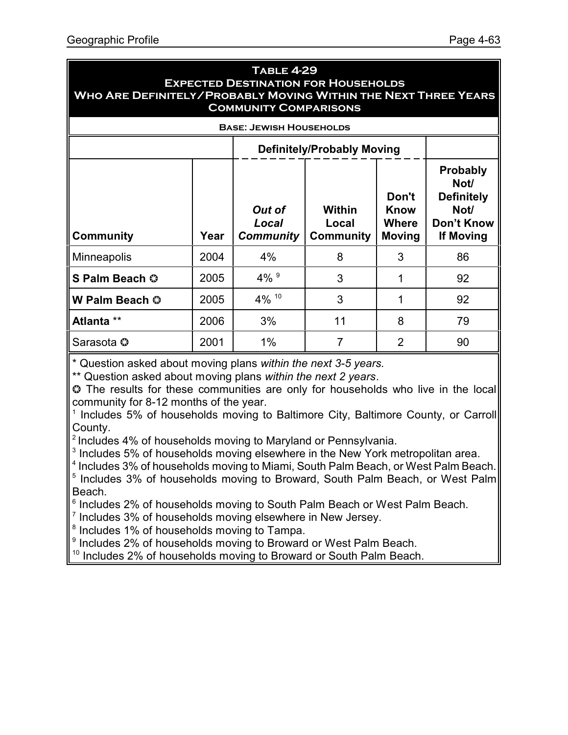#### **Table 4-29 Expected Destination for Households Who Are Definitely/Probably Moving Within the Next Three Years Community Comparisons**

| <b>BASE: JEWISH HOUSEHOLDS</b> |      |                                            |                                                                                 |   |    |  |  |
|--------------------------------|------|--------------------------------------------|---------------------------------------------------------------------------------|---|----|--|--|
|                                |      |                                            | <b>Definitely/Probably Moving</b>                                               |   |    |  |  |
| <b>Community</b>               | Year | <b>Out of</b><br>Local<br><b>Community</b> | Probably<br>Not/<br><b>Definitely</b><br>Not/<br>Don't Know<br><b>If Moving</b> |   |    |  |  |
| <b>Minneapolis</b>             | 2004 | 4%                                         | 8                                                                               | 3 | 86 |  |  |
| S Palm Beach ©                 | 2005 | $4\%$ <sup>9</sup>                         | 3                                                                               |   | 92 |  |  |
| W Palm Beach ©                 | 2005 | 4% 10                                      | 3                                                                               | 1 | 92 |  |  |
| Atlanta **                     | 2006 | 3%                                         | 11                                                                              | 8 | 79 |  |  |
| Sarasota ©                     | 2001 | 1%                                         | 7                                                                               | 2 | 90 |  |  |

\* Question asked about moving plans *within the next 3-5 years.*

\*\* Question asked about moving plans *within the next 2 years*.

 The results for these communities are only for households who live in the local community for 8-12 months of the year.

<sup>1</sup> Includes 5% of households moving to Baltimore City, Baltimore County, or Carroll County.

<sup>2</sup> Includes 4% of households moving to Maryland or Pennsylvania.

 $3$  Includes 5% of households moving elsewhere in the New York metropolitan area.

<sup>4</sup> Includes 3% of households moving to Miami, South Palm Beach, or West Palm Beach.

<sup>5</sup> Includes 3% of households moving to Broward, South Palm Beach, or West Palm Beach.

6 Includes 2% of households moving to South Palm Beach or West Palm Beach.

 $7$  Includes 3% of households moving elsewhere in New Jersey.

<sup>8</sup> Includes 1% of households moving to Tampa.

<sup>9</sup> Includes 2% of households moving to Broward or West Palm Beach.

<sup>10</sup> Includes 2% of households moving to Broward or South Palm Beach.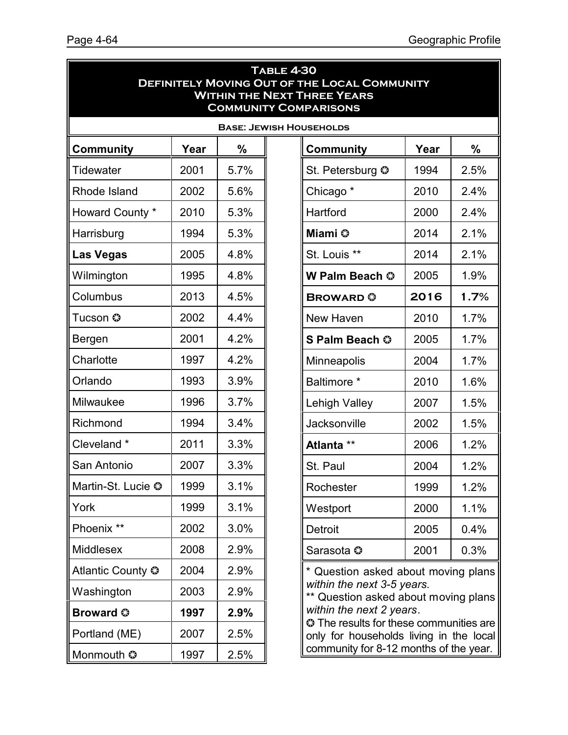| <b>TABLE 4-30</b><br><b>DEFINITELY MOVING OUT OF THE LOCAL COMMUNITY</b><br><b>WITHIN THE NEXT THREE YEARS</b><br><b>COMMUNITY COMPARISONS</b> |                                |      |  |                                                                                           |      |      |  |  |  |
|------------------------------------------------------------------------------------------------------------------------------------------------|--------------------------------|------|--|-------------------------------------------------------------------------------------------|------|------|--|--|--|
|                                                                                                                                                | <b>BASE: JEWISH HOUSEHOLDS</b> |      |  |                                                                                           |      |      |  |  |  |
| Community                                                                                                                                      | Year                           | $\%$ |  | Community                                                                                 | Year | %    |  |  |  |
| <b>Tidewater</b>                                                                                                                               | 2001                           | 5.7% |  | St. Petersburg ©                                                                          | 1994 | 2.5% |  |  |  |
| Rhode Island                                                                                                                                   | 2002                           | 5.6% |  | Chicago <sup>*</sup>                                                                      | 2010 | 2.4% |  |  |  |
| Howard County *                                                                                                                                | 2010                           | 5.3% |  | Hartford                                                                                  | 2000 | 2.4% |  |  |  |
| Harrisburg                                                                                                                                     | 1994                           | 5.3% |  | Miami ©                                                                                   | 2014 | 2.1% |  |  |  |
| <b>Las Vegas</b>                                                                                                                               | 2005                           | 4.8% |  | St. Louis **                                                                              | 2014 | 2.1% |  |  |  |
| Wilmington                                                                                                                                     | 1995                           | 4.8% |  | W Palm Beach ©                                                                            | 2005 | 1.9% |  |  |  |
| Columbus                                                                                                                                       | 2013                           | 4.5% |  | <b>BROWARD ©</b>                                                                          | 2016 | 1.7% |  |  |  |
| Tucson ©                                                                                                                                       | 2002                           | 4.4% |  | New Haven                                                                                 | 2010 | 1.7% |  |  |  |
| Bergen                                                                                                                                         | 2001                           | 4.2% |  | S Palm Beach ©                                                                            | 2005 | 1.7% |  |  |  |
| Charlotte                                                                                                                                      | 1997                           | 4.2% |  | Minneapolis                                                                               | 2004 | 1.7% |  |  |  |
| Orlando                                                                                                                                        | 1993                           | 3.9% |  | Baltimore *                                                                               | 2010 | 1.6% |  |  |  |
| Milwaukee                                                                                                                                      | 1996                           | 3.7% |  | Lehigh Valley                                                                             | 2007 | 1.5% |  |  |  |
| Richmond                                                                                                                                       | 1994                           | 3.4% |  | Jacksonville                                                                              | 2002 | 1.5% |  |  |  |
| Cleveland *                                                                                                                                    | 2011                           | 3.3% |  | Atlanta **                                                                                | 2006 | 1.2% |  |  |  |
| San Antonio                                                                                                                                    | 2007                           | 3.3% |  | St. Paul                                                                                  | 2004 | 1.2% |  |  |  |
| Martin-St. Lucie ©                                                                                                                             | 1999                           | 3.1% |  | Rochester                                                                                 | 1999 | 1.2% |  |  |  |
| York                                                                                                                                           | 1999                           | 3.1% |  | Westport                                                                                  | 2000 | 1.1% |  |  |  |
| Phoenix **                                                                                                                                     | 2002                           | 3.0% |  | <b>Detroit</b>                                                                            | 2005 | 0.4% |  |  |  |
| <b>Middlesex</b>                                                                                                                               | 2008                           | 2.9% |  | Sarasota ©                                                                                | 2001 | 0.3% |  |  |  |
| Atlantic County <sup>®</sup>                                                                                                                   | 2004                           | 2.9% |  | * Question asked about moving plans                                                       |      |      |  |  |  |
| Washington                                                                                                                                     | 2003                           | 2.9% |  | within the next 3-5 years.<br>** Question asked about moving plans                        |      |      |  |  |  |
| <b>Broward ©</b>                                                                                                                               | 1997                           | 2.9% |  | within the next 2 years.                                                                  |      |      |  |  |  |
| Portland (ME)                                                                                                                                  | 2007                           | 2.5% |  | <b>C</b> The results for these communities are<br>only for households living in the local |      |      |  |  |  |
| Monmouth ©                                                                                                                                     | 1997                           | 2.5% |  | community for 8-12 months of the year.                                                    |      |      |  |  |  |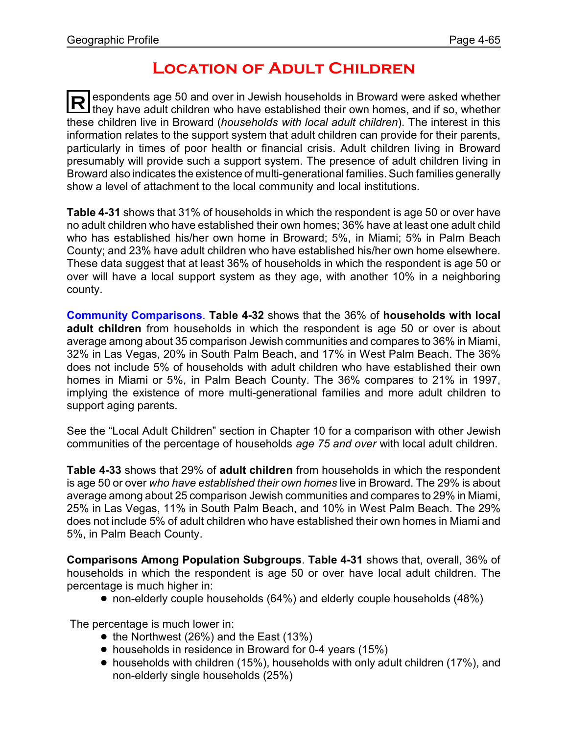### **Location of Adult Children**

**R** espondents age 50 and over in Jewish households in Broward were asked whether I they have adult children who have established their own homes, and if so, whether these children live in Broward (*households with local adult children*). The interest in this information relates to the support system that adult children can provide for their parents, particularly in times of poor health or financial crisis. Adult children living in Broward presumably will provide such a support system. The presence of adult children living in Broward also indicates the existence of multi-generational families. Such families generally show a level of attachment to the local community and local institutions.

**Table 4-31** shows that 31% of households in which the respondent is age 50 or over have no adult children who have established their own homes; 36% have at least one adult child who has established his/her own home in Broward; 5%, in Miami; 5% in Palm Beach County; and 23% have adult children who have established his/her own home elsewhere. These data suggest that at least 36% of households in which the respondent is age 50 or over will have a local support system as they age, with another 10% in a neighboring county.

**Community Comparisons**. **Table 4-32** shows that the 36% of **households with local adult children** from households in which the respondent is age 50 or over is about average among about 35 comparison Jewish communities and compares to 36% in Miami, 32% in Las Vegas, 20% in South Palm Beach, and 17% in West Palm Beach. The 36% does not include 5% of households with adult children who have established their own homes in Miami or 5%, in Palm Beach County. The 36% compares to 21% in 1997, implying the existence of more multi-generational families and more adult children to support aging parents.

See the "Local Adult Children" section in Chapter 10 for a comparison with other Jewish communities of the percentage of households *age 75 and over* with local adult children.

**Table 4-33** shows that 29% of **adult children** from households in which the respondent is age 50 or over *who have established their own homes* live in Broward. The 29% is about average among about 25 comparison Jewish communities and compares to 29% in Miami, 25% in Las Vegas, 11% in South Palm Beach, and 10% in West Palm Beach. The 29% does not include 5% of adult children who have established their own homes in Miami and 5%, in Palm Beach County.

**Comparisons Among Population Subgroups**. **Table 4-31** shows that, overall, 36% of households in which the respondent is age 50 or over have local adult children. The percentage is much higher in:

! non-elderly couple households (64%) and elderly couple households (48%)

The percentage is much lower in:

- $\bullet$  the Northwest (26%) and the East (13%)
- households in residence in Broward for 0-4 years (15%)
- ! households with children (15%), households with only adult children (17%), and non-elderly single households (25%)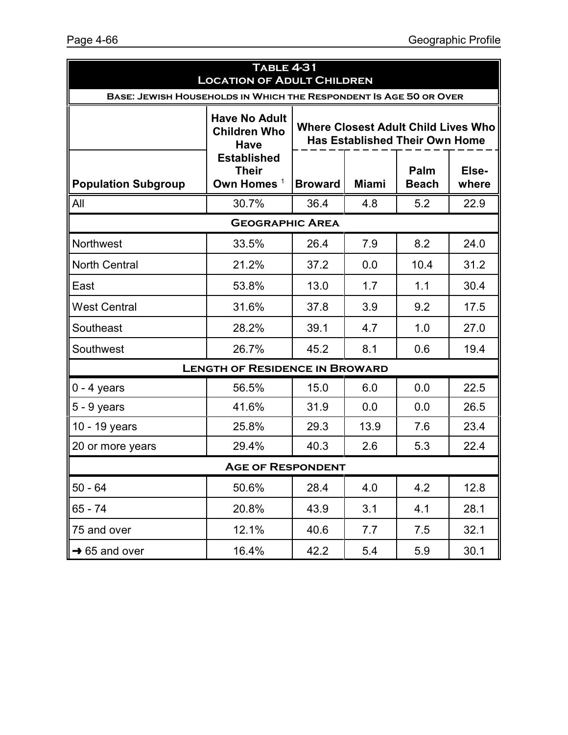| <b>TABLE 4-31</b><br><b>LOCATION OF ADULT CHILDREN</b> |                                                                   |                                                                                     |              |                      |                |  |  |  |  |
|--------------------------------------------------------|-------------------------------------------------------------------|-------------------------------------------------------------------------------------|--------------|----------------------|----------------|--|--|--|--|
|                                                        | BASE: JEWISH HOUSEHOLDS IN WHICH THE RESPONDENT IS AGE 50 OR OVER |                                                                                     |              |                      |                |  |  |  |  |
|                                                        | <b>Have No Adult</b><br><b>Children Who</b><br>Have               | <b>Where Closest Adult Child Lives Who</b><br><b>Has Established Their Own Home</b> |              |                      |                |  |  |  |  |
| <b>Population Subgroup</b>                             | <b>Established</b><br><b>Their</b><br>Own Homes <sup>1</sup>      | <b>Broward</b>                                                                      | <b>Miami</b> | Palm<br><b>Beach</b> | Else-<br>where |  |  |  |  |
| All                                                    | 30.7%                                                             | 36.4                                                                                | 4.8          | 5.2                  | 22.9           |  |  |  |  |
|                                                        | <b>GEOGRAPHIC AREA</b>                                            |                                                                                     |              |                      |                |  |  |  |  |
| Northwest                                              | 33.5%                                                             | 26.4                                                                                | 7.9          | 8.2                  | 24.0           |  |  |  |  |
| <b>North Central</b>                                   | 21.2%                                                             | 37.2                                                                                | 0.0          | 10.4                 | 31.2           |  |  |  |  |
| East                                                   | 53.8%                                                             | 13.0                                                                                | 1.7          | 1.1                  | 30.4           |  |  |  |  |
| <b>West Central</b>                                    | 31.6%                                                             | 37.8                                                                                | 3.9          | 9.2                  | 17.5           |  |  |  |  |
| Southeast                                              | 28.2%                                                             | 39.1                                                                                | 4.7          | 1.0                  | 27.0           |  |  |  |  |
| Southwest                                              | 26.7%                                                             | 45.2                                                                                | 8.1          | 0.6                  | 19.4           |  |  |  |  |
|                                                        | <b>LENGTH OF RESIDENCE IN BROWARD</b>                             |                                                                                     |              |                      |                |  |  |  |  |
| $0 - 4$ years                                          | 56.5%                                                             | 15.0                                                                                | 6.0          | 0.0                  | 22.5           |  |  |  |  |
| 5 - 9 years                                            | 41.6%                                                             | 31.9                                                                                | 0.0          | 0.0                  | 26.5           |  |  |  |  |
| 10 - 19 years                                          | 25.8%                                                             | 29.3                                                                                | 13.9         | 7.6                  | 23.4           |  |  |  |  |
| 20 or more years                                       | 29.4%                                                             | 40.3                                                                                | 2.6          | 5.3                  | 22.4           |  |  |  |  |
| <b>AGE OF RESPONDENT</b>                               |                                                                   |                                                                                     |              |                      |                |  |  |  |  |
| $50 - 64$                                              | 50.6%                                                             | 28.4                                                                                | 4.0          | 4.2                  | 12.8           |  |  |  |  |
| 65 - 74                                                | 20.8%                                                             | 43.9                                                                                | 3.1          | 4.1                  | 28.1           |  |  |  |  |
| 75 and over                                            | 12.1%                                                             | 40.6                                                                                | 7.7          | 7.5                  | 32.1           |  |  |  |  |
| $\rightarrow$ 65 and over                              | 16.4%                                                             | 42.2                                                                                | 5.4          | 5.9                  | 30.1           |  |  |  |  |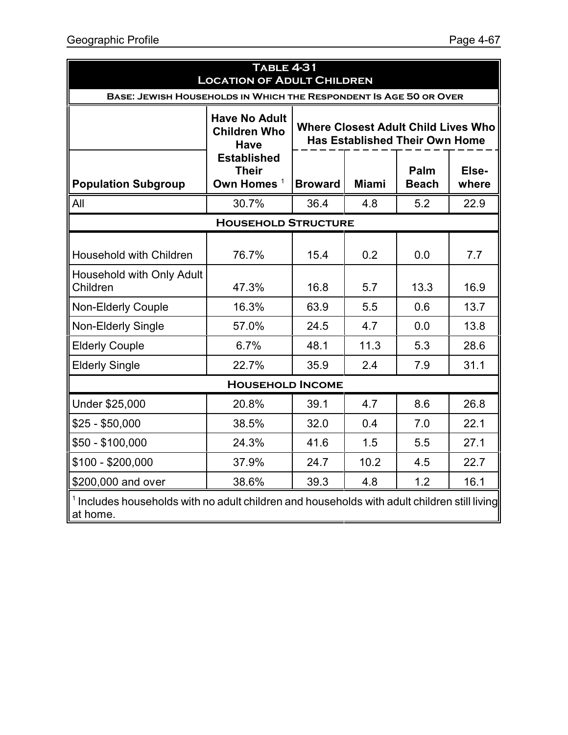| <b>TABLE 4-31</b><br><b>LOCATION OF ADULT CHILDREN</b>                                                              |                                                                   |                                                                                     |              |                      |                |  |  |  |  |
|---------------------------------------------------------------------------------------------------------------------|-------------------------------------------------------------------|-------------------------------------------------------------------------------------|--------------|----------------------|----------------|--|--|--|--|
|                                                                                                                     | BASE: JEWISH HOUSEHOLDS IN WHICH THE RESPONDENT IS AGE 50 OR OVER |                                                                                     |              |                      |                |  |  |  |  |
|                                                                                                                     | <b>Have No Adult</b><br><b>Children Who</b><br><b>Have</b>        | <b>Where Closest Adult Child Lives Who</b><br><b>Has Established Their Own Home</b> |              |                      |                |  |  |  |  |
| <b>Population Subgroup</b>                                                                                          | <b>Established</b><br><b>Their</b><br>Own Homes <sup>1</sup>      | <b>Broward</b>                                                                      | <b>Miami</b> | Palm<br><b>Beach</b> | Else-<br>where |  |  |  |  |
| All                                                                                                                 | 30.7%                                                             | 36.4                                                                                | 4.8          | 5.2                  | 22.9           |  |  |  |  |
|                                                                                                                     | <b>HOUSEHOLD STRUCTURE</b>                                        |                                                                                     |              |                      |                |  |  |  |  |
| Household with Children                                                                                             | 76.7%                                                             | 15.4                                                                                | 0.2          | 0.0                  | 7.7            |  |  |  |  |
| Household with Only Adult<br>Children                                                                               | 47.3%                                                             | 16.8                                                                                | 5.7          | 13.3                 | 16.9           |  |  |  |  |
| <b>Non-Elderly Couple</b>                                                                                           | 16.3%                                                             | 63.9                                                                                | 5.5          | 0.6                  | 13.7           |  |  |  |  |
| <b>Non-Elderly Single</b>                                                                                           | 57.0%                                                             | 24.5                                                                                | 4.7          | 0.0                  | 13.8           |  |  |  |  |
| <b>Elderly Couple</b>                                                                                               | 6.7%                                                              | 48.1                                                                                | 11.3         | 5.3                  | 28.6           |  |  |  |  |
| <b>Elderly Single</b>                                                                                               | 22.7%                                                             | 35.9                                                                                | 2.4          | 7.9                  | 31.1           |  |  |  |  |
|                                                                                                                     | <b>HOUSEHOLD INCOME</b>                                           |                                                                                     |              |                      |                |  |  |  |  |
| Under \$25,000                                                                                                      | 20.8%                                                             | 39.1                                                                                | 4.7          | 8.6                  | 26.8           |  |  |  |  |
| $$25 - $50,000$                                                                                                     | 38.5%                                                             | 32.0                                                                                | 0.4          | 7.0                  | 22.1           |  |  |  |  |
| $$50 - $100,000$                                                                                                    | 24.3%                                                             | 41.6                                                                                | 1.5          | 5.5                  | 27.1           |  |  |  |  |
| $$100 - $200,000$                                                                                                   | 37.9%                                                             | 24.7                                                                                | 10.2         | 4.5                  | 22.7           |  |  |  |  |
| \$200,000 and over                                                                                                  | 38.6%                                                             | 39.3                                                                                | 4.8          | 1.2                  | 16.1           |  |  |  |  |
| <sup>1</sup> Includes households with no adult children and households with adult children still living<br>at home. |                                                                   |                                                                                     |              |                      |                |  |  |  |  |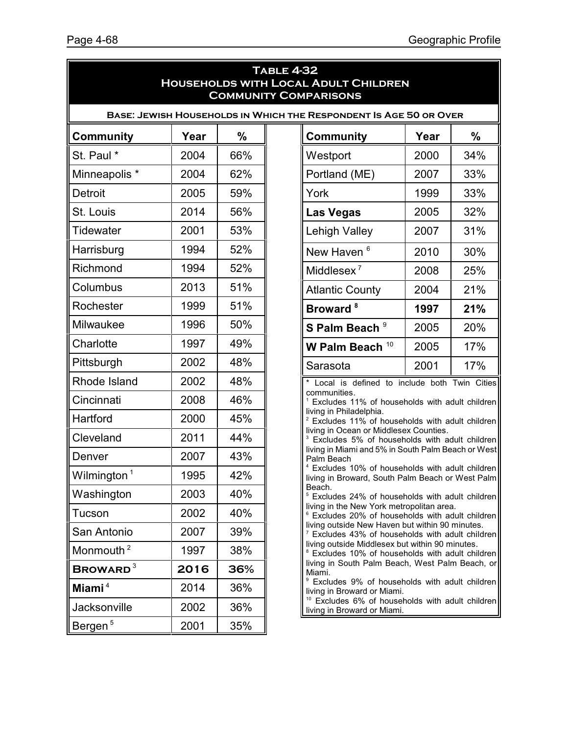| <b>TABLE 4-32</b><br><b>HOUSEHOLDS WITH LOCAL ADULT CHILDREN</b><br><b>COMMUNITY COMPARISONS</b> |                                                                   |     |  |                                                                                                                 |      |               |  |  |  |
|--------------------------------------------------------------------------------------------------|-------------------------------------------------------------------|-----|--|-----------------------------------------------------------------------------------------------------------------|------|---------------|--|--|--|
|                                                                                                  | BASE: JEWISH HOUSEHOLDS IN WHICH THE RESPONDENT IS AGE 50 OR OVER |     |  |                                                                                                                 |      |               |  |  |  |
| <b>Community</b>                                                                                 | Year                                                              | %   |  | <b>Community</b>                                                                                                | Year | $\frac{0}{0}$ |  |  |  |
| St. Paul *                                                                                       | 2004                                                              | 66% |  | Westport                                                                                                        | 2000 | 34%           |  |  |  |
| Minneapolis *                                                                                    | 2004                                                              | 62% |  | Portland (ME)                                                                                                   | 2007 | 33%           |  |  |  |
| Detroit                                                                                          | 2005                                                              | 59% |  | York                                                                                                            | 1999 | 33%           |  |  |  |
| St. Louis                                                                                        | 2014                                                              | 56% |  | <b>Las Vegas</b>                                                                                                | 2005 | 32%           |  |  |  |
| <b>Tidewater</b>                                                                                 | 2001                                                              | 53% |  | Lehigh Valley                                                                                                   | 2007 | 31%           |  |  |  |
| Harrisburg                                                                                       | 1994                                                              | 52% |  | New Haven <sup>6</sup>                                                                                          | 2010 | 30%           |  |  |  |
| Richmond                                                                                         | 1994                                                              | 52% |  | Middlesex $^7$                                                                                                  | 2008 | 25%           |  |  |  |
| Columbus                                                                                         | 2013                                                              | 51% |  | <b>Atlantic County</b>                                                                                          | 2004 | 21%           |  |  |  |
| Rochester                                                                                        | 1999                                                              | 51% |  | Broward <sup>8</sup>                                                                                            | 1997 | 21%           |  |  |  |
| Milwaukee                                                                                        | 1996                                                              | 50% |  | S Palm Beach <sup>9</sup>                                                                                       | 2005 | 20%           |  |  |  |
| Charlotte                                                                                        | 1997                                                              | 49% |  | W Palm Beach <sup>10</sup>                                                                                      | 2005 | 17%           |  |  |  |
| Pittsburgh                                                                                       | 2002                                                              | 48% |  | Sarasota                                                                                                        | 2001 | 17%           |  |  |  |
| Rhode Island                                                                                     | 2002                                                              | 48% |  | Local is defined to include both Twin Cities                                                                    |      |               |  |  |  |
| Cincinnati                                                                                       | 2008                                                              | 46% |  | communities.<br>Excludes 11% of households with adult children                                                  |      |               |  |  |  |
| Hartford                                                                                         | 2000                                                              | 45% |  | living in Philadelphia.<br><sup>2</sup> Excludes 11% of households with adult children                          |      |               |  |  |  |
| Cleveland                                                                                        | 2011                                                              | 44% |  | living in Ocean or Middlesex Counties.<br><sup>3</sup> Excludes 5% of households with adult children            |      |               |  |  |  |
| Denver                                                                                           | 2007                                                              | 43% |  | living in Miami and 5% in South Palm Beach or West<br>Palm Beach                                                |      |               |  |  |  |
| Wilmington <sup>1</sup>                                                                          | 1995                                                              | 42% |  | <sup>4</sup> Excludes 10% of households with adult children<br>living in Broward, South Palm Beach or West Palm |      |               |  |  |  |
| Washington                                                                                       | 2003                                                              | 40% |  | Beach.<br><sup>5</sup> Excludes 24% of households with adult children                                           |      |               |  |  |  |
| Tucson                                                                                           | 2002                                                              | 40% |  | living in the New York metropolitan area.<br><sup>6</sup> Excludes 20% of households with adult children        |      |               |  |  |  |
| San Antonio                                                                                      | 2007                                                              | 39% |  | living outside New Haven but within 90 minutes.<br><sup>7</sup> Excludes 43% of households with adult children  |      |               |  |  |  |
| Monmouth <sup>2</sup>                                                                            | 1997                                                              | 38% |  | living outside Middlesex but within 90 minutes.<br><sup>8</sup> Excludes 10% of households with adult children  |      |               |  |  |  |
| <b>BROWARD</b> <sup>3</sup>                                                                      | 2016                                                              | 36% |  | living in South Palm Beach, West Palm Beach, or<br>Miami.                                                       |      |               |  |  |  |
| Miami <sup>4</sup>                                                                               | 2014                                                              | 36% |  | <sup>9</sup> Excludes 9% of households with adult children<br>living in Broward or Miami.                       |      |               |  |  |  |
| Jacksonville                                                                                     | 2002                                                              | 36% |  | <sup>10</sup> Excludes 6% of households with adult children<br>living in Broward or Miami.                      |      |               |  |  |  |
| Bergen <sup>5</sup>                                                                              | 2001                                                              | 35% |  |                                                                                                                 |      |               |  |  |  |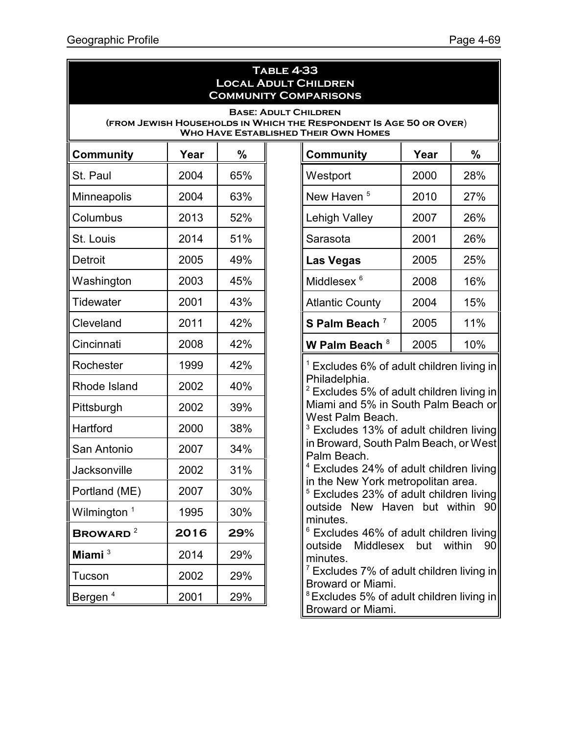#### **Table 4-33 Local Adult Children Community Comparisons**

#### **Base: Adult Children (from Jewish Households in Which the Respondent Is Age 50 or Over**) **Who Have Established Their Own Homes**

| <b>Community</b>        | Year | $\frac{9}{6}$ |
|-------------------------|------|---------------|
| St. Paul                | 2004 | 65%           |
| Minneapolis             | 2004 | 63%           |
| Columbus                | 2013 | 52%           |
| St. Louis               | 2014 | 51%           |
| <b>Detroit</b>          | 2005 | 49%           |
| Washington              | 2003 | 45%           |
| <b>Tidewater</b>        | 2001 | 43%           |
| Cleveland               | 2011 | 42%           |
| Cincinnati              | 2008 | 42%           |
| Rochester               | 1999 | 42%           |
| Rhode Island            | 2002 | 40%           |
| Pittsburgh              | 2002 | 39%           |
| Hartford                | 2000 | 38%           |
| San Antonio             | 2007 | 34%           |
| <b>Jacksonville</b>     | 2002 | 31%           |
| Portland (ME)           | 2007 | 30%           |
| Wilmington <sup>1</sup> | 1995 | 30%           |
| BROWARD <sup>2</sup>    | 2016 | 29%           |
| Miami <sup>3</sup>      | 2014 | 29%           |
| Tucson                  | 2002 | 29%           |
| Bergen <sup>4</sup>     | 2001 | 29%           |

| Community              | Year | %   |
|------------------------|------|-----|
| Westport               | 2000 | 28% |
| New Haven <sup>5</sup> | 2010 | 27% |
| <b>Lehigh Valley</b>   | 2007 | 26% |
| Sarasota               | 2001 | 26% |
| <b>Las Vegas</b>       | 2005 | 25% |
| Middlesex <sup>6</sup> | 2008 | 16% |
| <b>Atlantic County</b> | 2004 | 15% |
| S Palm Beach $7$       | 2005 | 11% |
| W Palm Beach $8$       | 2005 | 10% |

 $1$  Excludes 6% of adult children living in Philadelphia.

 $2$  Excludes 5% of adult children living in Miami and 5% in South Palm Beach or West Palm Beach.

<sup>3</sup> Excludes 13% of adult children living in Broward, South Palm Beach, or West Palm Beach.

<sup>4</sup> Excludes 24% of adult children living in the New York metropolitan area.

<sup>5</sup> Excludes 23% of adult children living outside New Haven but within 90 minutes.

 $6$  Excludes 46% of adult children living outside Middlesex but within 90 minutes.

 $7$  Excludes 7% of adult children living in Broward or Miami.

 $8$  Excludes 5% of adult children living in Broward or Miami.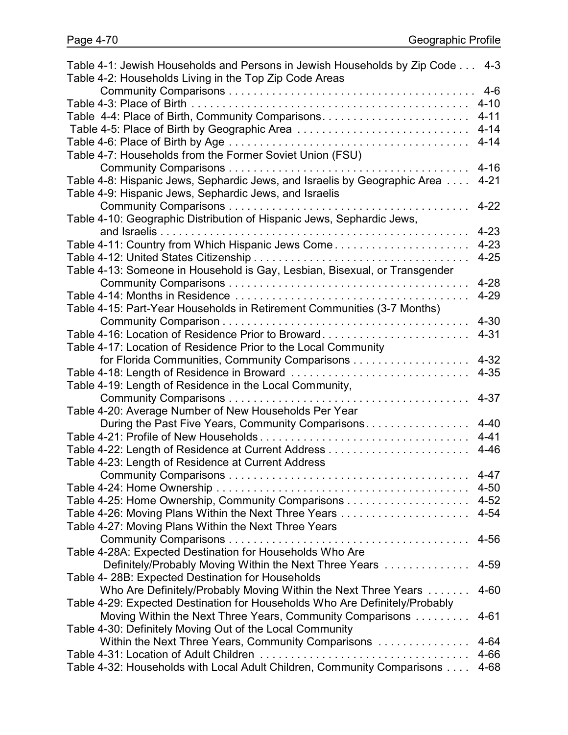| Table 4-1: Jewish Households and Persons in Jewish Households by Zip Code 4-3 |          |
|-------------------------------------------------------------------------------|----------|
| Table 4-2: Households Living in the Top Zip Code Areas                        |          |
|                                                                               |          |
|                                                                               | $4 - 10$ |
| Table 4-4: Place of Birth, Community Comparisons                              | $4 - 11$ |
| Table 4-5: Place of Birth by Geographic Area                                  | $4 - 14$ |
|                                                                               | $4 - 14$ |
| Table 4-7: Households from the Former Soviet Union (FSU)                      |          |
|                                                                               | $4 - 16$ |
| Table 4-8: Hispanic Jews, Sephardic Jews, and Israelis by Geographic Area     | $4 - 21$ |
| Table 4-9: Hispanic Jews, Sephardic Jews, and Israelis                        |          |
|                                                                               | $4 - 22$ |
|                                                                               |          |
| Table 4-10: Geographic Distribution of Hispanic Jews, Sephardic Jews,         |          |
|                                                                               | $4 - 23$ |
| Table 4-11: Country from Which Hispanic Jews Come                             | $4 - 23$ |
|                                                                               | $4 - 25$ |
| Table 4-13: Someone in Household is Gay, Lesbian, Bisexual, or Transgender    |          |
|                                                                               | $4 - 28$ |
|                                                                               | $4 - 29$ |
| Table 4-15: Part-Year Households in Retirement Communities (3-7 Months)       |          |
|                                                                               | $4 - 30$ |
| Table 4-16: Location of Residence Prior to Broward                            | $4 - 31$ |
| Table 4-17: Location of Residence Prior to the Local Community                |          |
|                                                                               | $4 - 32$ |
| Table 4-18: Length of Residence in Broward                                    | $4 - 35$ |
| Table 4-19: Length of Residence in the Local Community,                       |          |
|                                                                               | $4 - 37$ |
| Table 4-20: Average Number of New Households Per Year                         |          |
| During the Past Five Years, Community Comparisons                             | $4 - 40$ |
|                                                                               | $4 - 41$ |
|                                                                               | $4 - 46$ |
| Table 4-23: Length of Residence at Current Address                            |          |
| <b>Community Comparisons</b>                                                  | $4 - 47$ |
|                                                                               | 4-50     |
|                                                                               |          |
| Table 4-25: Home Ownership, Community Comparisons 4-52                        |          |
| Table 4-26: Moving Plans Within the Next Three Years                          | $4 - 54$ |
| Table 4-27: Moving Plans Within the Next Three Years                          |          |
|                                                                               | $4 - 56$ |
| Table 4-28A: Expected Destination for Households Who Are                      |          |
| Definitely/Probably Moving Within the Next Three Years                        | 4-59     |
| Table 4- 28B: Expected Destination for Households                             |          |
| Who Are Definitely/Probably Moving Within the Next Three Years                | $4 - 60$ |
| Table 4-29: Expected Destination for Households Who Are Definitely/Probably   |          |
| Moving Within the Next Three Years, Community Comparisons                     | $4 - 61$ |
| Table 4-30: Definitely Moving Out of the Local Community                      |          |
| Within the Next Three Years, Community Comparisons                            | $4 - 64$ |
|                                                                               | 4-66     |
| Table 4-32: Households with Local Adult Children, Community Comparisons       | $4 - 68$ |